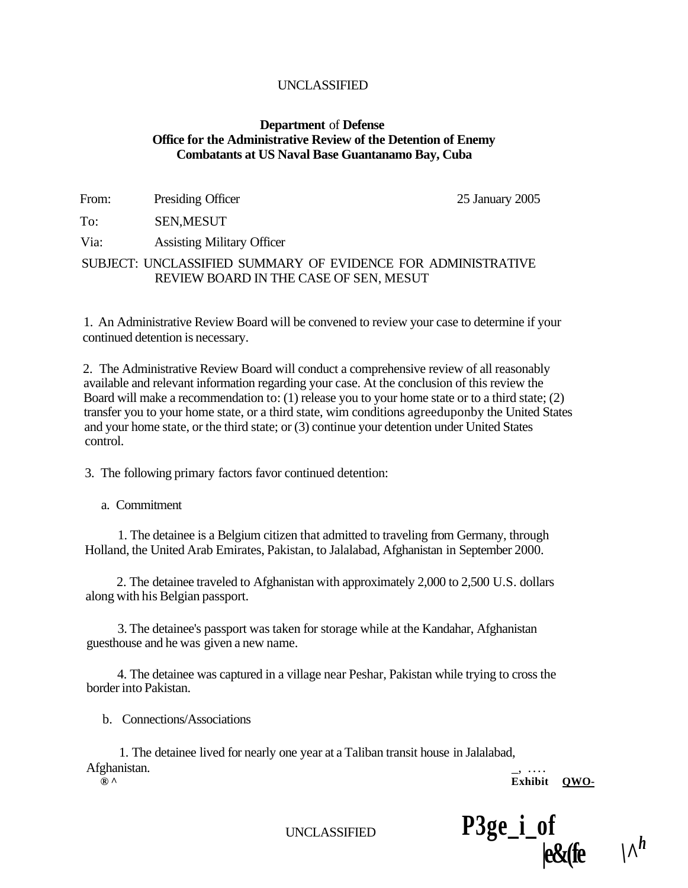#### **Department** of **Defense Office for the Administrative Review of the Detention of Enemy Combatants at US Naval Base Guantanamo Bay, Cuba**

| From: | Presiding Officer                                                                                      | 25 January 2005 |
|-------|--------------------------------------------------------------------------------------------------------|-----------------|
| To:   | <b>SEN, MESUT</b>                                                                                      |                 |
| Via:  | <b>Assisting Military Officer</b>                                                                      |                 |
|       | SUBJECT: UNCLASSIFIED SUMMARY OF EVIDENCE FOR ADMINISTRATIVE<br>REVIEW BOARD IN THE CASE OF SEN, MESUT |                 |

1. An Administrative Review Board will be convened to review your case to determine if your continued detention is necessary.

2. The Administrative Review Board will conduct a comprehensive review of all reasonably available and relevant information regarding your case. At the conclusion of this review the Board will make a recommendation to: (1) release you to your home state or to a third state; (2) transfer you to your home state, or a third state, wim conditions agreeduponby the United States and your home state, or the third state; or (3) continue your detention under United States control.

3. The following primary factors favor continued detention:

a. Commitment

1. The detainee is a Belgium citizen that admitted to traveling from Germany, through Holland, the United Arab Emirates, Pakistan, to Jalalabad, Afghanistan in September 2000.

2. The detainee traveled to Afghanistan with approximately 2,000 to 2,500 U.S. dollars along with his Belgian passport.

3. The detainee's passport was taken for storage while at the Kandahar, Afghanistan guesthouse and he was given a new name.

4. The detainee was captured in a village near Peshar, Pakistan while trying to cross the border into Pakistan.

b. Connections/Associations

1. The detainee lived for nearly one year at a Taliban transit house in Jalalabad, Afghanistan.

**® ^ Exhibit QWO-**

UNCLASSIFIED **P3ge\_i\_of** 

 $|e\&$ (fe<sup>*\h*</sup>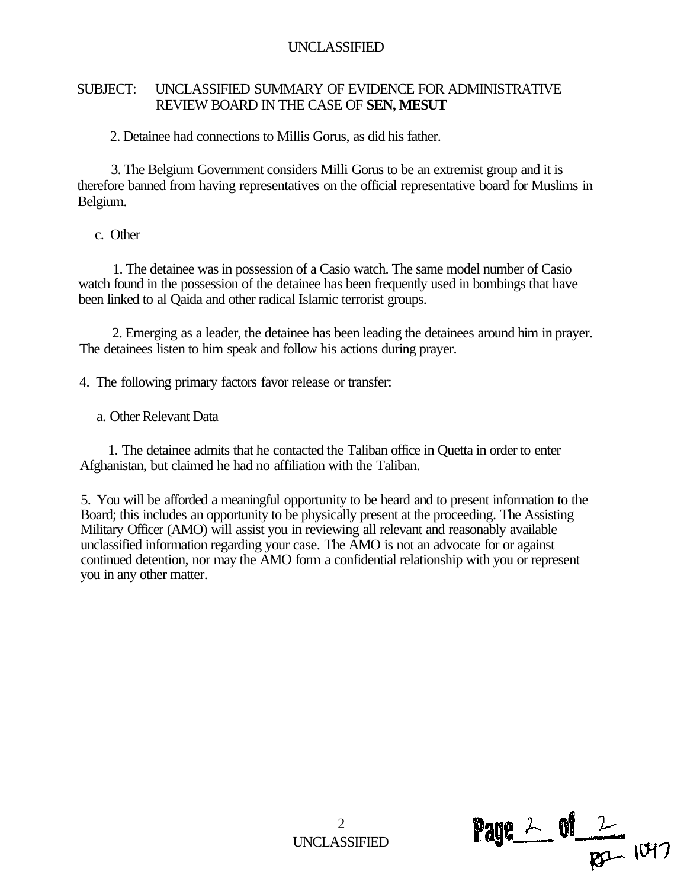### SUBJECT: UNCLASSIFIED SUMMARY OF EVIDENCE FOR ADMINISTRATIVE REVIEW BOARD IN THE CASE OF **SEN, MESUT**

2. Detainee had connections to Millis Gorus, as did his father.

3. The Belgium Government considers Milli Gorus to be an extremist group and it is therefore banned from having representatives on the official representative board for Muslims in Belgium.

c. Other

1. The detainee was in possession of a Casio watch. The same model number of Casio watch found in the possession of the detainee has been frequently used in bombings that have been linked to al Qaida and other radical Islamic terrorist groups.

2. Emerging as a leader, the detainee has been leading the detainees around him in prayer. The detainees listen to him speak and follow his actions during prayer.

4. The following primary factors favor release or transfer:

a. Other Relevant Data

1. The detainee admits that he contacted the Taliban office in Quetta in order to enter Afghanistan, but claimed he had no affiliation with the Taliban.

5. You will be afforded a meaningful opportunity to be heard and to present information to the Board; this includes an opportunity to be physically present at the proceeding. The Assisting Military Officer (AMO) will assist you in reviewing all relevant and reasonably available unclassified information regarding your case. The AMO is not an advocate for or against continued detention, nor may the AMO form a confidential relationship with you or represent you in any other matter.

> $\mathcal{D}$ UNCLASSIFIED

**Page**  $2$  of  $\frac{2}{\beta^{2}}$  1047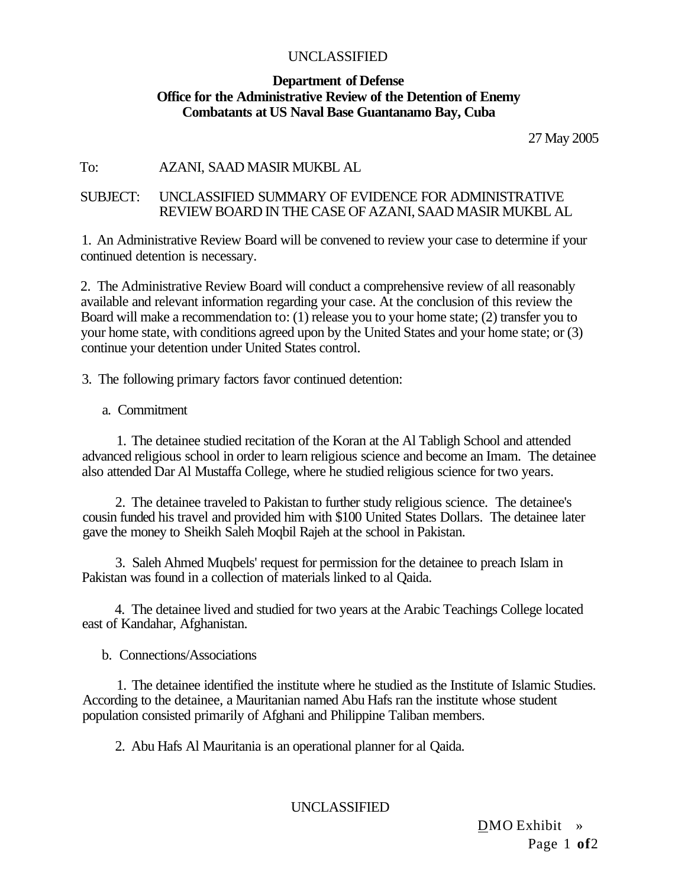### **Department of Defense Office for the Administrative Review of the Detention of Enemy Combatants at US Naval Base Guantanamo Bay, Cuba**

27 May 2005

### To: AZANI, SAAD MASIR MUKBL AL

### SUBJECT: UNCLASSIFIED SUMMARY OF EVIDENCE FOR ADMINISTRATIVE REVIEW BOARD IN THE CASE OF AZANI, SAAD MASIR MUKBL AL

1. An Administrative Review Board will be convened to review your case to determine if your continued detention is necessary.

2. The Administrative Review Board will conduct a comprehensive review of all reasonably available and relevant information regarding your case. At the conclusion of this review the Board will make a recommendation to: (1) release you to your home state; (2) transfer you to your home state, with conditions agreed upon by the United States and your home state; or (3) continue your detention under United States control.

3. The following primary factors favor continued detention:

a. Commitment

1. The detainee studied recitation of the Koran at the Al Tabligh School and attended advanced religious school in order to learn religious science and become an Imam. The detainee also attended Dar Al Mustaffa College, where he studied religious science for two years.

2. The detainee traveled to Pakistan to further study religious science. The detainee's cousin funded his travel and provided him with \$100 United States Dollars. The detainee later gave the money to Sheikh Saleh Moqbil Rajeh at the school in Pakistan.

3. Saleh Ahmed Muqbels' request for permission for the detainee to preach Islam in Pakistan was found in a collection of materials linked to al Qaida.

4. The detainee lived and studied for two years at the Arabic Teachings College located east of Kandahar, Afghanistan.

b. Connections/Associations

1. The detainee identified the institute where he studied as the Institute of Islamic Studies. According to the detainee, a Mauritanian named Abu Hafs ran the institute whose student population consisted primarily of Afghani and Philippine Taliban members.

2. Abu Hafs Al Mauritania is an operational planner for al Qaida.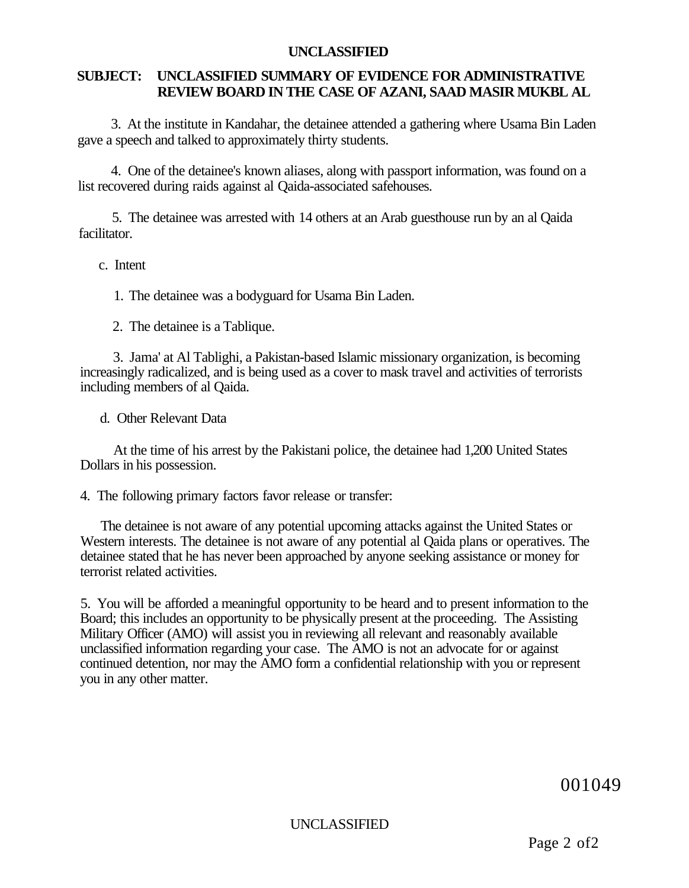### **SUBJECT: UNCLASSIFIED SUMMARY OF EVIDENCE FOR ADMINISTRATIVE REVIEW BOARD IN THE CASE OF AZANI, SAAD MASIR MUKBL AL**

3. At the institute in Kandahar, the detainee attended a gathering where Usama Bin Laden gave a speech and talked to approximately thirty students.

4. One of the detainee's known aliases, along with passport information, was found on a list recovered during raids against al Qaida-associated safehouses.

5. The detainee was arrested with 14 others at an Arab guesthouse run by an al Qaida facilitator.

### c. Intent

1. The detainee was a bodyguard for Usama Bin Laden.

2. The detainee is a Tablique.

3. Jama' at Al Tablighi, a Pakistan-based Islamic missionary organization, is becoming increasingly radicalized, and is being used as a cover to mask travel and activities of terrorists including members of al Qaida.

d. Other Relevant Data

At the time of his arrest by the Pakistani police, the detainee had 1,200 United States Dollars in his possession.

#### 4. The following primary factors favor release or transfer:

The detainee is not aware of any potential upcoming attacks against the United States or Western interests. The detainee is not aware of any potential al Qaida plans or operatives. The detainee stated that he has never been approached by anyone seeking assistance or money for terrorist related activities.

5. You will be afforded a meaningful opportunity to be heard and to present information to the Board; this includes an opportunity to be physically present at the proceeding. The Assisting Military Officer (AMO) will assist you in reviewing all relevant and reasonably available unclassified information regarding your case. The AMO is not an advocate for or against continued detention, nor may the AMO form a confidential relationship with you or represent you in any other matter.

001049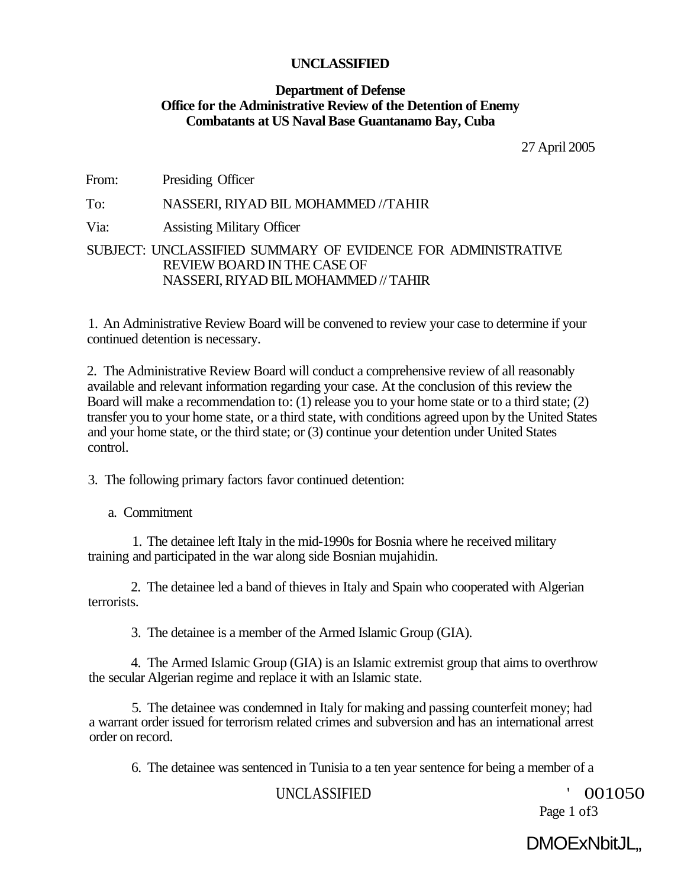### **Department of Defense Office for the Administrative Review of the Detention of Enemy Combatants at US Naval Base Guantanamo Bay, Cuba**

27 April 2005

From: Presiding Officer

### To: NASSERI, RIYAD BIL MOHAMMED //TAHIR

Via: Assisting Military Officer

### SUBJECT: UNCLASSIFIED SUMMARY OF EVIDENCE FOR ADMINISTRATIVE REVIEW BOARD IN THE CASE OF NASSERI, RIYAD BIL MOHAMMED // TAHIR

1. An Administrative Review Board will be convened to review your case to determine if your continued detention is necessary.

2. The Administrative Review Board will conduct a comprehensive review of all reasonably available and relevant information regarding your case. At the conclusion of this review the Board will make a recommendation to: (1) release you to your home state or to a third state; (2) transfer you to your home state, or a third state, with conditions agreed upon by the United States and your home state, or the third state; or (3) continue your detention under United States control.

3. The following primary factors favor continued detention:

a. Commitment

1. The detainee left Italy in the mid-1990s for Bosnia where he received military training and participated in the war along side Bosnian mujahidin.

2. The detainee led a band of thieves in Italy and Spain who cooperated with Algerian terrorists.

3. The detainee is a member of the Armed Islamic Group (GIA).

4. The Armed Islamic Group (GIA) is an Islamic extremist group that aims to overthrow the secular Algerian regime and replace it with an Islamic state.

5. The detainee was condemned in Italy for making and passing counterfeit money; had a warrant order issued for terrorism related crimes and subversion and has an international arrest order on record.

6. The detainee was sentenced in Tunisia to a ten year sentence for being a member of a

### UNCLASSIFIED ' 001050

Page 1 of 3

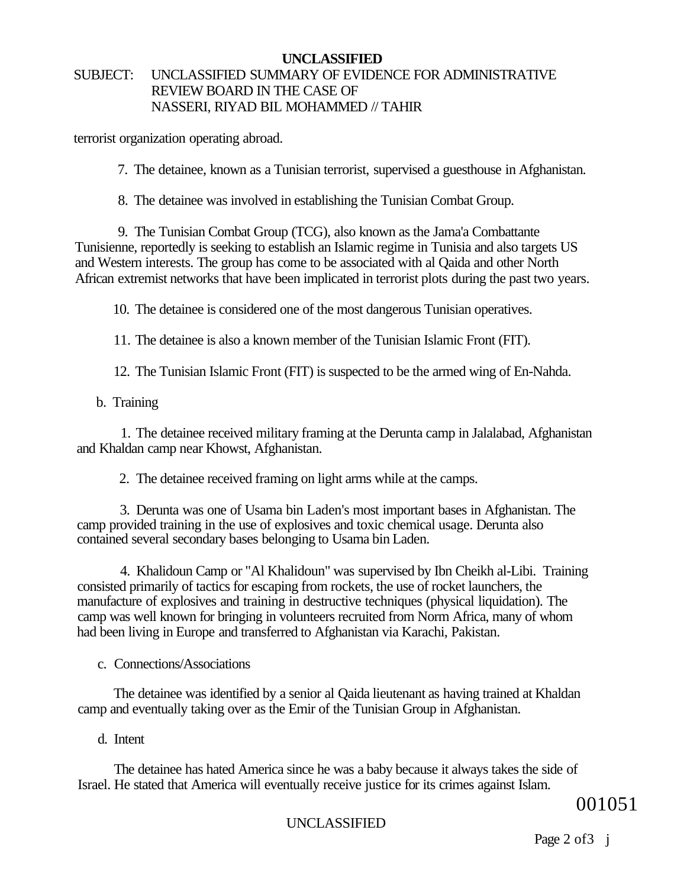### **UNCLASSIFIED**  SUBJECT: UNCLASSIFIED SUMMARY OF EVIDENCE FOR ADMINISTRATIVE REVIEW BOARD IN THE CASE OF NASSERI, RIYAD BIL MOHAMMED // TAHIR

terrorist organization operating abroad.

7. The detainee, known as a Tunisian terrorist, supervised a guesthouse in Afghanistan.

8. The detainee was involved in establishing the Tunisian Combat Group.

9. The Tunisian Combat Group (TCG), also known as the Jama'a Combattante Tunisienne, reportedly is seeking to establish an Islamic regime in Tunisia and also targets US and Western interests. The group has come to be associated with al Qaida and other North African extremist networks that have been implicated in terrorist plots during the past two years.

10. The detainee is considered one of the most dangerous Tunisian operatives.

11. The detainee is also a known member of the Tunisian Islamic Front (FIT).

12. The Tunisian Islamic Front (FIT) is suspected to be the armed wing of En-Nahda.

b. Training

1. The detainee received military framing at the Derunta camp in Jalalabad, Afghanistan and Khaldan camp near Khowst, Afghanistan.

2. The detainee received framing on light arms while at the camps.

3. Derunta was one of Usama bin Laden's most important bases in Afghanistan. The camp provided training in the use of explosives and toxic chemical usage. Derunta also contained several secondary bases belonging to Usama bin Laden.

4. Khalidoun Camp or "Al Khalidoun" was supervised by Ibn Cheikh al-Libi. Training consisted primarily of tactics for escaping from rockets, the use of rocket launchers, the manufacture of explosives and training in destructive techniques (physical liquidation). The camp was well known for bringing in volunteers recruited from Norm Africa, many of whom had been living in Europe and transferred to Afghanistan via Karachi, Pakistan.

c. Connections/Associations

The detainee was identified by a senior al Qaida lieutenant as having trained at Khaldan camp and eventually taking over as the Emir of the Tunisian Group in Afghanistan.

d. Intent

The detainee has hated America since he was a baby because it always takes the side of Israel. He stated that America will eventually receive justice for its crimes against Islam.

001051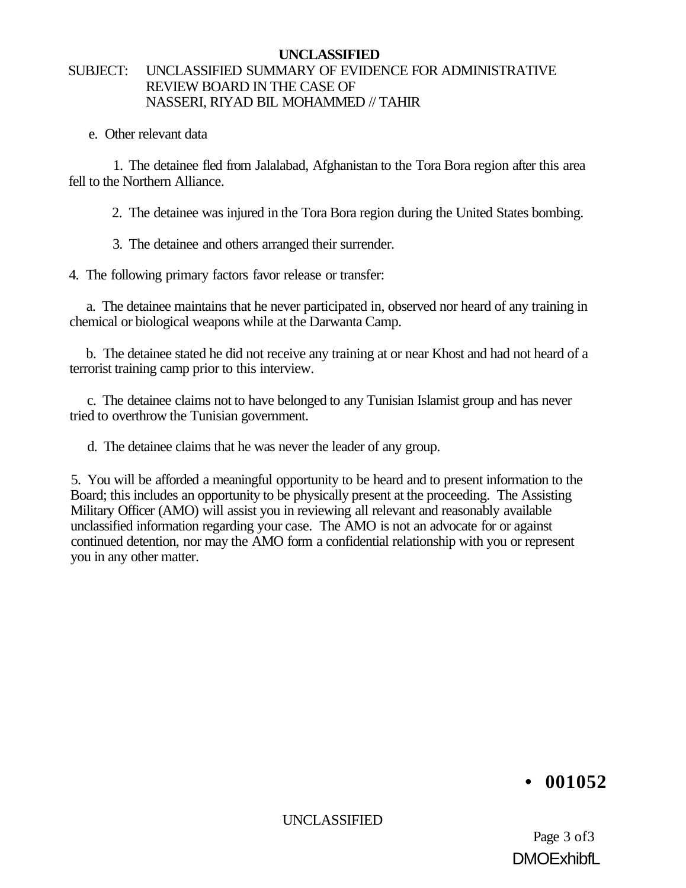### **UNCLASSIFIED**  SUBJECT: UNCLASSIFIED SUMMARY OF EVIDENCE FOR ADMINISTRATIVE REVIEW BOARD IN THE CASE OF NASSERI, RIYAD BIL MOHAMMED // TAHIR

e. Other relevant data

1. The detainee fled from Jalalabad, Afghanistan to the Tora Bora region after this area fell to the Northern Alliance.

2. The detainee was injured in the Tora Bora region during the United States bombing.

3. The detainee and others arranged their surrender.

4. The following primary factors favor release or transfer:

a. The detainee maintains that he never participated in, observed nor heard of any training in chemical or biological weapons while at the Darwanta Camp.

b. The detainee stated he did not receive any training at or near Khost and had not heard of a terrorist training camp prior to this interview.

c. The detainee claims not to have belonged to any Tunisian Islamist group and has never tried to overthrow the Tunisian government.

d. The detainee claims that he was never the leader of any group.

5. You will be afforded a meaningful opportunity to be heard and to present information to the Board; this includes an opportunity to be physically present at the proceeding. The Assisting Military Officer (AMO) will assist you in reviewing all relevant and reasonably available unclassified information regarding your case. The AMO is not an advocate for or against continued detention, nor may the AMO form a confidential relationship with you or represent you in any other matter.

### **• 001052**

UNCLASSIFIED

Page 3 of3 **DMOExhibfl**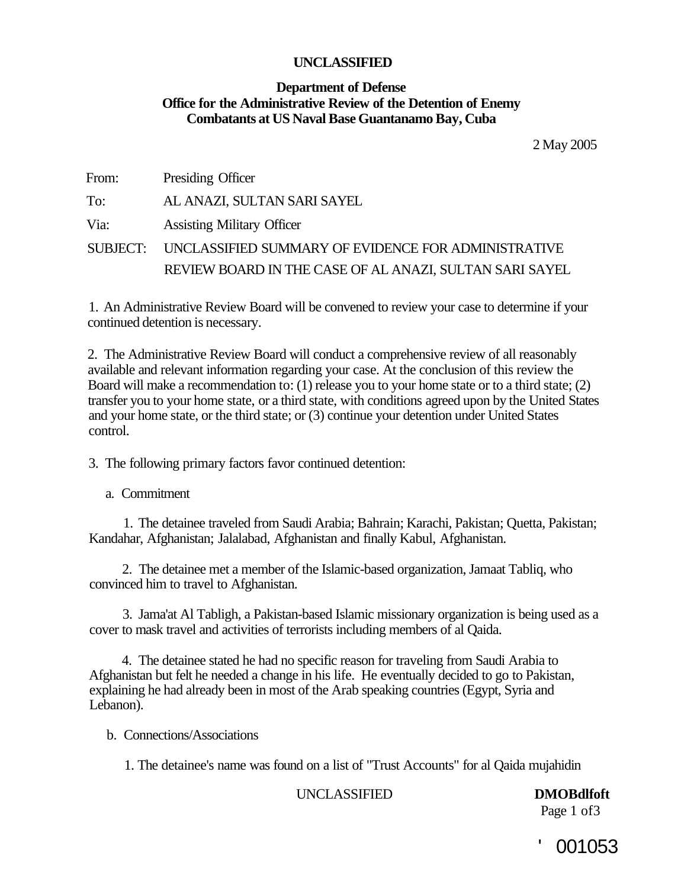### **Department of Defense Office for the Administrative Review of the Detention of Enemy Combatants at US Naval Base Guantanamo Bay, Cuba**

2 May 2005

| From: | Presiding Officer                                            |
|-------|--------------------------------------------------------------|
| To:   | AL ANAZI, SULTAN SARI SAYEL                                  |
| Via:  | <b>Assisting Military Officer</b>                            |
|       | SUBJECT: UNCLASSIFIED SUMMARY OF EVIDENCE FOR ADMINISTRATIVE |
|       | REVIEW BOARD IN THE CASE OF AL ANAZI, SULTAN SARI SAYEL      |

1. An Administrative Review Board will be convened to review your case to determine if your continued detention is necessary.

2. The Administrative Review Board will conduct a comprehensive review of all reasonably available and relevant information regarding your case. At the conclusion of this review the Board will make a recommendation to: (1) release you to your home state or to a third state; (2) transfer you to your home state, or a third state, with conditions agreed upon by the United States and your home state, or the third state; or (3) continue your detention under United States control.

3. The following primary factors favor continued detention:

a. Commitment

1. The detainee traveled from Saudi Arabia; Bahrain; Karachi, Pakistan; Quetta, Pakistan; Kandahar, Afghanistan; Jalalabad, Afghanistan and finally Kabul, Afghanistan.

2. The detainee met a member of the Islamic-based organization, Jamaat Tabliq, who convinced him to travel to Afghanistan.

3. Jama'at Al Tabligh, a Pakistan-based Islamic missionary organization is being used as a cover to mask travel and activities of terrorists including members of al Qaida.

4. The detainee stated he had no specific reason for traveling from Saudi Arabia to Afghanistan but felt he needed a change in his life. He eventually decided to go to Pakistan, explaining he had already been in most of the Arab speaking countries (Egypt, Syria and Lebanon).

b. Connections/Associations

1. The detainee's name was found on a list of "Trust Accounts" for al Qaida mujahidin

### UNCLASSIFIED **DMOBdlfoft**

Page 1 of 3

001053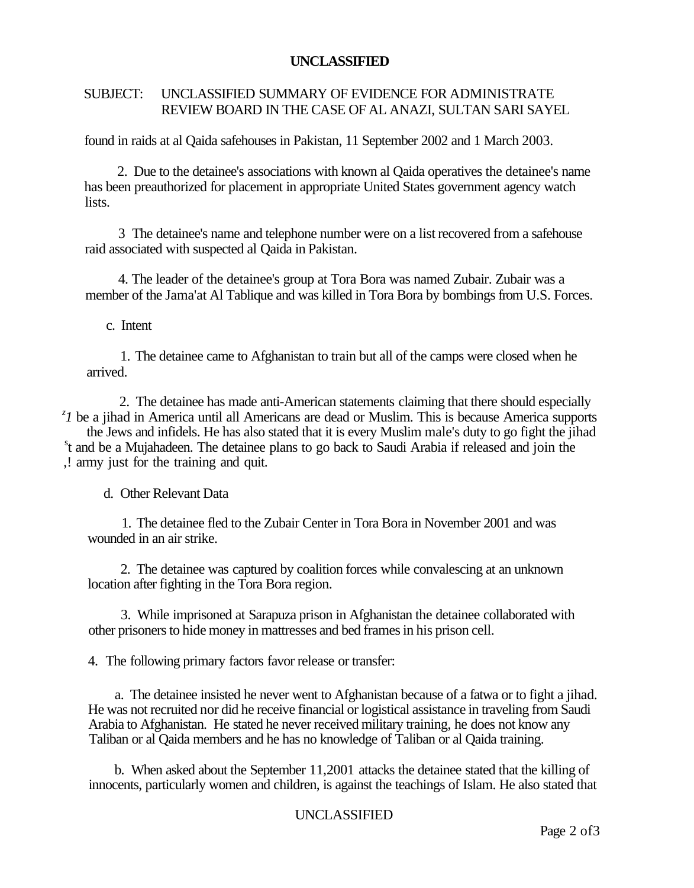### SUBJECT: UNCLASSIFIED SUMMARY OF EVIDENCE FOR ADMINISTRATE REVIEW BOARD IN THE CASE OF AL ANAZI, SULTAN SARI SAYEL

found in raids at al Qaida safehouses in Pakistan, 11 September 2002 and 1 March 2003.

2. Due to the detainee's associations with known al Qaida operatives the detainee's name has been preauthorized for placement in appropriate United States government agency watch lists.

3 The detainee's name and telephone number were on a list recovered from a safehouse raid associated with suspected al Qaida in Pakistan.

4. The leader of the detainee's group at Tora Bora was named Zubair. Zubair was a member of the Jama'at Al Tablique and was killed in Tora Bora by bombings from U.S. Forces.

c. Intent

1. The detainee came to Afghanistan to train but all of the camps were closed when he arrived.

2. The detainee has made anti-American statements claiming that there should especially <sup>z</sup> *I* be a jihad in America until all Americans are dead or Muslim. This is because America supports the Jews and infidels. He has also stated that it is every Muslim male's duty to go fight the jihad s t and be a Mujahadeen. The detainee plans to go back to Saudi Arabia if released and join the ,! army just for the training and quit.

d. Other Relevant Data

1. The detainee fled to the Zubair Center in Tora Bora in November 2001 and was wounded in an air strike.

2. The detainee was captured by coalition forces while convalescing at an unknown location after fighting in the Tora Bora region.

3. While imprisoned at Sarapuza prison in Afghanistan the detainee collaborated with other prisoners to hide money in mattresses and bed frames in his prison cell.

4. The following primary factors favor release or transfer:

a. The detainee insisted he never went to Afghanistan because of a fatwa or to fight a jihad. He was not recruited nor did he receive financial or logistical assistance in traveling from Saudi Arabia to Afghanistan. He stated he never received military training, he does not know any Taliban or al Qaida members and he has no knowledge of Taliban or al Qaida training.

b. When asked about the September 11,2001 attacks the detainee stated that the killing of innocents, particularly women and children, is against the teachings of Islam. He also stated that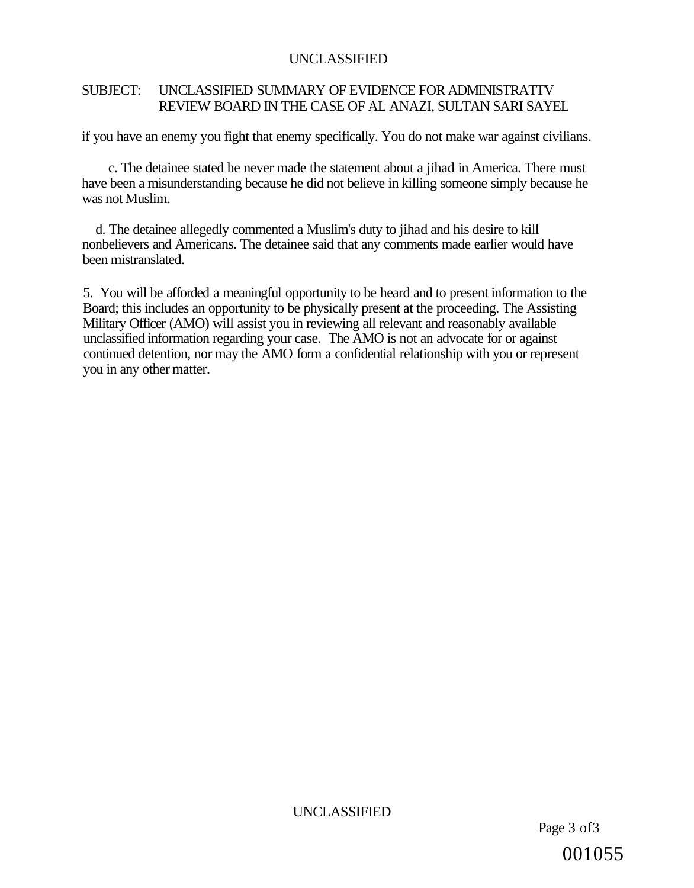### SUBJECT: UNCLASSIFIED SUMMARY OF EVIDENCE FOR ADMINISTRATTV REVIEW BOARD IN THE CASE OF AL ANAZI, SULTAN SARI SAYEL

if you have an enemy you fight that enemy specifically. You do not make war against civilians.

c. The detainee stated he never made the statement about a jihad in America. There must have been a misunderstanding because he did not believe in killing someone simply because he was not Muslim.

d. The detainee allegedly commented a Muslim's duty to jihad and his desire to kill nonbelievers and Americans. The detainee said that any comments made earlier would have been mistranslated.

5. You will be afforded a meaningful opportunity to be heard and to present information to the Board; this includes an opportunity to be physically present at the proceeding. The Assisting Military Officer (AMO) will assist you in reviewing all relevant and reasonably available unclassified information regarding your case. The AMO is not an advocate for or against continued detention, nor may the AMO form a confidential relationship with you or represent you in any other matter.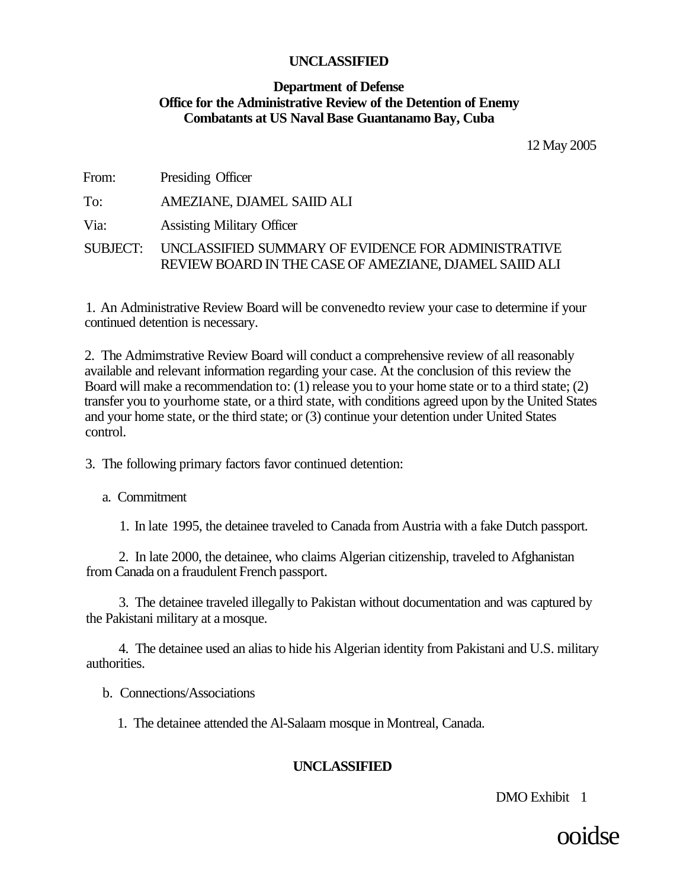### **Department of Defense Office for the Administrative Review of the Detention of Enemy Combatants at US Naval Base Guantanamo Bay, Cuba**

12 May 2005

From: Presiding Officer

To: AMEZIANE, DJAMEL SAIID ALI

Via: Assisting Military Officer

SUBJECT: UNCLASSIFIED SUMMARY OF EVIDENCE FOR ADMINISTRATIVE REVIEW BOARD IN THE CASE OF AMEZIANE, DJAMEL SAIID ALI

1. An Administrative Review Board will be convenedto review your case to determine if your continued detention is necessary.

2. The Admimstrative Review Board will conduct a comprehensive review of all reasonably available and relevant information regarding your case. At the conclusion of this review the Board will make a recommendation to: (1) release you to your home state or to a third state; (2) transfer you to yourhome state, or a third state, with conditions agreed upon by the United States and your home state, or the third state; or (3) continue your detention under United States control.

3. The following primary factors favor continued detention:

a. Commitment

1. In late 1995, the detainee traveled to Canada from Austria with a fake Dutch passport.

2. In late 2000, the detainee, who claims Algerian citizenship, traveled to Afghanistan from Canada on a fraudulent French passport.

3. The detainee traveled illegally to Pakistan without documentation and was captured by the Pakistani military at a mosque.

4. The detainee used an alias to hide his Algerian identity from Pakistani and U.S. military authorities.

b. Connections/Associations

1. The detainee attended the Al-Salaam mosque in Montreal, Canada.

### **UNCLASSIFIED**

DMO Exhibit 1

ooidse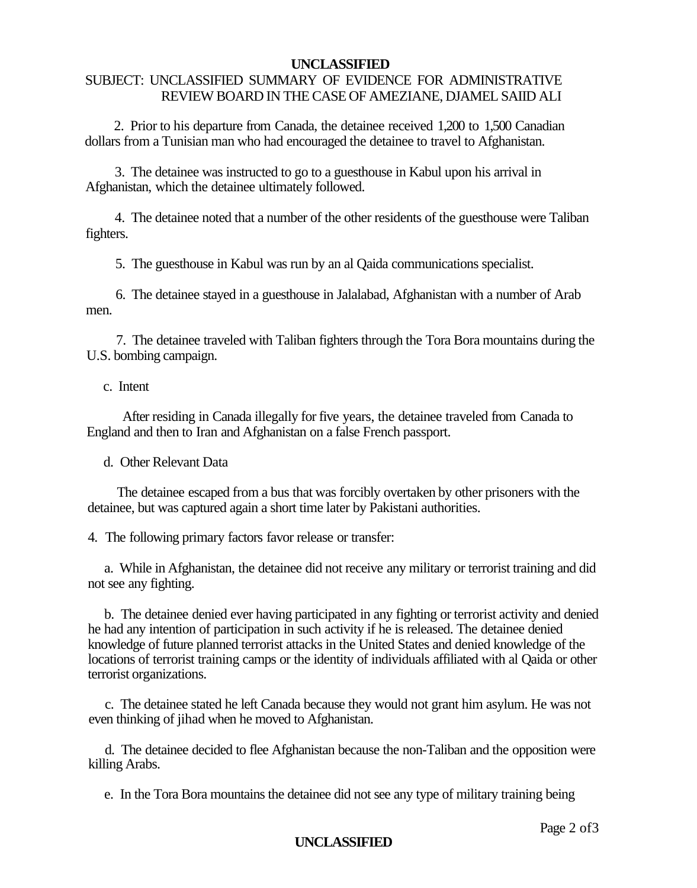### SUBJECT: UNCLASSIFIED SUMMARY OF EVIDENCE FOR ADMINISTRATIVE REVIEW BOARD IN THE CASE OF AMEZIANE, DJAMEL SAIID ALI

2. Prior to his departure from Canada, the detainee received 1,200 to 1,500 Canadian dollars from a Tunisian man who had encouraged the detainee to travel to Afghanistan.

3. The detainee was instructed to go to a guesthouse in Kabul upon his arrival in Afghanistan, which the detainee ultimately followed.

4. The detainee noted that a number of the other residents of the guesthouse were Taliban fighters.

5. The guesthouse in Kabul was run by an al Qaida communications specialist.

6. The detainee stayed in a guesthouse in Jalalabad, Afghanistan with a number of Arab men.

7. The detainee traveled with Taliban fighters through the Tora Bora mountains during the U.S. bombing campaign.

### c. Intent

After residing in Canada illegally for five years, the detainee traveled from Canada to England and then to Iran and Afghanistan on a false French passport.

d. Other Relevant Data

The detainee escaped from a bus that was forcibly overtaken by other prisoners with the detainee, but was captured again a short time later by Pakistani authorities.

4. The following primary factors favor release or transfer:

a. While in Afghanistan, the detainee did not receive any military or terrorist training and did not see any fighting.

b. The detainee denied ever having participated in any fighting or terrorist activity and denied he had any intention of participation in such activity if he is released. The detainee denied knowledge of future planned terrorist attacks in the United States and denied knowledge of the locations of terrorist training camps or the identity of individuals affiliated with al Qaida or other terrorist organizations.

c. The detainee stated he left Canada because they would not grant him asylum. He was not even thinking of jihad when he moved to Afghanistan.

d. The detainee decided to flee Afghanistan because the non-Taliban and the opposition were killing Arabs.

e. In the Tora Bora mountains the detainee did not see any type of military training being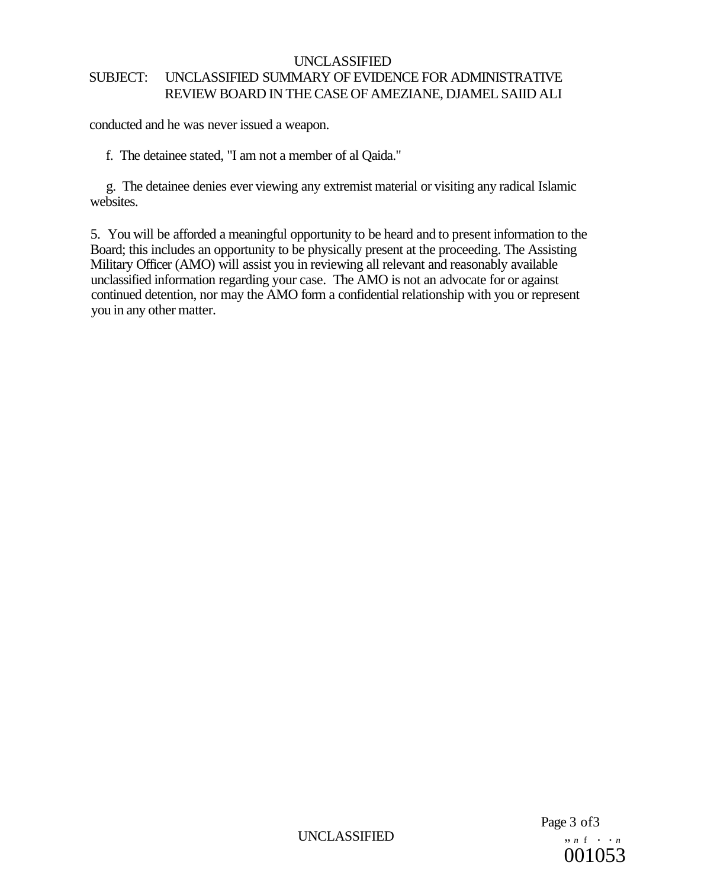### UNCLASSIFIED SUBJECT: UNCLASSIFIED SUMMARY OF EVIDENCE FOR ADMINISTRATIVE REVIEW BOARD IN THE CASE OF AMEZIANE, DJAMEL SAIID ALI

conducted and he was never issued a weapon.

f. The detainee stated, "I am not a member of al Qaida."

g. The detainee denies ever viewing any extremist material or visiting any radical Islamic websites.

5. You will be afforded a meaningful opportunity to be heard and to present information to the Board; this includes an opportunity to be physically present at the proceeding. The Assisting Military Officer (AMO) will assist you in reviewing all relevant and reasonably available unclassified information regarding your case. The AMO is not an advocate for or against continued detention, nor may the AMO form a confidential relationship with you or represent you in any other matter.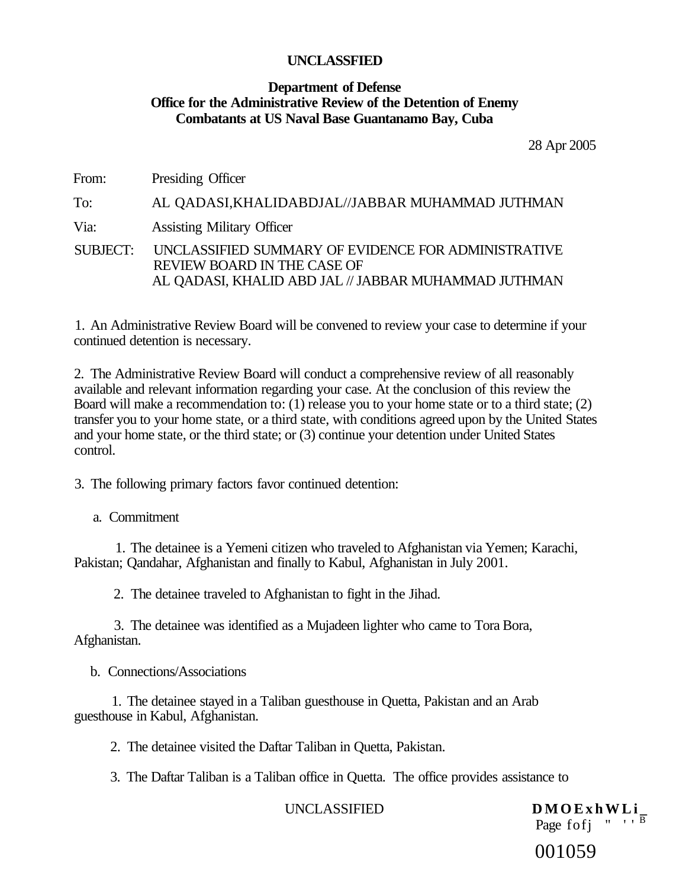### **Department of Defense Office for the Administrative Review of the Detention of Enemy Combatants at US Naval Base Guantanamo Bay, Cuba**

28 Apr 2005

From: Presiding Officer

To: AL QADASI,KHALIDABDJAL//JABBAR MUHAMMAD JUTHMAN Via: Assisting Military Officer SUBJECT: UNCLASSIFIED SUMMARY OF EVIDENCE FOR ADMINISTRATIVE REVIEW BOARD IN THE CASE OF AL QADASI, KHALID ABD JAL // JABBAR MUHAMMAD JUTHMAN

1. An Administrative Review Board will be convened to review your case to determine if your continued detention is necessary.

2. The Administrative Review Board will conduct a comprehensive review of all reasonably available and relevant information regarding your case. At the conclusion of this review the Board will make a recommendation to: (1) release you to your home state or to a third state; (2) transfer you to your home state, or a third state, with conditions agreed upon by the United States and your home state, or the third state; or (3) continue your detention under United States control.

3. The following primary factors favor continued detention:

a. Commitment

1. The detainee is a Yemeni citizen who traveled to Afghanistan via Yemen; Karachi, Pakistan; Qandahar, Afghanistan and finally to Kabul, Afghanistan in July 2001.

2. The detainee traveled to Afghanistan to fight in the Jihad.

3. The detainee was identified as a Mujadeen lighter who came to Tora Bora, Afghanistan.

b. Connections/Associations

1. The detainee stayed in a Taliban guesthouse in Quetta, Pakistan and an Arab guesthouse in Kabul, Afghanistan.

2. The detainee visited the Daftar Taliban in Quetta, Pakistan.

3. The Daftar Taliban is a Taliban office in Quetta. The office provides assistance to

UNCLASSIFIED **DMOExhWLi** 

Page fofj  $\overline{ }$  "  $\overline{ }$ "

001059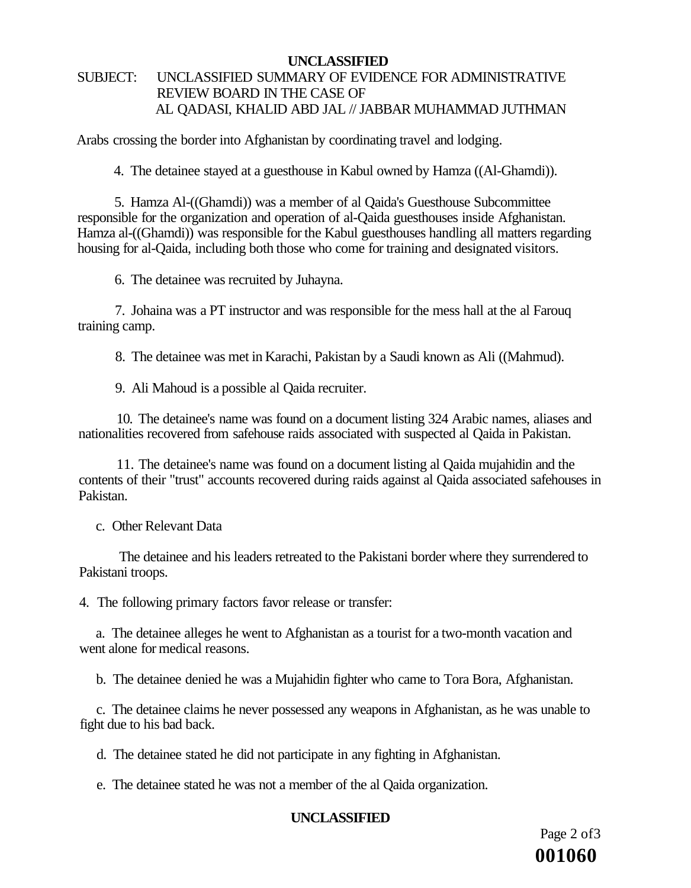### SUBJECT: UNCLASSIFIED SUMMARY OF EVIDENCE FOR ADMINISTRATIVE REVIEW BOARD IN THE CASE OF AL QADASI, KHALID ABD JAL // JABBAR MUHAMMAD JUTHMAN

Arabs crossing the border into Afghanistan by coordinating travel and lodging.

4. The detainee stayed at a guesthouse in Kabul owned by Hamza ((Al-Ghamdi)).

5. Hamza Al-((Ghamdi)) was a member of al Qaida's Guesthouse Subcommittee responsible for the organization and operation of al-Qaida guesthouses inside Afghanistan. Hamza al-((Ghamdi)) was responsible for the Kabul guesthouses handling all matters regarding housing for al-Qaida, including both those who come for training and designated visitors.

6. The detainee was recruited by Juhayna.

7. Johaina was a PT instructor and was responsible for the mess hall at the al Farouq training camp.

8. The detainee was met in Karachi, Pakistan by a Saudi known as Ali ((Mahmud).

9. Ali Mahoud is a possible al Qaida recruiter.

10. The detainee's name was found on a document listing 324 Arabic names, aliases and nationalities recovered from safehouse raids associated with suspected al Qaida in Pakistan.

11. The detainee's name was found on a document listing al Qaida mujahidin and the contents of their "trust" accounts recovered during raids against al Qaida associated safehouses in Pakistan.

c. Other Relevant Data

The detainee and his leaders retreated to the Pakistani border where they surrendered to Pakistani troops.

4. The following primary factors favor release or transfer:

a. The detainee alleges he went to Afghanistan as a tourist for a two-month vacation and went alone for medical reasons.

b. The detainee denied he was a Mujahidin fighter who came to Tora Bora, Afghanistan.

c. The detainee claims he never possessed any weapons in Afghanistan, as he was unable to fight due to his bad back.

d. The detainee stated he did not participate in any fighting in Afghanistan.

e. The detainee stated he was not a member of the al Qaida organization.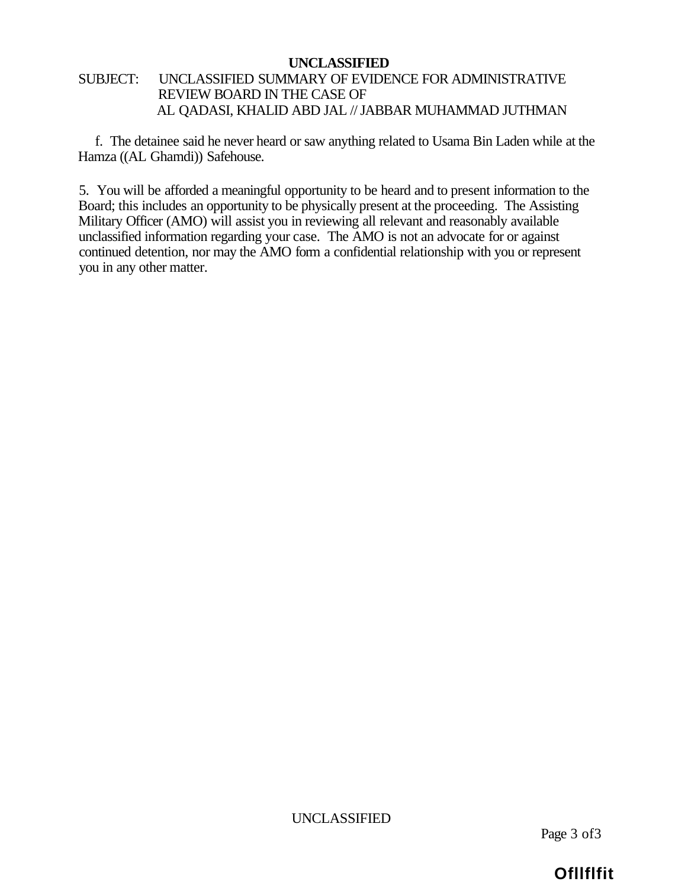### SUBJECT: UNCLASSIFIED SUMMARY OF EVIDENCE FOR ADMINISTRATIVE REVIEW BOARD IN THE CASE OF AL QADASI, KHALID ABD JAL // JABBAR MUHAMMAD JUTHMAN

f. The detainee said he never heard or saw anything related to Usama Bin Laden while at the Hamza ((AL Ghamdi)) Safehouse.

5. You will be afforded a meaningful opportunity to be heard and to present information to the Board; this includes an opportunity to be physically present at the proceeding. The Assisting Military Officer (AMO) will assist you in reviewing all relevant and reasonably available unclassified information regarding your case. The AMO is not an advocate for or against continued detention, nor may the AMO form a confidential relationship with you or represent you in any other matter.

UNCLASSIFIED

Page 3 of3

### **Ofllflfit**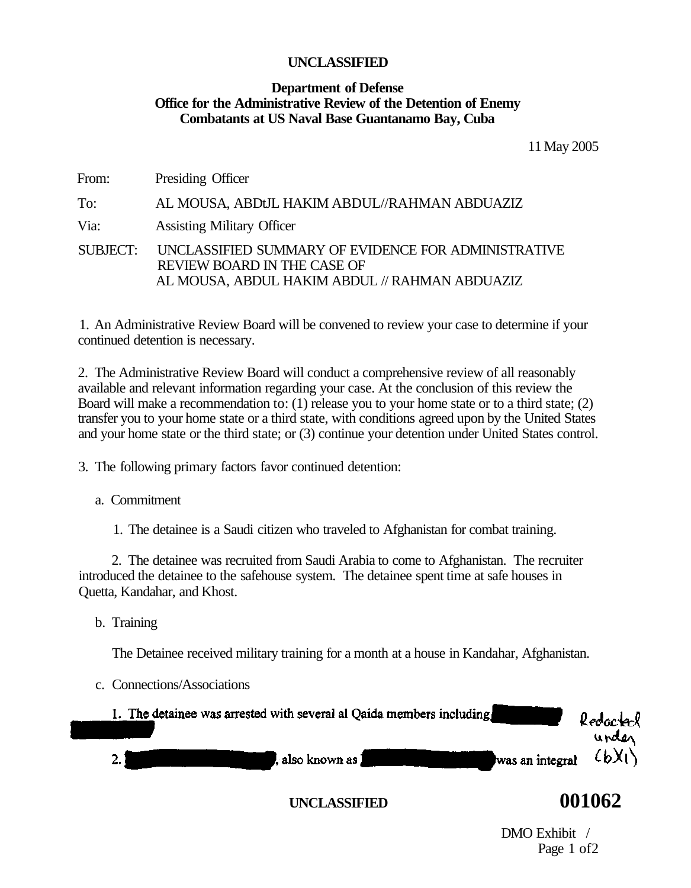### **Department of Defense Office for the Administrative Review of the Detention of Enemy Combatants at US Naval Base Guantanamo Bay, Cuba**

11 May 2005

From: Presiding Officer

To: AL MOUSA, ABDtJL HAKIM ABDUL//RAHMAN ABDUAZIZ Via: Assisting Military Officer SUBJECT: UNCLASSIFIED SUMMARY OF EVIDENCE FOR ADMINISTRATIVE REVIEW BOARD IN THE CASE OF AL MOUSA, ABDUL HAKIM ABDUL // RAHMAN ABDUAZIZ

1. An Administrative Review Board will be convened to review your case to determine if your continued detention is necessary.

2. The Administrative Review Board will conduct a comprehensive review of all reasonably available and relevant information regarding your case. At the conclusion of this review the Board will make a recommendation to: (1) release you to your home state or to a third state; (2) transfer you to your home state or a third state, with conditions agreed upon by the United States and your home state or the third state; or (3) continue your detention under United States control.

3. The following primary factors favor continued detention:

a. Commitment

1. The detainee is a Saudi citizen who traveled to Afghanistan for combat training.

2. The detainee was recruited from Saudi Arabia to come to Afghanistan. The recruiter introduced the detainee to the safehouse system. The detainee spent time at safe houses in Quetta, Kandahar, and Khost.

b. Training

The Detainee received military training for a month at a house in Kandahar, Afghanistan.

c. Connections/Associations

| 1. The detainee was arrested with several al Qaida members including | Redacted<br>urder |
|----------------------------------------------------------------------|-------------------|
| was an integral $(b)$<br>, also known as J                           |                   |

### **UNCLASSIFIED 001062**

DMO Exhibit / Page 1 of2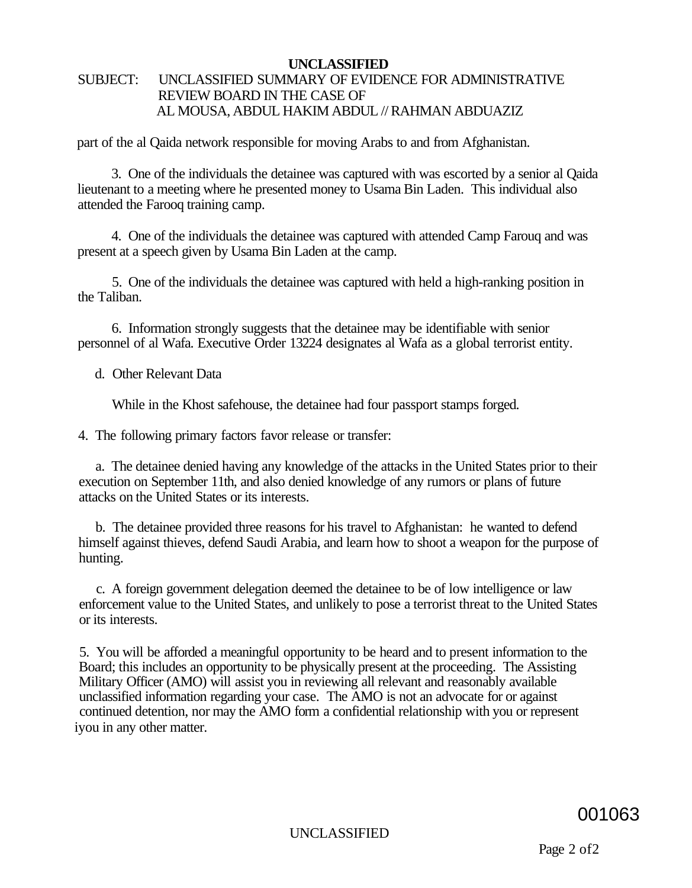### SUBJECT: UNCLASSIFIED SUMMARY OF EVIDENCE FOR ADMINISTRATIVE REVIEW BOARD IN THE CASE OF AL MOUSA, ABDUL HAKIM ABDUL // RAHMAN ABDUAZIZ

part of the al Qaida network responsible for moving Arabs to and from Afghanistan.

3. One of the individuals the detainee was captured with was escorted by a senior al Qaida lieutenant to a meeting where he presented money to Usama Bin Laden. This individual also attended the Farooq training camp.

4. One of the individuals the detainee was captured with attended Camp Farouq and was present at a speech given by Usama Bin Laden at the camp.

5. One of the individuals the detainee was captured with held a high-ranking position in the Taliban.

6. Information strongly suggests that the detainee may be identifiable with senior personnel of al Wafa. Executive Order 13224 designates al Wafa as a global terrorist entity.

d. Other Relevant Data

While in the Khost safehouse, the detainee had four passport stamps forged.

4. The following primary factors favor release or transfer:

a. The detainee denied having any knowledge of the attacks in the United States prior to their execution on September 11th, and also denied knowledge of any rumors or plans of future attacks on the United States or its interests.

b. The detainee provided three reasons for his travel to Afghanistan: he wanted to defend himself against thieves, defend Saudi Arabia, and learn how to shoot a weapon for the purpose of hunting.

c. A foreign government delegation deemed the detainee to be of low intelligence or law enforcement value to the United States, and unlikely to pose a terrorist threat to the United States or its interests.

5. You will be afforded a meaningful opportunity to be heard and to present information to the Board; this includes an opportunity to be physically present at the proceeding. The Assisting Military Officer (AMO) will assist you in reviewing all relevant and reasonably available unclassified information regarding your case. The AMO is not an advocate for or against continued detention, nor may the AMO form a confidential relationship with you or represent iyou in any other matter.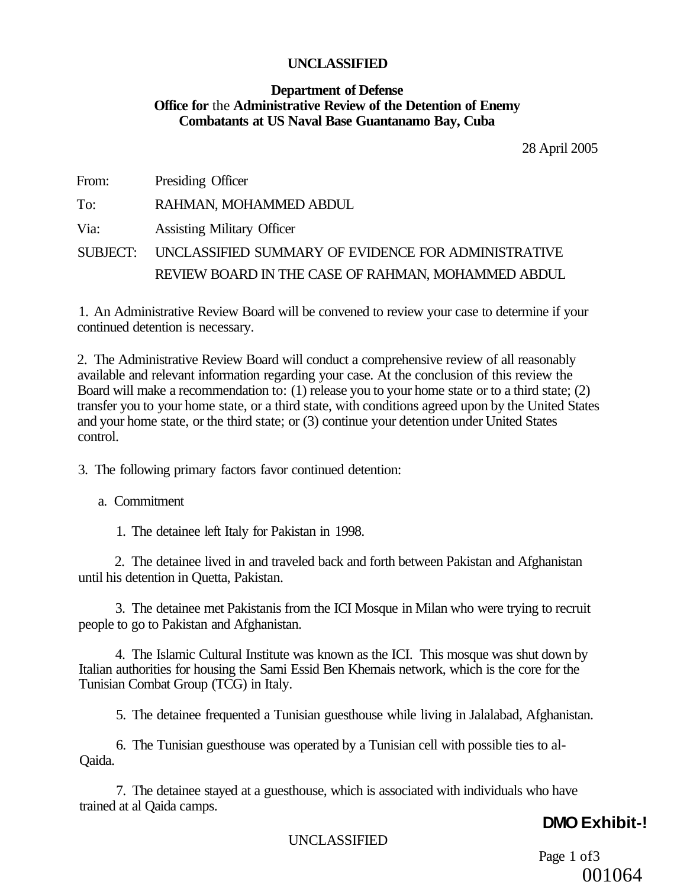### **Department of Defense Office for** the **Administrative Review of the Detention of Enemy Combatants at US Naval Base Guantanamo Bay, Cuba**

28 April 2005

| From: | Presiding Officer                                            |
|-------|--------------------------------------------------------------|
| To:   | RAHMAN, MOHAMMED ABDUL                                       |
| Via:  | <b>Assisting Military Officer</b>                            |
|       | SUBJECT: UNCLASSIFIED SUMMARY OF EVIDENCE FOR ADMINISTRATIVE |
|       | REVIEW BOARD IN THE CASE OF RAHMAN, MOHAMMED ABDUL           |

1. An Administrative Review Board will be convened to review your case to determine if your continued detention is necessary.

2. The Administrative Review Board will conduct a comprehensive review of all reasonably available and relevant information regarding your case. At the conclusion of this review the Board will make a recommendation to: (1) release you to your home state or to a third state; (2) transfer you to your home state, or a third state, with conditions agreed upon by the United States and your home state, or the third state; or (3) continue your detention under United States control.

3. The following primary factors favor continued detention:

a. Commitment

1. The detainee left Italy for Pakistan in 1998.

2. The detainee lived in and traveled back and forth between Pakistan and Afghanistan until his detention in Quetta, Pakistan.

3. The detainee met Pakistanis from the ICI Mosque in Milan who were trying to recruit people to go to Pakistan and Afghanistan.

4. The Islamic Cultural Institute was known as the ICI. This mosque was shut down by Italian authorities for housing the Sami Essid Ben Khemais network, which is the core for the Tunisian Combat Group (TCG) in Italy.

5. The detainee frequented a Tunisian guesthouse while living in Jalalabad, Afghanistan.

6. The Tunisian guesthouse was operated by a Tunisian cell with possible ties to al-Qaida.

7. The detainee stayed at a guesthouse, which is associated with individuals who have trained at al Qaida camps.

### **DMO Exhibit-!**

UNCLASSIFIED

Page 1 of 3 001064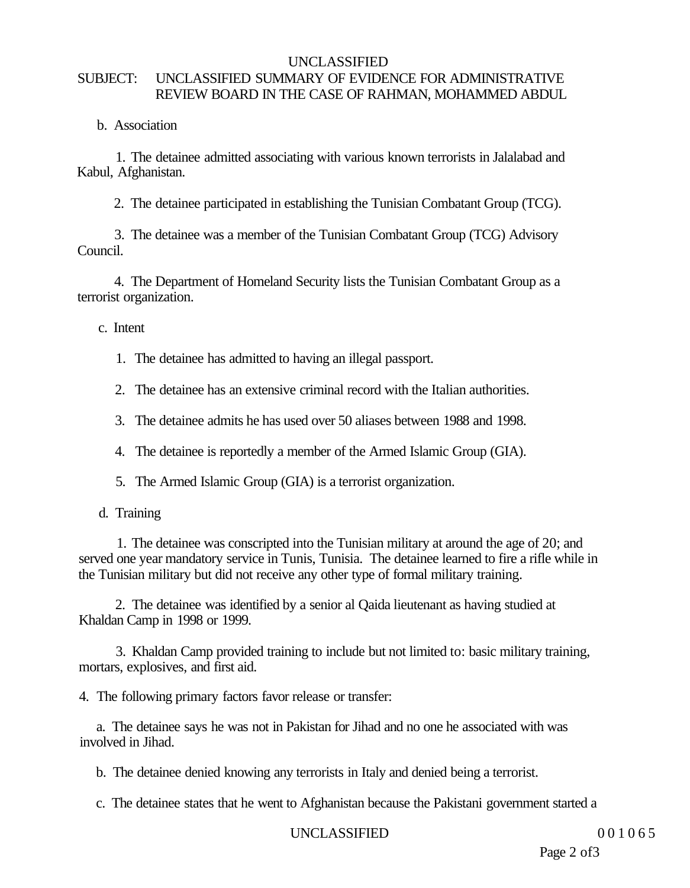### UNCLASSIFIED SUBJECT: UNCLASSIFIED SUMMARY OF EVIDENCE FOR ADMINISTRATIVE REVIEW BOARD IN THE CASE OF RAHMAN, MOHAMMED ABDUL

b. Association

1. The detainee admitted associating with various known terrorists in Jalalabad and Kabul, Afghanistan.

2. The detainee participated in establishing the Tunisian Combatant Group (TCG).

3. The detainee was a member of the Tunisian Combatant Group (TCG) Advisory Council.

4. The Department of Homeland Security lists the Tunisian Combatant Group as a terrorist organization.

c. Intent

- 1. The detainee has admitted to having an illegal passport.
- 2. The detainee has an extensive criminal record with the Italian authorities.
- 3. The detainee admits he has used over 50 aliases between 1988 and 1998.
- 4. The detainee is reportedly a member of the Armed Islamic Group (GIA).
- 5. The Armed Islamic Group (GIA) is a terrorist organization.
- d. Training

1. The detainee was conscripted into the Tunisian military at around the age of 20; and served one year mandatory service in Tunis, Tunisia. The detainee learned to fire a rifle while in the Tunisian military but did not receive any other type of formal military training.

2. The detainee was identified by a senior al Qaida lieutenant as having studied at Khaldan Camp in 1998 or 1999.

3. Khaldan Camp provided training to include but not limited to: basic military training, mortars, explosives, and first aid.

4. The following primary factors favor release or transfer:

a. The detainee says he was not in Pakistan for Jihad and no one he associated with was involved in Jihad.

b. The detainee denied knowing any terrorists in Italy and denied being a terrorist.

c. The detainee states that he went to Afghanistan because the Pakistani government started a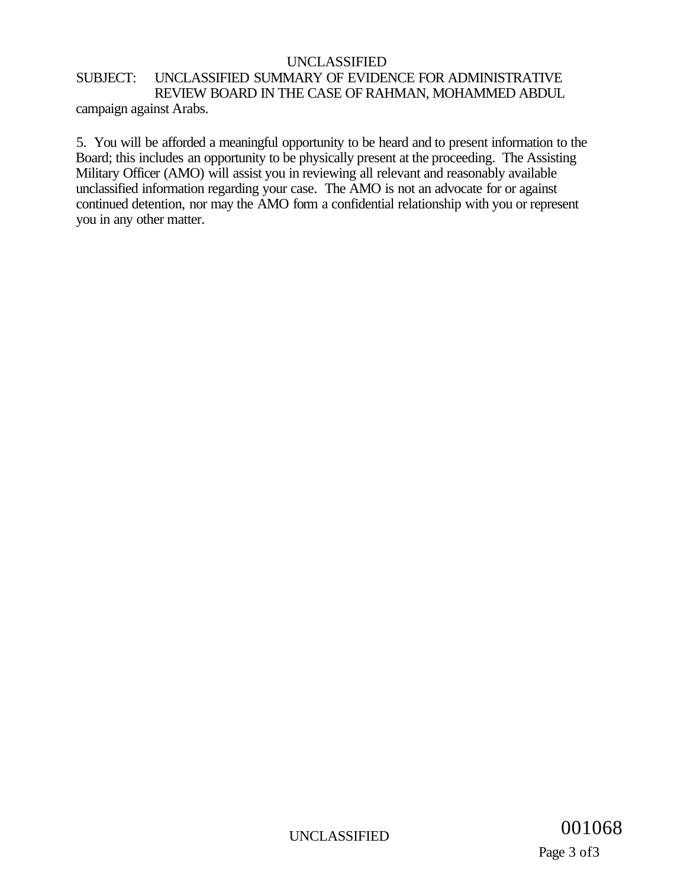### SUBJECT: UNCLASSIFIED SUMMARY OF EVIDENCE FOR ADMINISTRATIVE REVIEW BOARD IN THE CASE OF RAHMAN, MOHAMMED ABDUL campaign against Arabs.

5. You will be afforded a meaningful opportunity to be heard and to present information to the Board; this includes an opportunity to be physically present at the proceeding. The Assisting Military Officer (AMO) will assist you in reviewing all relevant and reasonably available unclassified information regarding your case. The AMO is not an advocate for or against continued detention, nor may the AMO form a confidential relationship with you or represent you in any other matter.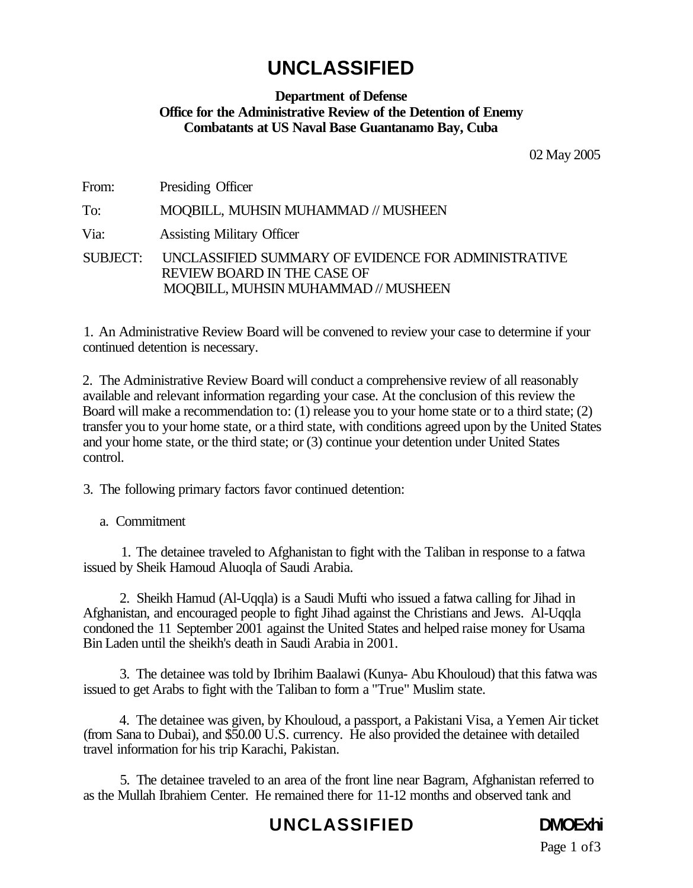### **Department of Defense Office for the Administrative Review of the Detention of Enemy Combatants at US Naval Base Guantanamo Bay, Cuba**

02 May 2005

| From: | Presiding Officer                                                                                                                         |
|-------|-------------------------------------------------------------------------------------------------------------------------------------------|
| To:   | MOOBILL, MUHSIN MUHAMMAD // MUSHEEN                                                                                                       |
| Via:  | <b>Assisting Military Officer</b>                                                                                                         |
|       | SUBJECT: UNCLASSIFIED SUMMARY OF EVIDENCE FOR ADMINISTRATIVE<br><b>REVIEW BOARD IN THE CASE OF</b><br>MOQBILL, MUHSIN MUHAMMAD // MUSHEEN |

1. An Administrative Review Board will be convened to review your case to determine if your continued detention is necessary.

2. The Administrative Review Board will conduct a comprehensive review of all reasonably available and relevant information regarding your case. At the conclusion of this review the Board will make a recommendation to: (1) release you to your home state or to a third state; (2) transfer you to your home state, or a third state, with conditions agreed upon by the United States and your home state, or the third state; or (3) continue your detention under United States control.

3. The following primary factors favor continued detention:

a. Commitment

1. The detainee traveled to Afghanistan to fight with the Taliban in response to a fatwa issued by Sheik Hamoud Aluoqla of Saudi Arabia.

2. Sheikh Hamud (Al-Uqqla) is a Saudi Mufti who issued a fatwa calling for Jihad in Afghanistan, and encouraged people to fight Jihad against the Christians and Jews. Al-Uqqla condoned the 11 September 2001 against the United States and helped raise money for Usama Bin Laden until the sheikh's death in Saudi Arabia in 2001.

3. The detainee was told by Ibrihim Baalawi (Kunya- Abu Khouloud) that this fatwa was issued to get Arabs to fight with the Taliban to form a "True" Muslim state.

4. The detainee was given, by Khouloud, a passport, a Pakistani Visa, a Yemen Air ticket (from Sana to Dubai), and \$50.00 U.S. currency. He also provided the detainee with detailed travel information for his trip Karachi, Pakistan.

5. The detainee traveled to an area of the front line near Bagram, Afghanistan referred to as the Mullah Ibrahiem Center. He remained there for 11-12 months and observed tank and

## **UNCLASSIFIED DMOExhi**



Page 1 of 3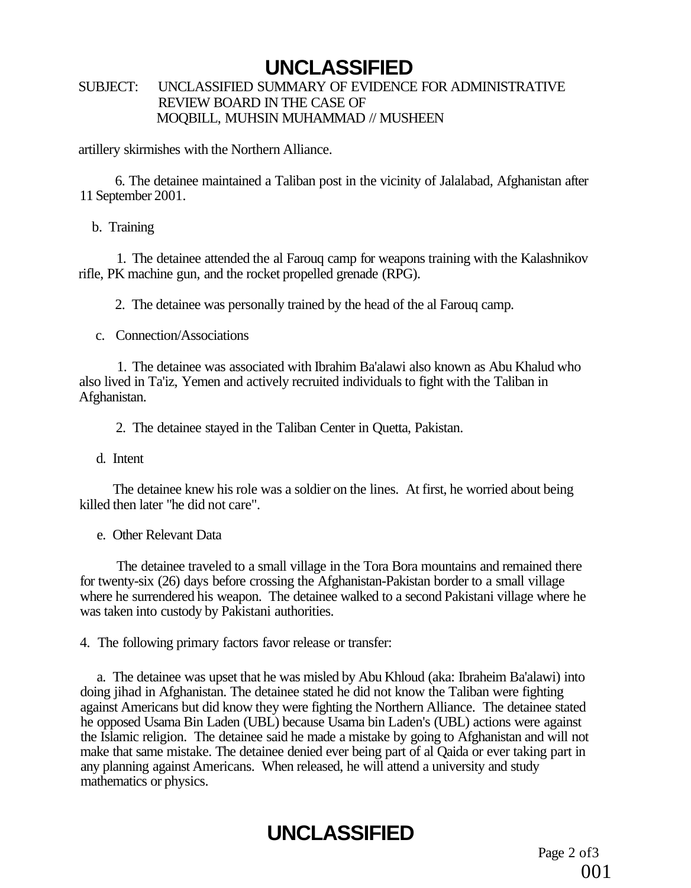### SUBJECT: UNCLASSIFIED SUMMARY OF EVIDENCE FOR ADMINISTRATIVE REVIEW BOARD IN THE CASE OF MOQBILL, MUHSIN MUHAMMAD // MUSHEEN

artillery skirmishes with the Northern Alliance.

6. The detainee maintained a Taliban post in the vicinity of Jalalabad, Afghanistan after 11 September 2001.

b. Training

1. The detainee attended the al Farouq camp for weapons training with the Kalashnikov rifle, PK machine gun, and the rocket propelled grenade (RPG).

2. The detainee was personally trained by the head of the al Farouq camp.

c. Connection/Associations

1. The detainee was associated with Ibrahim Ba'alawi also known as Abu Khalud who also lived in Ta'iz, Yemen and actively recruited individuals to fight with the Taliban in Afghanistan.

2. The detainee stayed in the Taliban Center in Quetta, Pakistan.

d. Intent

The detainee knew his role was a soldier on the lines. At first, he worried about being killed then later "he did not care".

e. Other Relevant Data

The detainee traveled to a small village in the Tora Bora mountains and remained there for twenty-six (26) days before crossing the Afghanistan-Pakistan border to a small village where he surrendered his weapon. The detainee walked to a second Pakistani village where he was taken into custody by Pakistani authorities.

4. The following primary factors favor release or transfer:

a. The detainee was upset that he was misled by Abu Khloud (aka: Ibraheim Ba'alawi) into doing jihad in Afghanistan. The detainee stated he did not know the Taliban were fighting against Americans but did know they were fighting the Northern Alliance. The detainee stated he opposed Usama Bin Laden (UBL) because Usama bin Laden's (UBL) actions were against the Islamic religion. The detainee said he made a mistake by going to Afghanistan and will not make that same mistake. The detainee denied ever being part of al Qaida or ever taking part in any planning against Americans. When released, he will attend a university and study mathematics or physics.

# **UNCLASSIFIED**

Page 2 of 3 001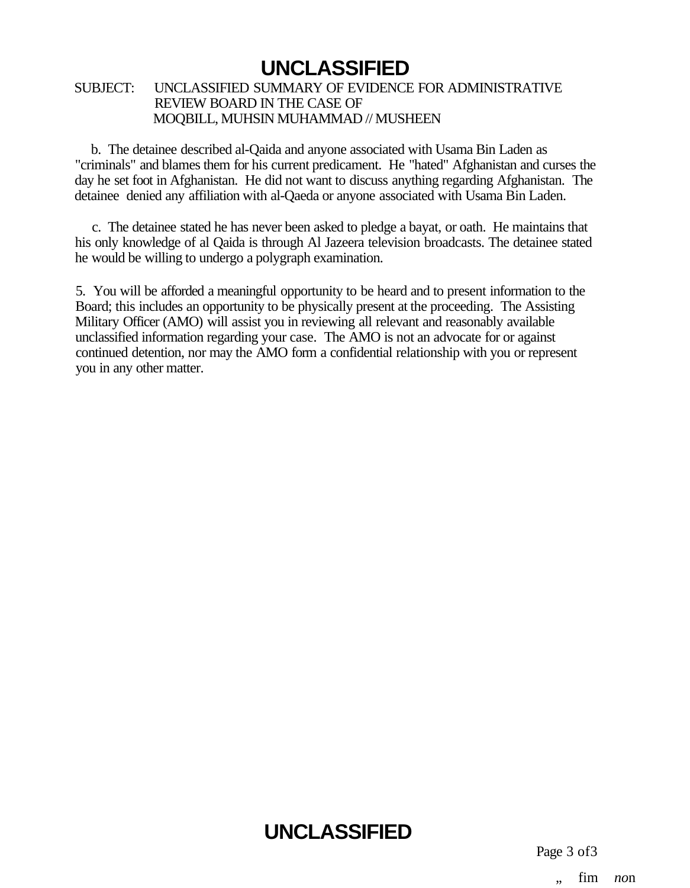### SUBJECT: UNCLASSIFIED SUMMARY OF EVIDENCE FOR ADMINISTRATIVE REVIEW BOARD IN THE CASE OF MOQBILL, MUHSIN MUHAMMAD // MUSHEEN

b. The detainee described al-Qaida and anyone associated with Usama Bin Laden as "criminals" and blames them for his current predicament. He "hated" Afghanistan and curses the day he set foot in Afghanistan. He did not want to discuss anything regarding Afghanistan. The detainee denied any affiliation with al-Qaeda or anyone associated with Usama Bin Laden.

c. The detainee stated he has never been asked to pledge a bayat, or oath. He maintains that his only knowledge of al Qaida is through Al Jazeera television broadcasts. The detainee stated he would be willing to undergo a polygraph examination.

5. You will be afforded a meaningful opportunity to be heard and to present information to the Board; this includes an opportunity to be physically present at the proceeding. The Assisting Military Officer (AMO) will assist you in reviewing all relevant and reasonably available unclassified information regarding your case. The AMO is not an advocate for or against continued detention, nor may the AMO form a confidential relationship with you or represent you in any other matter.

# **UNCLASSIFIED**

Page 3 of3

fim *no*n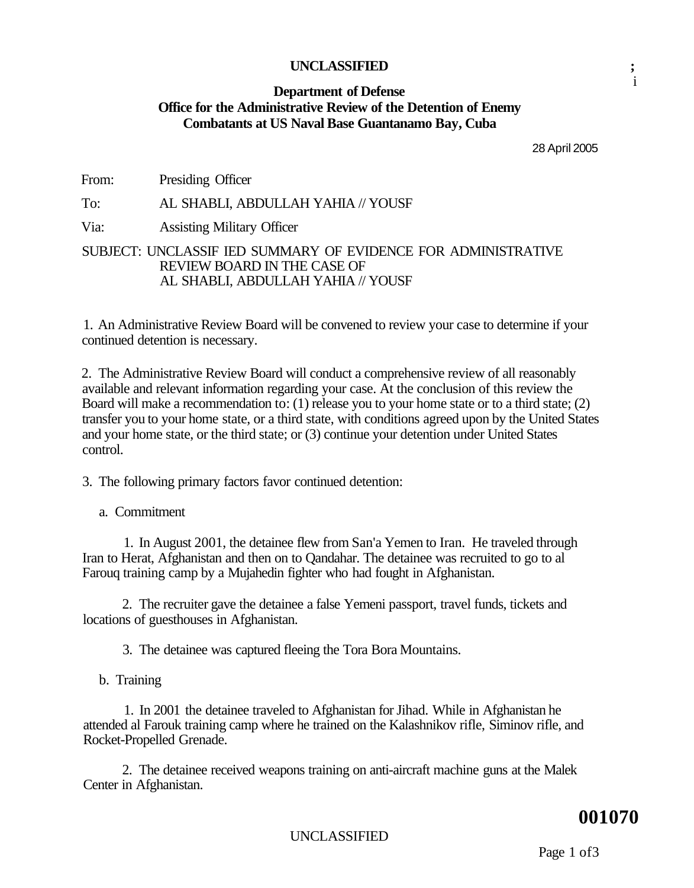### **Department of Defense Office for the Administrative Review of the Detention of Enemy Combatants at US Naval Base Guantanamo Bay, Cuba**

28 April 2005

i

From: Presiding Officer

To: AL SHABLI, ABDULLAH YAHIA // YOUSF

Via: Assisting Military Officer

### SUBJECT: UNCLASSIF IED SUMMARY OF EVIDENCE FOR ADMINISTRATIVE REVIEW BOARD IN THE CASE OF AL SHABLI, ABDULLAH YAHIA // YOUSF

1. An Administrative Review Board will be convened to review your case to determine if your continued detention is necessary.

2. The Administrative Review Board will conduct a comprehensive review of all reasonably available and relevant information regarding your case. At the conclusion of this review the Board will make a recommendation to: (1) release you to your home state or to a third state; (2) transfer you to your home state, or a third state, with conditions agreed upon by the United States and your home state, or the third state; or (3) continue your detention under United States control.

3. The following primary factors favor continued detention:

a. Commitment

1. In August 2001, the detainee flew from San'a Yemen to Iran. He traveled through Iran to Herat, Afghanistan and then on to Qandahar. The detainee was recruited to go to al Farouq training camp by a Mujahedin fighter who had fought in Afghanistan.

2. The recruiter gave the detainee a false Yemeni passport, travel funds, tickets and locations of guesthouses in Afghanistan.

3. The detainee was captured fleeing the Tora Bora Mountains.

b. Training

1. In 2001 the detainee traveled to Afghanistan for Jihad. While in Afghanistan he attended al Farouk training camp where he trained on the Kalashnikov rifle, Siminov rifle, and Rocket-Propelled Grenade.

2. The detainee received weapons training on anti-aircraft machine guns at the Malek Center in Afghanistan.

### **001070**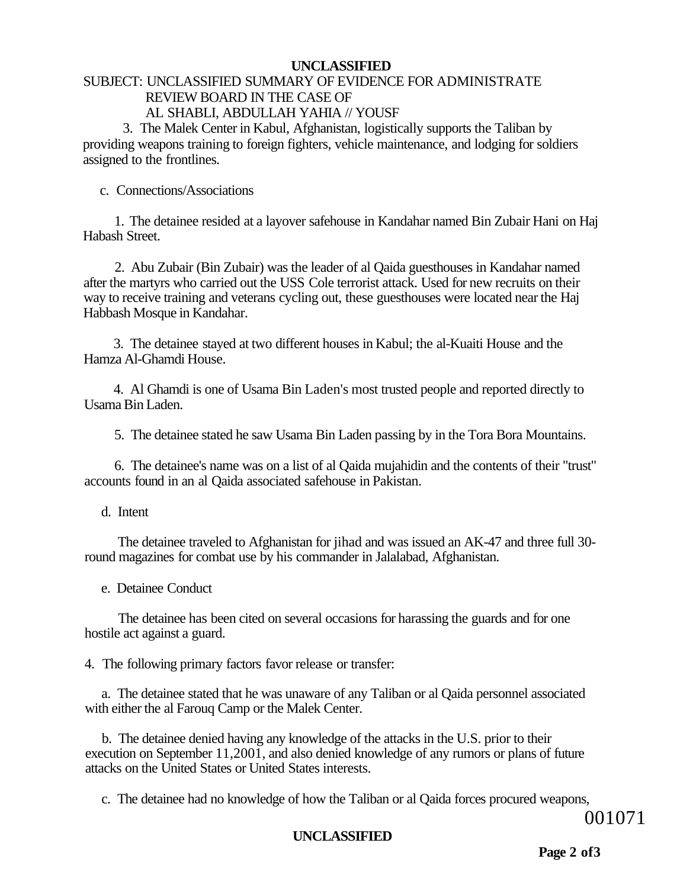### SUBJECT: UNCLASSIFIED SUMMARY OF EVIDENCE FOR ADMINISTRATE REVIEW BOARD IN THE CASE OF AL SHABLI, ABDULLAH YAHIA // YOUSF

3. The Malek Center in Kabul, Afghanistan, logistically supports the Taliban by providing weapons training to foreign fighters, vehicle maintenance, and lodging for soldiers assigned to the frontlines.

c. Connections/Associations

1. The detainee resided at a layover safehouse in Kandahar named Bin Zubair Hani on Haj Habash Street.

2. Abu Zubair (Bin Zubair) was the leader of al Qaida guesthouses in Kandahar named after the martyrs who carried out the USS Cole terrorist attack. Used for new recruits on their way to receive training and veterans cycling out, these guesthouses were located near the Haj Habbash Mosque in Kandahar.

3. The detainee stayed at two different houses in Kabul; the al-Kuaiti House and the Hamza Al-Ghamdi House.

4. Al Ghamdi is one of Usama Bin Laden's most trusted people and reported directly to Usama Bin Laden.

5. The detainee stated he saw Usama Bin Laden passing by in the Tora Bora Mountains.

6. The detainee's name was on a list of al Qaida mujahidin and the contents of their "trust" accounts found in an al Qaida associated safehouse in Pakistan.

d. Intent

The detainee traveled to Afghanistan for jihad and was issued an AK-47 and three full 30 round magazines for combat use by his commander in Jalalabad, Afghanistan.

e. Detainee Conduct

The detainee has been cited on several occasions for harassing the guards and for one hostile act against a guard.

4. The following primary factors favor release or transfer:

a. The detainee stated that he was unaware of any Taliban or al Qaida personnel associated with either the al Farouq Camp or the Malek Center.

b. The detainee denied having any knowledge of the attacks in the U.S. prior to their execution on September 11,2001, and also denied knowledge of any rumors or plans of future attacks on the United States or United States interests.

c. The detainee had no knowledge of how the Taliban or al Qaida forces procured weapons,

001071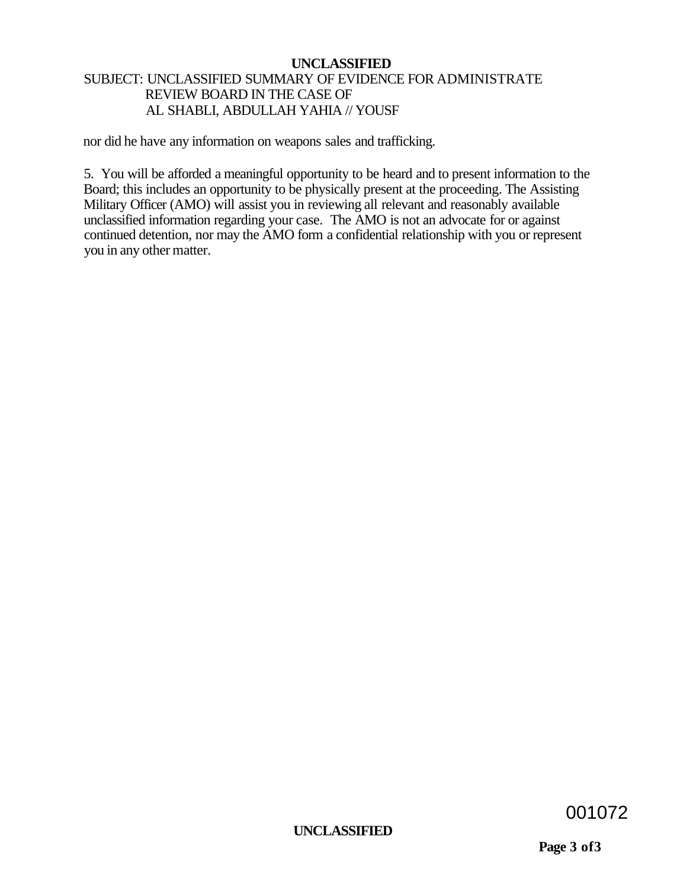### SUBJECT: UNCLASSIFIED SUMMARY OF EVIDENCE FOR ADMINISTRATE REVIEW BOARD IN THE CASE OF AL SHABLI, ABDULLAH YAHIA // YOUSF

nor did he have any information on weapons sales and trafficking.

5. You will be afforded a meaningful opportunity to be heard and to present information to the Board; this includes an opportunity to be physically present at the proceeding. The Assisting Military Officer (AMO) will assist you in reviewing all relevant and reasonably available unclassified information regarding your case. The AMO is not an advocate for or against continued detention, nor may the AMO form a confidential relationship with you or represent you in any other matter.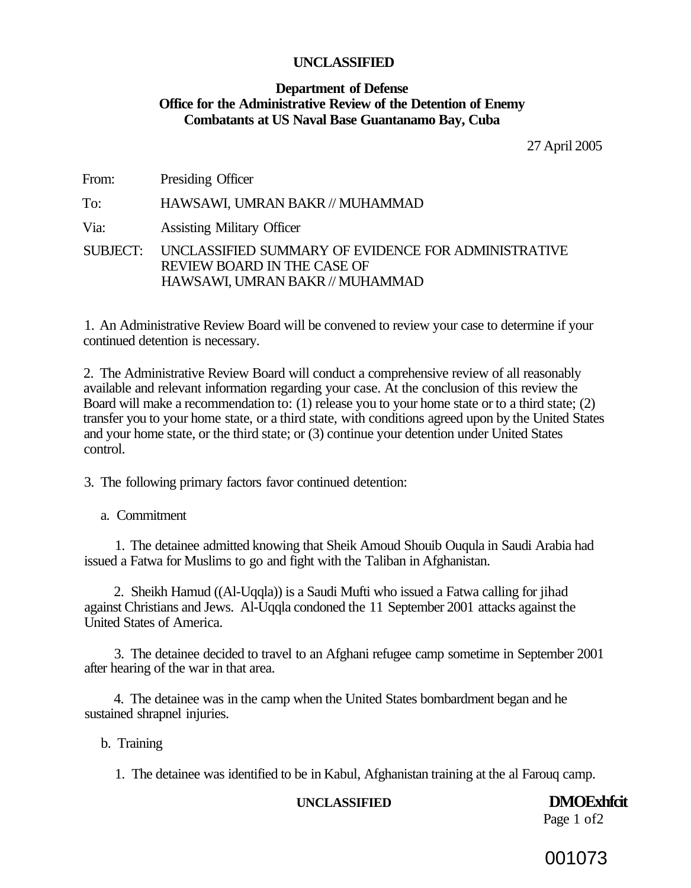### **Department of Defense Office for the Administrative Review of the Detention of Enemy Combatants at US Naval Base Guantanamo Bay, Cuba**

27 April 2005

From: Presiding Officer

To: HAWSAWI, UMRAN BAKR // MUHAMMAD

Via: Assisting Military Officer

SUBJECT: UNCLASSIFIED SUMMARY OF EVIDENCE FOR ADMINISTRATIVE REVIEW BOARD IN THE CASE OF HAWSAWI, UMRAN BAKR // MUHAMMAD

1. An Administrative Review Board will be convened to review your case to determine if your continued detention is necessary.

2. The Administrative Review Board will conduct a comprehensive review of all reasonably available and relevant information regarding your case. At the conclusion of this review the Board will make a recommendation to: (1) release you to your home state or to a third state; (2) transfer you to your home state, or a third state, with conditions agreed upon by the United States and your home state, or the third state; or (3) continue your detention under United States control.

3. The following primary factors favor continued detention:

a. Commitment

1. The detainee admitted knowing that Sheik Amoud Shouib Ouqula in Saudi Arabia had issued a Fatwa for Muslims to go and fight with the Taliban in Afghanistan.

2. Sheikh Hamud ((Al-Uqqla)) is a Saudi Mufti who issued a Fatwa calling for jihad against Christians and Jews. Al-Uqqla condoned the 11 September 2001 attacks against the United States of America.

3. The detainee decided to travel to an Afghani refugee camp sometime in September 2001 after hearing of the war in that area.

4. The detainee was in the camp when the United States bombardment began and he sustained shrapnel injuries.

b. Training

1. The detainee was identified to be in Kabul, Afghanistan training at the al Farouq camp.

### **UNCLASSIFIED DMOExhfcit**

Page 1 of 2

001073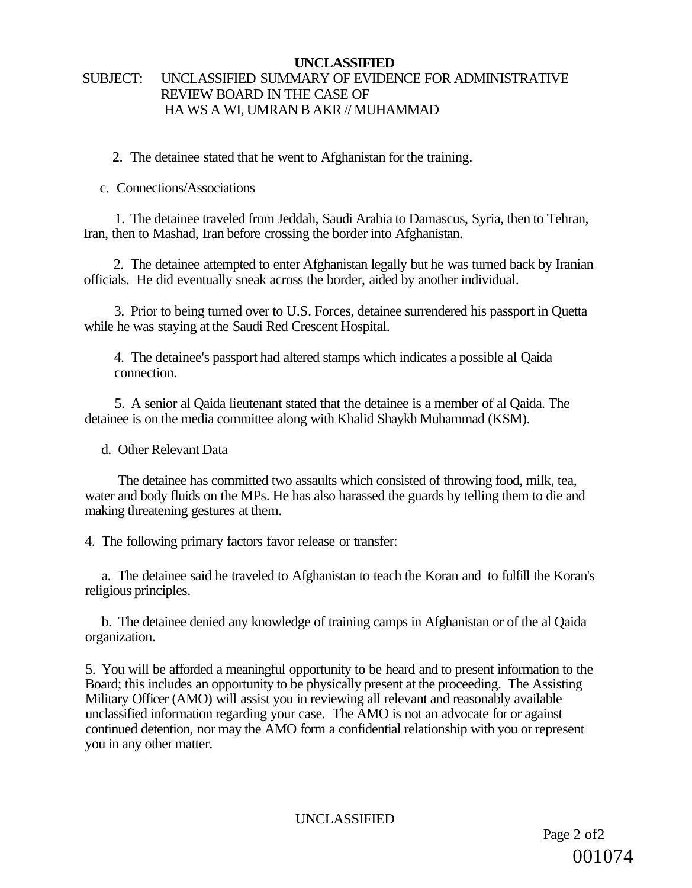### SUBJECT: UNCLASSIFIED SUMMARY OF EVIDENCE FOR ADMINISTRATIVE REVIEW BOARD IN THE CASE OF HA WS A WI, UMRAN B AKR // MUHAMMAD

2. The detainee stated that he went to Afghanistan for the training.

c. Connections/Associations

1. The detainee traveled from Jeddah, Saudi Arabia to Damascus, Syria, then to Tehran, Iran, then to Mashad, Iran before crossing the border into Afghanistan.

2. The detainee attempted to enter Afghanistan legally but he was turned back by Iranian officials. He did eventually sneak across the border, aided by another individual.

3. Prior to being turned over to U.S. Forces, detainee surrendered his passport in Quetta while he was staying at the Saudi Red Crescent Hospital.

4. The detainee's passport had altered stamps which indicates a possible al Qaida connection.

5. A senior al Qaida lieutenant stated that the detainee is a member of al Qaida. The detainee is on the media committee along with Khalid Shaykh Muhammad (KSM).

d. Other Relevant Data

The detainee has committed two assaults which consisted of throwing food, milk, tea, water and body fluids on the MPs. He has also harassed the guards by telling them to die and making threatening gestures at them.

4. The following primary factors favor release or transfer:

a. The detainee said he traveled to Afghanistan to teach the Koran and to fulfill the Koran's religious principles.

b. The detainee denied any knowledge of training camps in Afghanistan or of the al Qaida organization.

5. You will be afforded a meaningful opportunity to be heard and to present information to the Board; this includes an opportunity to be physically present at the proceeding. The Assisting Military Officer (AMO) will assist you in reviewing all relevant and reasonably available unclassified information regarding your case. The AMO is not an advocate for or against continued detention, nor may the AMO form a confidential relationship with you or represent you in any other matter.

UNCLASSIFIED

Page 2 of 2 001074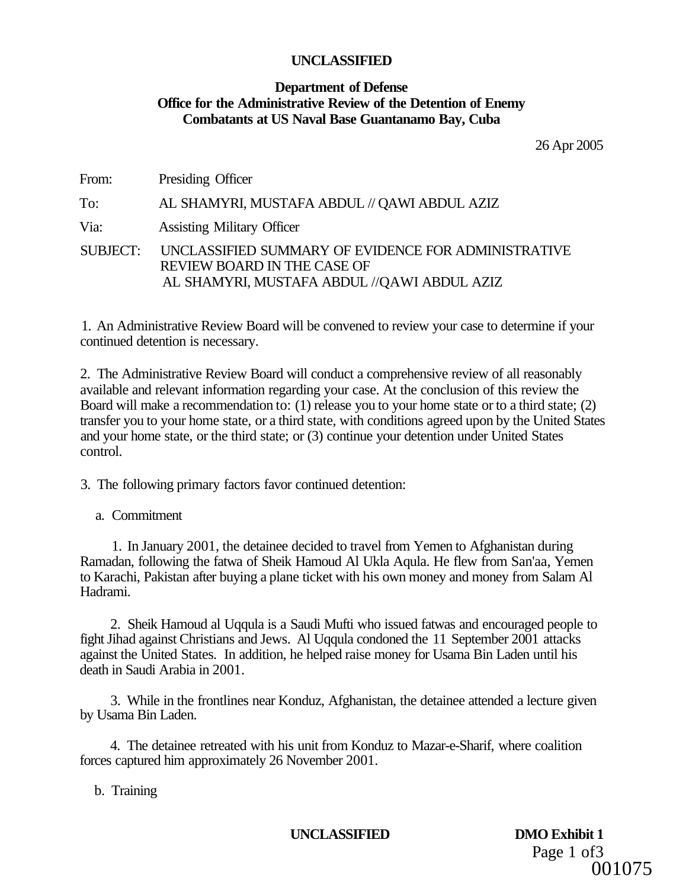### **Department of Defense Office for the Administrative Review of the Detention of Enemy Combatants at US Naval Base Guantanamo Bay, Cuba**

26 Apr 2005

From: Presiding Officer To: AL SHAMYRI, MUSTAFA ABDUL // QAWI ABDUL AZIZ Via: Assisting Military Officer SUBJECT: UNCLASSIFIED SUMMARY OF EVIDENCE FOR ADMINISTRATIVE REVIEW BOARD IN THE CASE OF AL SHAMYRI, MUSTAFA ABDUL //QAWI ABDUL AZIZ

1. An Administrative Review Board will be convened to review your case to determine if your continued detention is necessary.

2. The Administrative Review Board will conduct a comprehensive review of all reasonably available and relevant information regarding your case. At the conclusion of this review the Board will make a recommendation to: (1) release you to your home state or to a third state; (2) transfer you to your home state, or a third state, with conditions agreed upon by the United States and your home state, or the third state; or (3) continue your detention under United States control.

3. The following primary factors favor continued detention:

a. Commitment

1. In January 2001, the detainee decided to travel from Yemen to Afghanistan during Ramadan, following the fatwa of Sheik Hamoud Al Ukla Aqula. He flew from San'aa, Yemen to Karachi, Pakistan after buying a plane ticket with his own money and money from Salam Al Hadrami.

2. Sheik Hamoud al Uqqula is a Saudi Mufti who issued fatwas and encouraged people to fight Jihad against Christians and Jews. Al Uqqula condoned the 11 September 2001 attacks against the United States. In addition, he helped raise money for Usama Bin Laden until his death in Saudi Arabia in 2001.

3. While in the frontlines near Konduz, Afghanistan, the detainee attended a lecture given by Usama Bin Laden.

4. The detainee retreated with his unit from Konduz to Mazar-e-Sharif, where coalition forces captured him approximately 26 November 2001.

b. Training

**UNCLASSIFIED DMO Exhibit 1** 

Page 1 of 3 001075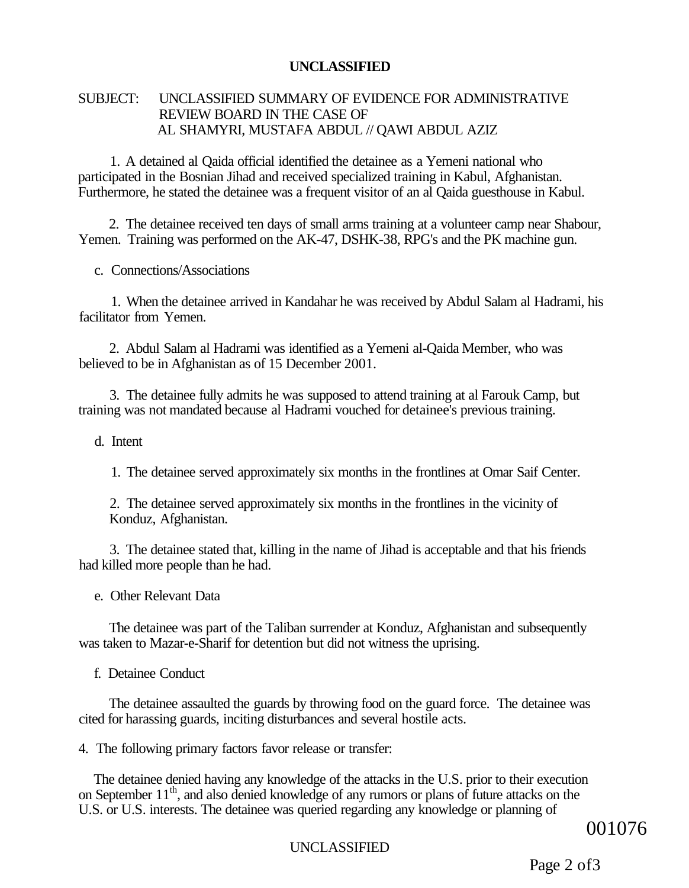### SUBJECT: UNCLASSIFIED SUMMARY OF EVIDENCE FOR ADMINISTRATIVE REVIEW BOARD IN THE CASE OF AL SHAMYRI, MUSTAFA ABDUL // QAWI ABDUL AZIZ

1. A detained al Qaida official identified the detainee as a Yemeni national who participated in the Bosnian Jihad and received specialized training in Kabul, Afghanistan. Furthermore, he stated the detainee was a frequent visitor of an al Qaida guesthouse in Kabul.

2. The detainee received ten days of small arms training at a volunteer camp near Shabour, Yemen. Training was performed on the AK-47, DSHK-38, RPG's and the PK machine gun.

c. Connections/Associations

1. When the detainee arrived in Kandahar he was received by Abdul Salam al Hadrami, his facilitator from Yemen.

2. Abdul Salam al Hadrami was identified as a Yemeni al-Qaida Member, who was believed to be in Afghanistan as of 15 December 2001.

3. The detainee fully admits he was supposed to attend training at al Farouk Camp, but training was not mandated because al Hadrami vouched for detainee's previous training.

d. Intent

1. The detainee served approximately six months in the frontlines at Omar Saif Center.

2. The detainee served approximately six months in the frontlines in the vicinity of Konduz, Afghanistan.

3. The detainee stated that, killing in the name of Jihad is acceptable and that his friends had killed more people than he had.

e. Other Relevant Data

The detainee was part of the Taliban surrender at Konduz, Afghanistan and subsequently was taken to Mazar-e-Sharif for detention but did not witness the uprising.

f. Detainee Conduct

The detainee assaulted the guards by throwing food on the guard force. The detainee was cited for harassing guards, inciting disturbances and several hostile acts.

4. The following primary factors favor release or transfer:

The detainee denied having any knowledge of the attacks in the U.S. prior to their execution on September 11<sup>th</sup>, and also denied knowledge of any rumors or plans of future attacks on the U.S. or U.S. interests. The detainee was queried regarding any knowledge or planning of

001076

### UNCLASSIFIED

Page 2 of3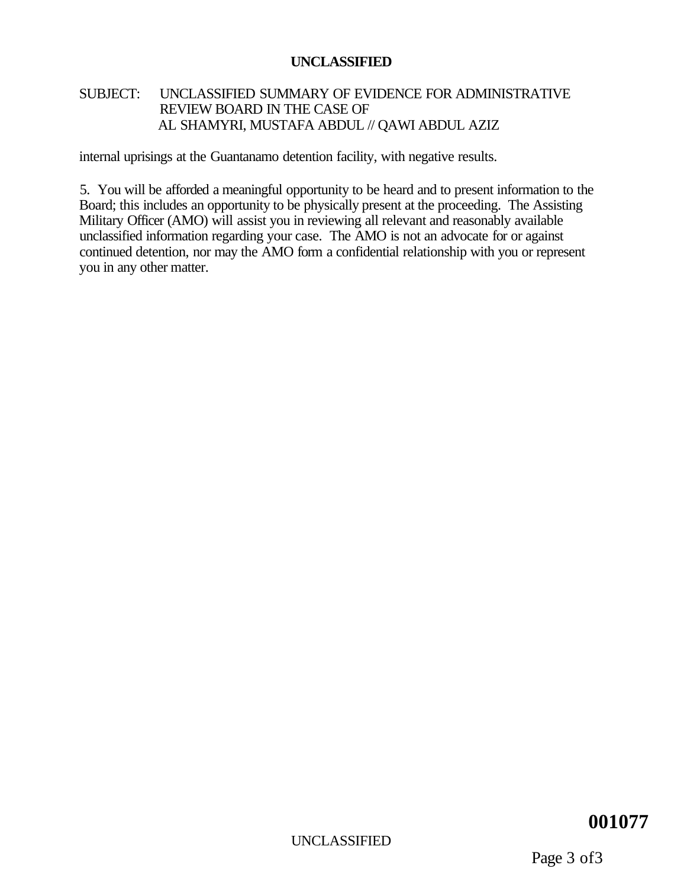### SUBJECT: UNCLASSIFIED SUMMARY OF EVIDENCE FOR ADMINISTRATIVE REVIEW BOARD IN THE CASE OF AL SHAMYRI, MUSTAFA ABDUL // QAWI ABDUL AZIZ

internal uprisings at the Guantanamo detention facility, with negative results.

5. You will be afforded a meaningful opportunity to be heard and to present information to the Board; this includes an opportunity to be physically present at the proceeding. The Assisting Military Officer (AMO) will assist you in reviewing all relevant and reasonably available unclassified information regarding your case. The AMO is not an advocate for or against continued detention, nor may the AMO form a confidential relationship with you or represent you in any other matter.

### UNCLASSIFIED

### **001077**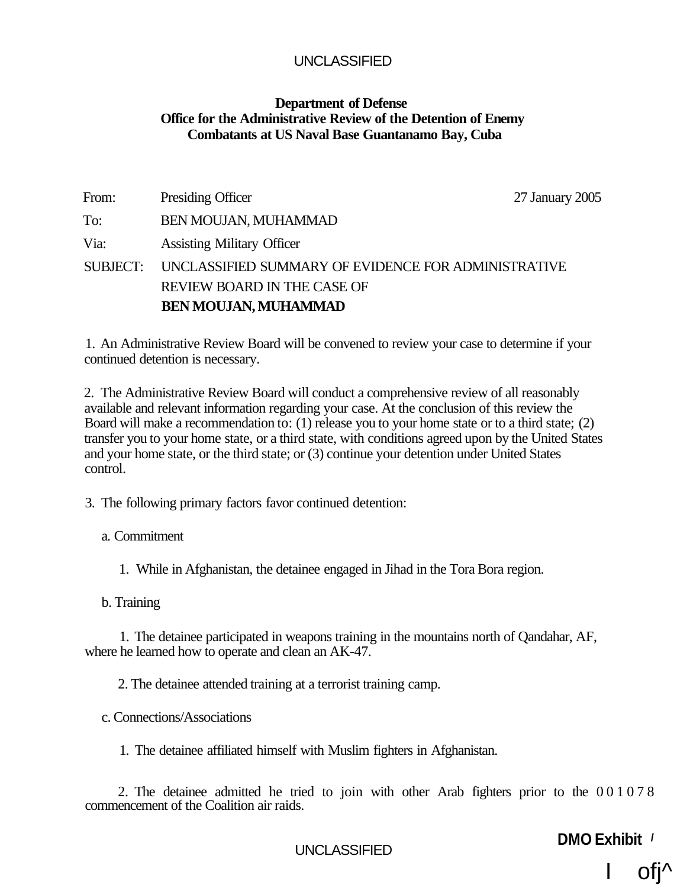### **Department of Defense Office for the Administrative Review of the Detention of Enemy Combatants at US Naval Base Guantanamo Bay, Cuba**

| From:           | Presiding Officer                                   | 27 January 2005 |
|-----------------|-----------------------------------------------------|-----------------|
| To:             | <b>BEN MOUJAN, MUHAMMAD</b>                         |                 |
| Via:            | <b>Assisting Military Officer</b>                   |                 |
| <b>SUBJECT:</b> | UNCLASSIFIED SUMMARY OF EVIDENCE FOR ADMINISTRATIVE |                 |
|                 | REVIEW BOARD IN THE CASE OF                         |                 |
|                 | <b>BEN MOUJAN, MUHAMMAD</b>                         |                 |

1. An Administrative Review Board will be convened to review your case to determine if your continued detention is necessary.

2. The Administrative Review Board will conduct a comprehensive review of all reasonably available and relevant information regarding your case. At the conclusion of this review the Board will make a recommendation to: (1) release you to your home state or to a third state; (2) transfer you to your home state, or a third state, with conditions agreed upon by the United States and your home state, or the third state; or (3) continue your detention under United States control.

3. The following primary factors favor continued detention:

a. Commitment

1. While in Afghanistan, the detainee engaged in Jihad in the Tora Bora region.

b. Training

1. The detainee participated in weapons training in the mountains north of Qandahar, AF, where he learned how to operate and clean an AK-47.

2. The detainee attended training at a terrorist training camp.

c. Connections/Associations

1. The detainee affiliated himself with Muslim fighters in Afghanistan.

2. The detainee admitted he tried to join with other Arab fighters prior to the 00107 8 commencement of the Coalition air raids.

UNCLASSIFIED **DMO Exhibit /** 

ofi^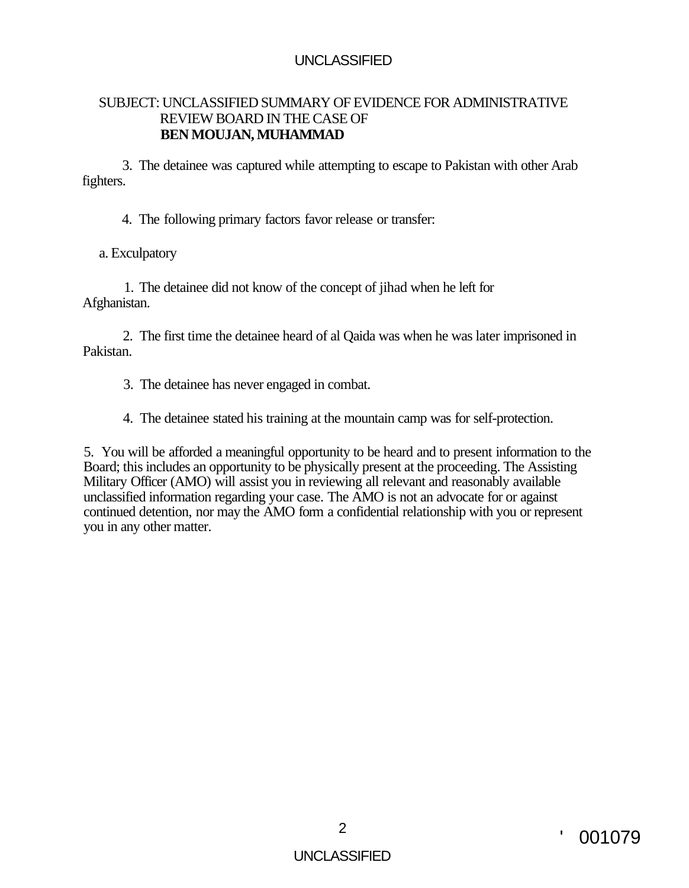### SUBJECT: UNCLASSIFIED SUMMARY OF EVIDENCE FOR ADMINISTRATIVE REVIEW BOARD IN THE CASE OF **BEN MOUJAN, MUHAMMAD**

3. The detainee was captured while attempting to escape to Pakistan with other Arab fighters.

4. The following primary factors favor release or transfer:

a. Exculpatory

1. The detainee did not know of the concept of jihad when he left for Afghanistan.

2. The first time the detainee heard of al Qaida was when he was later imprisoned in Pakistan.

- 3. The detainee has never engaged in combat.
- 4. The detainee stated his training at the mountain camp was for self-protection.

5. You will be afforded a meaningful opportunity to be heard and to present information to the Board; this includes an opportunity to be physically present at the proceeding. The Assisting Military Officer (AMO) will assist you in reviewing all relevant and reasonably available unclassified information regarding your case. The AMO is not an advocate for or against continued detention, nor may the AMO form a confidential relationship with you or represent you in any other matter.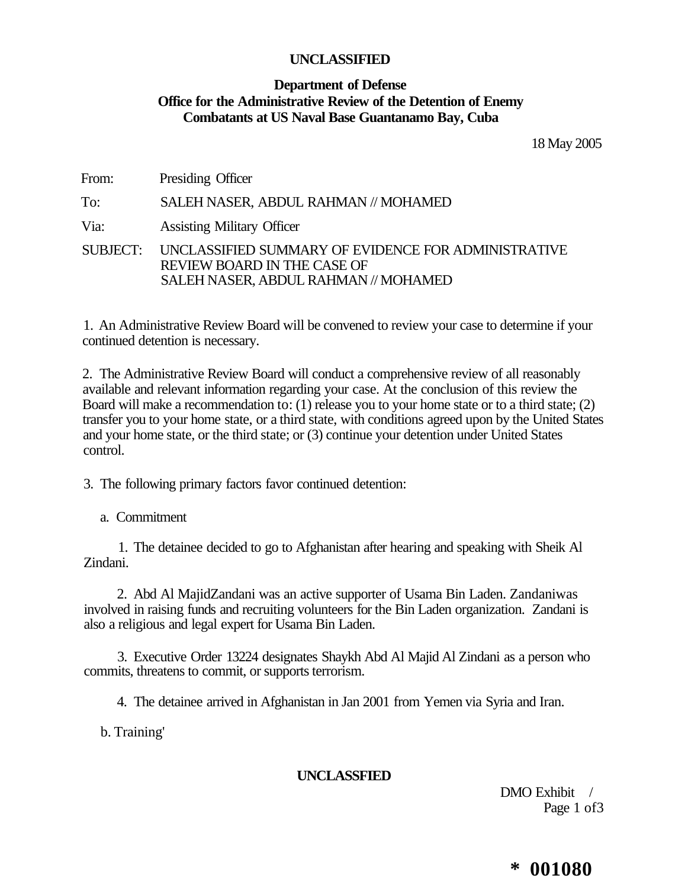### **Department of Defense Office for the Administrative Review of the Detention of Enemy Combatants at US Naval Base Guantanamo Bay, Cuba**

18 May 2005

From: Presiding Officer

To: SALEH NASER, ABDUL RAHMAN // MOHAMED

Via: Assisting Military Officer

SUBJECT: UNCLASSIFIED SUMMARY OF EVIDENCE FOR ADMINISTRATIVE REVIEW BOARD IN THE CASE OF SALEH NASER, ABDUL RAHMAN // MOHAMED

1. An Administrative Review Board will be convened to review your case to determine if your continued detention is necessary.

2. The Administrative Review Board will conduct a comprehensive review of all reasonably available and relevant information regarding your case. At the conclusion of this review the Board will make a recommendation to: (1) release you to your home state or to a third state; (2) transfer you to your home state, or a third state, with conditions agreed upon by the United States and your home state, or the third state; or (3) continue your detention under United States control.

3. The following primary factors favor continued detention:

a. Commitment

1. The detainee decided to go to Afghanistan after hearing and speaking with Sheik Al Zindani.

2. Abd Al MajidZandani was an active supporter of Usama Bin Laden. Zandaniwas involved in raising funds and recruiting volunteers for the Bin Laden organization. Zandani is also a religious and legal expert for Usama Bin Laden.

3. Executive Order 13224 designates Shaykh Abd Al Majid Al Zindani as a person who commits, threatens to commit, or supports terrorism.

4. The detainee arrived in Afghanistan in Jan 2001 from Yemen via Syria and Iran.

b. Training'

**UNCLASSFIED** 

DMO Exhibit / Page 1 of 3

### **\* 001080**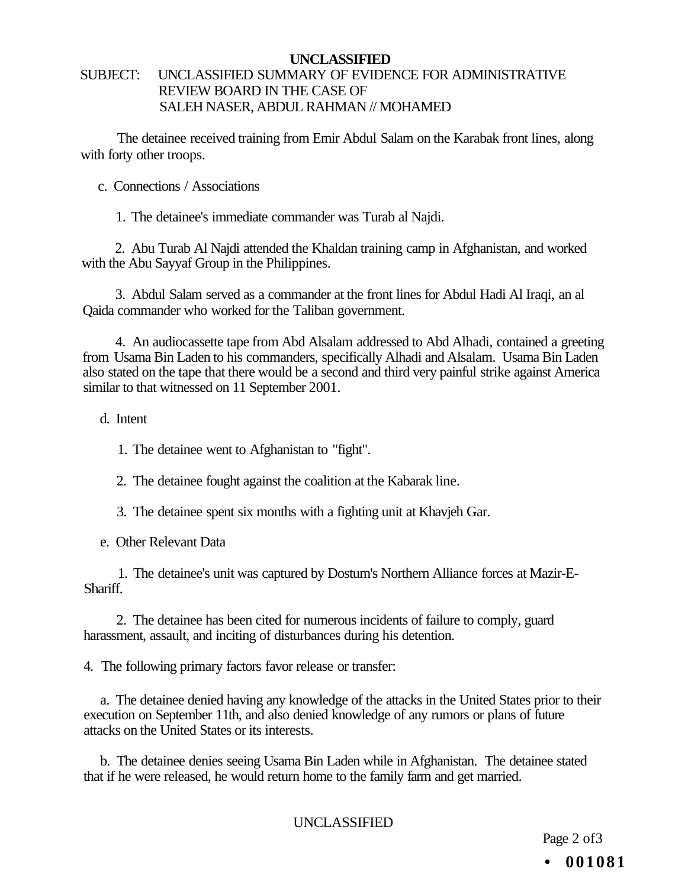### SUBJECT: UNCLASSIFIED SUMMARY OF EVIDENCE FOR ADMINISTRATIVE REVIEW BOARD IN THE CASE OF SALEH NASER, ABDUL RAHMAN // MOHAMED

The detainee received training from Emir Abdul Salam on the Karabak front lines, along with forty other troops.

c. Connections / Associations

1. The detainee's immediate commander was Turab al Najdi.

2. Abu Turab Al Najdi attended the Khaldan training camp in Afghanistan, and worked with the Abu Sayyaf Group in the Philippines.

3. Abdul Salam served as a commander at the front lines for Abdul Hadi Al Iraqi, an al Qaida commander who worked for the Taliban government.

4. An audiocassette tape from Abd Alsalam addressed to Abd Alhadi, contained a greeting from Usama Bin Laden to his commanders, specifically Alhadi and Alsalam. Usama Bin Laden also stated on the tape that there would be a second and third very painful strike against America similar to that witnessed on 11 September 2001.

d. Intent

1. The detainee went to Afghanistan to "fight".

2. The detainee fought against the coalition at the Kabarak line.

3. The detainee spent six months with a fighting unit at Khavjeh Gar.

e. Other Relevant Data

1. The detainee's unit was captured by Dostum's Northern Alliance forces at Mazir-E-Shariff.

2. The detainee has been cited for numerous incidents of failure to comply, guard harassment, assault, and inciting of disturbances during his detention.

4. The following primary factors favor release or transfer:

a. The detainee denied having any knowledge of the attacks in the United States prior to their execution on September 11th, and also denied knowledge of any rumors or plans of future attacks on the United States or its interests.

b. The detainee denies seeing Usama Bin Laden while in Afghanistan. The detainee stated that if he were released, he would return home to the family farm and get married.

UNCLASSIFIED

Page 2 of 3 **• 001081**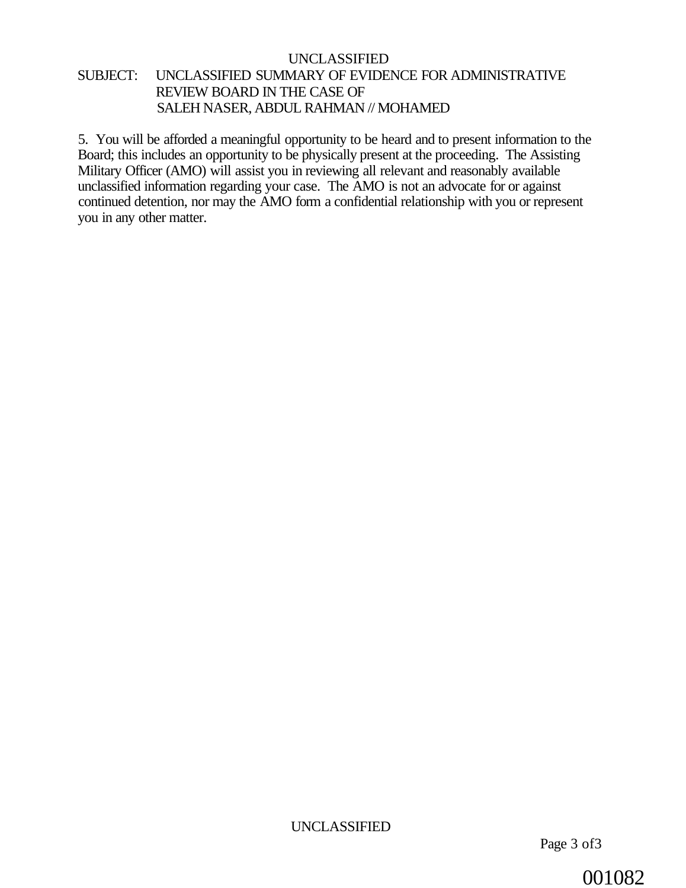#### UNCLASSIFIED SUBJECT: UNCLASSIFIED SUMMARY OF EVIDENCE FOR ADMINISTRATIVE REVIEW BOARD IN THE CASE OF SALEH NASER, ABDUL RAHMAN // MOHAMED

5. You will be afforded a meaningful opportunity to be heard and to present information to the Board; this includes an opportunity to be physically present at the proceeding. The Assisting Military Officer (AMO) will assist you in reviewing all relevant and reasonably available unclassified information regarding your case. The AMO is not an advocate for or against continued detention, nor may the AMO form a confidential relationship with you or represent you in any other matter.

001082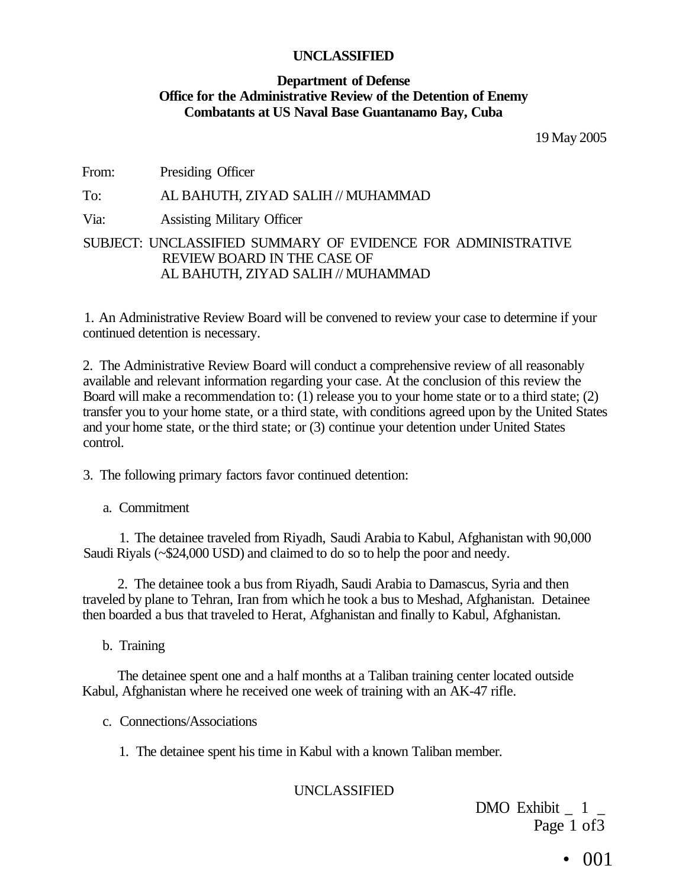#### **Department of Defense Office for the Administrative Review of the Detention of Enemy Combatants at US Naval Base Guantanamo Bay, Cuba**

19 May 2005

From: Presiding Officer

#### To: AL BAHUTH, ZIYAD SALIH // MUHAMMAD

Via: Assisting Military Officer

#### SUBJECT: UNCLASSIFIED SUMMARY OF EVIDENCE FOR ADMINISTRATIVE REVIEW BOARD IN THE CASE OF AL BAHUTH, ZIYAD SALIH // MUHAMMAD

1. An Administrative Review Board will be convened to review your case to determine if your continued detention is necessary.

2. The Administrative Review Board will conduct a comprehensive review of all reasonably available and relevant information regarding your case. At the conclusion of this review the Board will make a recommendation to: (1) release you to your home state or to a third state; (2) transfer you to your home state, or a third state, with conditions agreed upon by the United States and your home state, or the third state; or (3) continue your detention under United States control.

3. The following primary factors favor continued detention:

a. Commitment

1. The detainee traveled from Riyadh, Saudi Arabia to Kabul, Afghanistan with 90,000 Saudi Riyals (~\$24,000 USD) and claimed to do so to help the poor and needy.

2. The detainee took a bus from Riyadh, Saudi Arabia to Damascus, Syria and then traveled by plane to Tehran, Iran from which he took a bus to Meshad, Afghanistan. Detainee then boarded a bus that traveled to Herat, Afghanistan and finally to Kabul, Afghanistan.

b. Training

The detainee spent one and a half months at a Taliban training center located outside Kabul, Afghanistan where he received one week of training with an AK-47 rifle.

c. Connections/Associations

1. The detainee spent his time in Kabul with a known Taliban member.

#### UNCLASSIFIED

DMO Exhibit  $1$ Page 1 of 3

• 001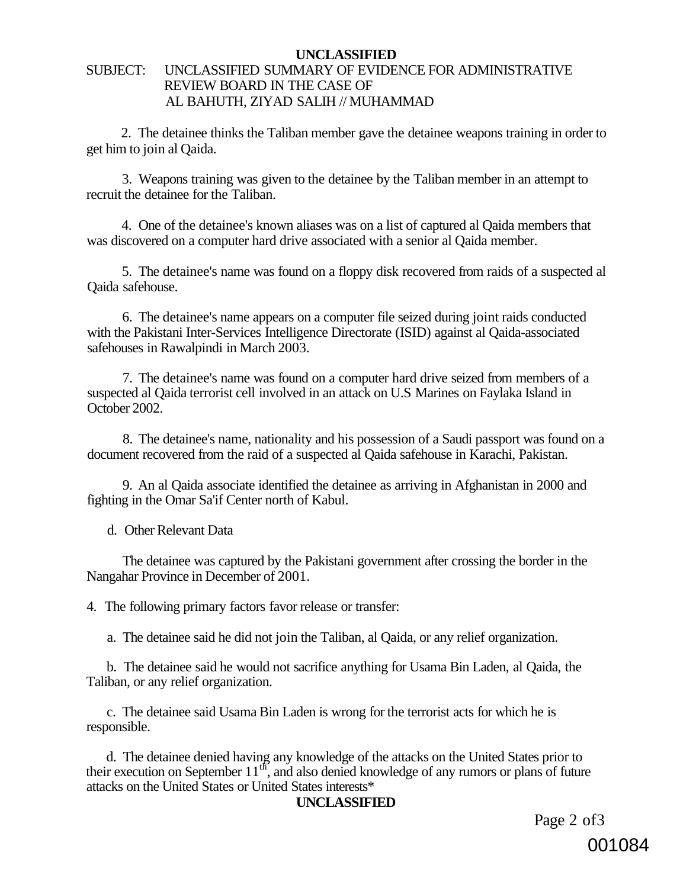#### SUBJECT: UNCLASSIFIED SUMMARY OF EVIDENCE FOR ADMINISTRATIVE REVIEW BOARD IN THE CASE OF AL BAHUTH, ZIYAD SALIH // MUHAMMAD

2. The detainee thinks the Taliban member gave the detainee weapons training in order to get him to join al Qaida.

3. Weapons training was given to the detainee by the Taliban member in an attempt to recruit the detainee for the Taliban.

4. One of the detainee's known aliases was on a list of captured al Qaida members that was discovered on a computer hard drive associated with a senior al Qaida member.

5. The detainee's name was found on a floppy disk recovered from raids of a suspected al Qaida safehouse.

6. The detainee's name appears on a computer file seized during joint raids conducted with the Pakistani Inter-Services Intelligence Directorate (ISID) against al Qaida-associated safehouses in Rawalpindi in March 2003.

7. The detainee's name was found on a computer hard drive seized from members of a suspected al Qaida terrorist cell involved in an attack on U.S Marines on Faylaka Island in October 2002.

8. The detainee's name, nationality and his possession of a Saudi passport was found on a document recovered from the raid of a suspected al Qaida safehouse in Karachi, Pakistan.

9. An al Qaida associate identified the detainee as arriving in Afghanistan in 2000 and fighting in the Omar Sa'if Center north of Kabul.

d. Other Relevant Data

The detainee was captured by the Pakistani government after crossing the border in the Nangahar Province in December of 2001.

4. The following primary factors favor release or transfer:

a. The detainee said he did not join the Taliban, al Qaida, or any relief organization.

b. The detainee said he would not sacrifice anything for Usama Bin Laden, al Qaida, the Taliban, or any relief organization.

c. The detainee said Usama Bin Laden is wrong for the terrorist acts for which he is responsible.

d. The detainee denied having any knowledge of the attacks on the United States prior to their execution on September  $11<sup>th</sup>$ , and also denied knowledge of any rumors or plans of future attacks on the United States or United States interests\*

#### **UNCLASSIFIED**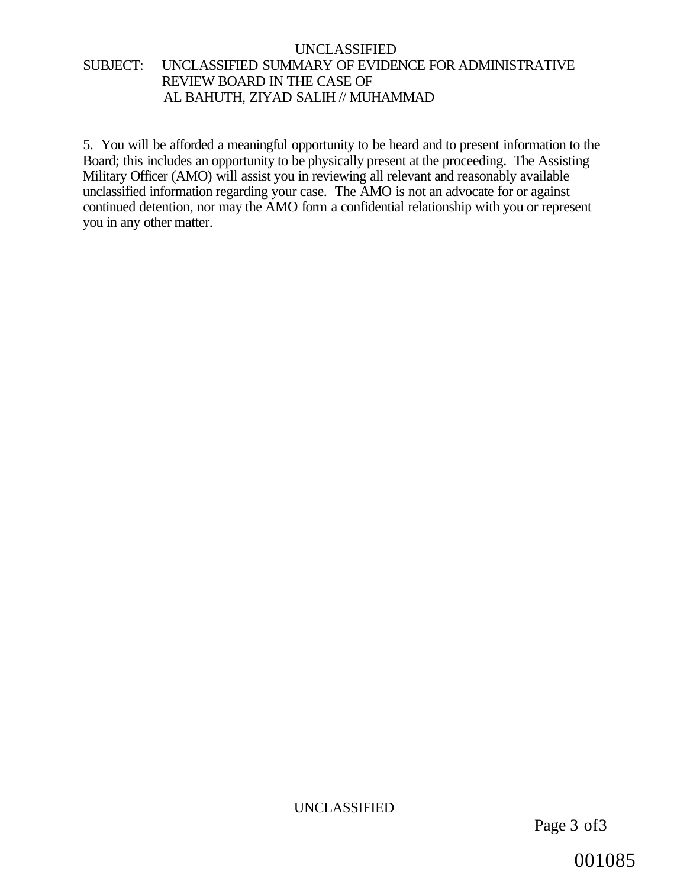#### UNCLASSIFIED SUBJECT: UNCLASSIFIED SUMMARY OF EVIDENCE FOR ADMINISTRATIVE REVIEW BOARD IN THE CASE OF AL BAHUTH, ZIYAD SALIH // MUHAMMAD

5. You will be afforded a meaningful opportunity to be heard and to present information to the Board; this includes an opportunity to be physically present at the proceeding. The Assisting Military Officer (AMO) will assist you in reviewing all relevant and reasonably available unclassified information regarding your case. The AMO is not an advocate for or against continued detention, nor may the AMO form a confidential relationship with you or represent you in any other matter.

UNCLASSIFIED

Page 3 of3

001085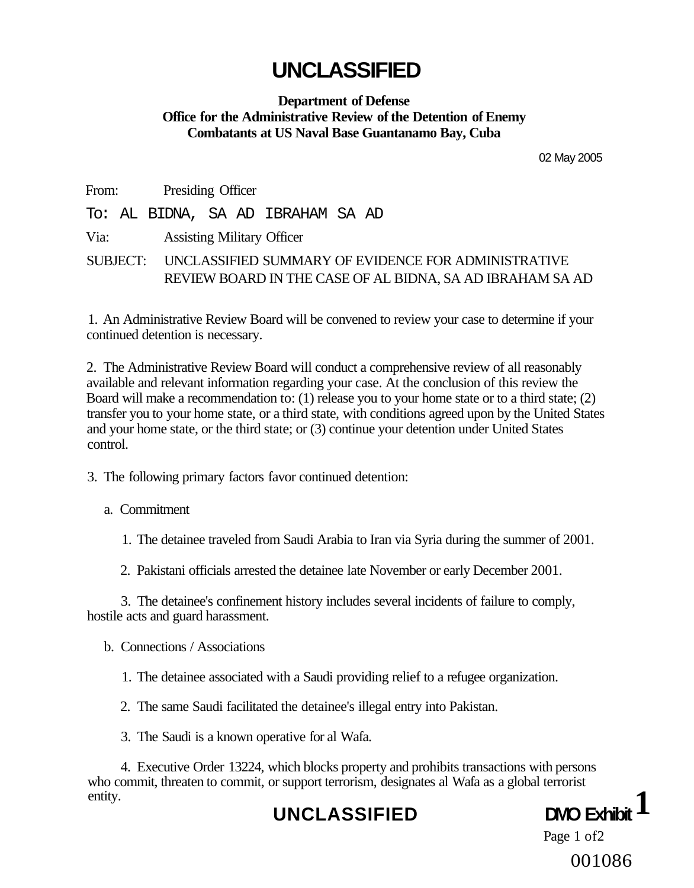#### **Department of Defense Office for the Administrative Review of the Detention of Enemy Combatants at US Naval Base Guantanamo Bay, Cuba**

02 May 2005

From: Presiding Officer

To: AL BIDNA, SA AD IBRAHAM SA AD

Via: Assisting Military Officer

SUBJECT: UNCLASSIFIED SUMMARY OF EVIDENCE FOR ADMINISTRATIVE REVIEW BOARD IN THE CASE OF AL BIDNA, SA AD IBRAHAM SA AD

1. An Administrative Review Board will be convened to review your case to determine if your continued detention is necessary.

2. The Administrative Review Board will conduct a comprehensive review of all reasonably available and relevant information regarding your case. At the conclusion of this review the Board will make a recommendation to: (1) release you to your home state or to a third state; (2) transfer you to your home state, or a third state, with conditions agreed upon by the United States and your home state, or the third state; or (3) continue your detention under United States control.

3. The following primary factors favor continued detention:

a. Commitment

1. The detainee traveled from Saudi Arabia to Iran via Syria during the summer of 2001.

2. Pakistani officials arrested the detainee late November or early December 2001.

3. The detainee's confinement history includes several incidents of failure to comply, hostile acts and guard harassment.

b. Connections / Associations

1. The detainee associated with a Saudi providing relief to a refugee organization.

2. The same Saudi facilitated the detainee's illegal entry into Pakistan.

3. The Saudi is a known operative for al Wafa.

4. Executive Order 13224, which blocks property and prohibits transactions with persons who commit, threaten to commit, or support terrorism, designates al Wafa as a global terrorist entity.

### UNCLASSIFIED **DMO** Exhib



Page 1 of2 001086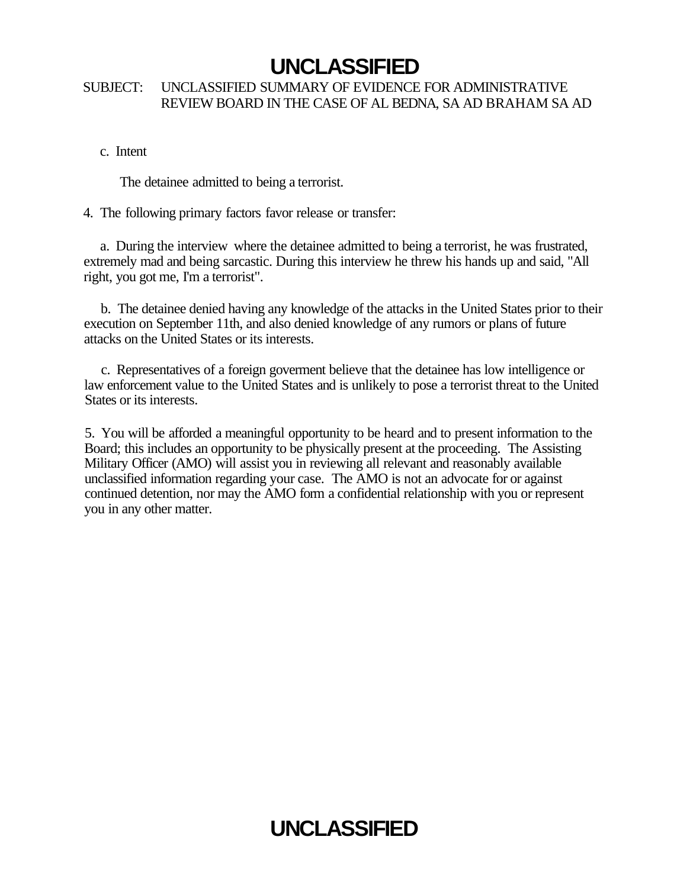#### SUBJECT: UNCLASSIFIED SUMMARY OF EVIDENCE FOR ADMINISTRATIVE REVIEW BOARD IN THE CASE OF AL BEDNA, SA AD BRAHAM SA AD

c. Intent

The detainee admitted to being a terrorist.

4. The following primary factors favor release or transfer:

a. During the interview where the detainee admitted to being a terrorist, he was frustrated, extremely mad and being sarcastic. During this interview he threw his hands up and said, "All right, you got me, I'm a terrorist".

b. The detainee denied having any knowledge of the attacks in the United States prior to their execution on September 11th, and also denied knowledge of any rumors or plans of future attacks on the United States or its interests.

c. Representatives of a foreign goverment believe that the detainee has low intelligence or law enforcement value to the United States and is unlikely to pose a terrorist threat to the United States or its interests.

5. You will be afforded a meaningful opportunity to be heard and to present information to the Board; this includes an opportunity to be physically present at the proceeding. The Assisting Military Officer (AMO) will assist you in reviewing all relevant and reasonably available unclassified information regarding your case. The AMO is not an advocate for or against continued detention, nor may the AMO form a confidential relationship with you or represent you in any other matter.

# **UNCLASSIFIED**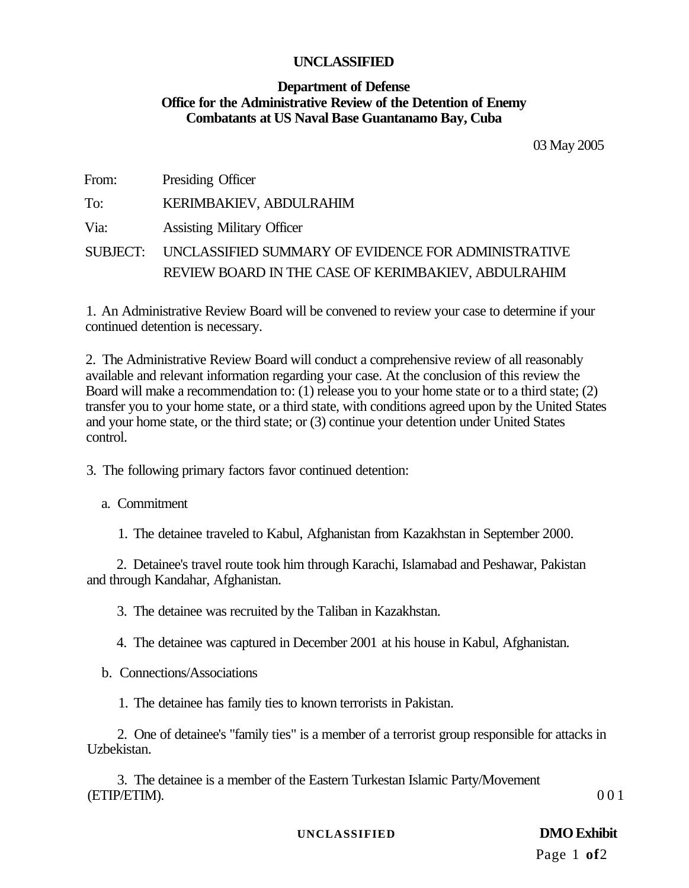#### **Department of Defense Office for the Administrative Review of the Detention of Enemy Combatants at US Naval Base Guantanamo Bay, Cuba**

03 May 2005

| From: | Presiding Officer                                            |
|-------|--------------------------------------------------------------|
| To:   | <b>KERIMBAKIEV, ABDULRAHIM</b>                               |
| Via:  | <b>Assisting Military Officer</b>                            |
|       | SUBJECT: UNCLASSIFIED SUMMARY OF EVIDENCE FOR ADMINISTRATIVE |
|       | REVIEW BOARD IN THE CASE OF KERIMBAKIEV, ABDULRAHIM          |
|       |                                                              |

1. An Administrative Review Board will be convened to review your case to determine if your continued detention is necessary.

2. The Administrative Review Board will conduct a comprehensive review of all reasonably available and relevant information regarding your case. At the conclusion of this review the Board will make a recommendation to: (1) release you to your home state or to a third state; (2) transfer you to your home state, or a third state, with conditions agreed upon by the United States and your home state, or the third state; or (3) continue your detention under United States control.

3. The following primary factors favor continued detention:

a. Commitment

1. The detainee traveled to Kabul, Afghanistan from Kazakhstan in September 2000.

2. Detainee's travel route took him through Karachi, Islamabad and Peshawar, Pakistan and through Kandahar, Afghanistan.

3. The detainee was recruited by the Taliban in Kazakhstan.

4. The detainee was captured in December 2001 at his house in Kabul, Afghanistan.

b. Connections/Associations

1. The detainee has family ties to known terrorists in Pakistan.

2. One of detainee's "family ties" is a member of a terrorist group responsible for attacks in Uzbekistan.

3. The detainee is a member of the Eastern Turkestan Islamic Party/Movement  $(ETIP/ETIM).$  00 1

**UNCLASSIFIED DMO Exhibit** 

Page 1 **of**2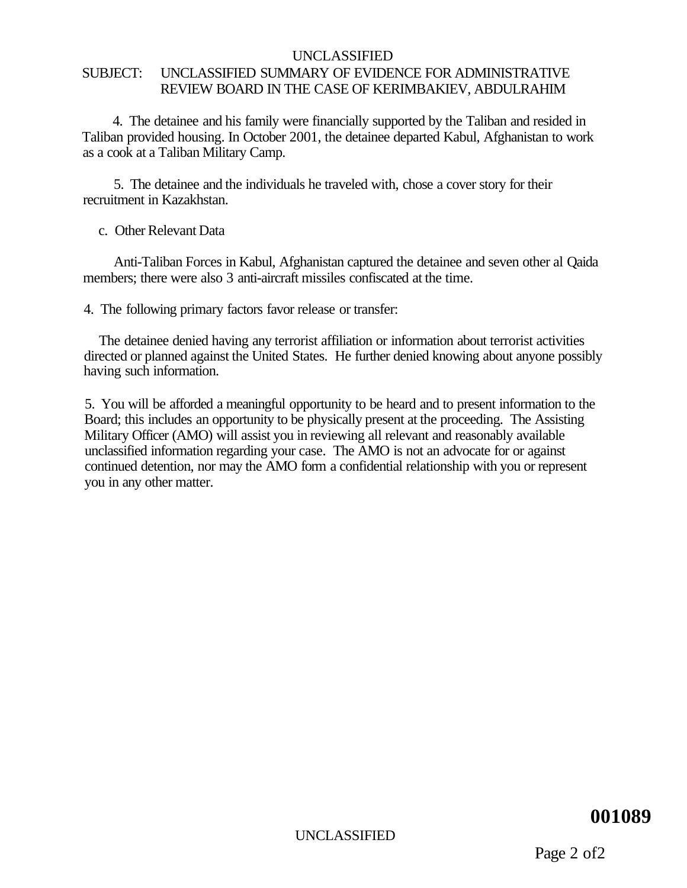#### UNCLASSIFIED SUBJECT: UNCLASSIFIED SUMMARY OF EVIDENCE FOR ADMINISTRATIVE REVIEW BOARD IN THE CASE OF KERIMBAKIEV, ABDULRAHIM

4. The detainee and his family were financially supported by the Taliban and resided in Taliban provided housing. In October 2001, the detainee departed Kabul, Afghanistan to work as a cook at a Taliban Military Camp.

5. The detainee and the individuals he traveled with, chose a cover story for their recruitment in Kazakhstan.

c. Other Relevant Data

Anti-Taliban Forces in Kabul, Afghanistan captured the detainee and seven other al Qaida members; there were also 3 anti-aircraft missiles confiscated at the time.

4. The following primary factors favor release or transfer:

The detainee denied having any terrorist affiliation or information about terrorist activities directed or planned against the United States. He further denied knowing about anyone possibly having such information.

5. You will be afforded a meaningful opportunity to be heard and to present information to the Board; this includes an opportunity to be physically present at the proceeding. The Assisting Military Officer (AMO) will assist you in reviewing all relevant and reasonably available unclassified information regarding your case. The AMO is not an advocate for or against continued detention, nor may the AMO form a confidential relationship with you or represent you in any other matter.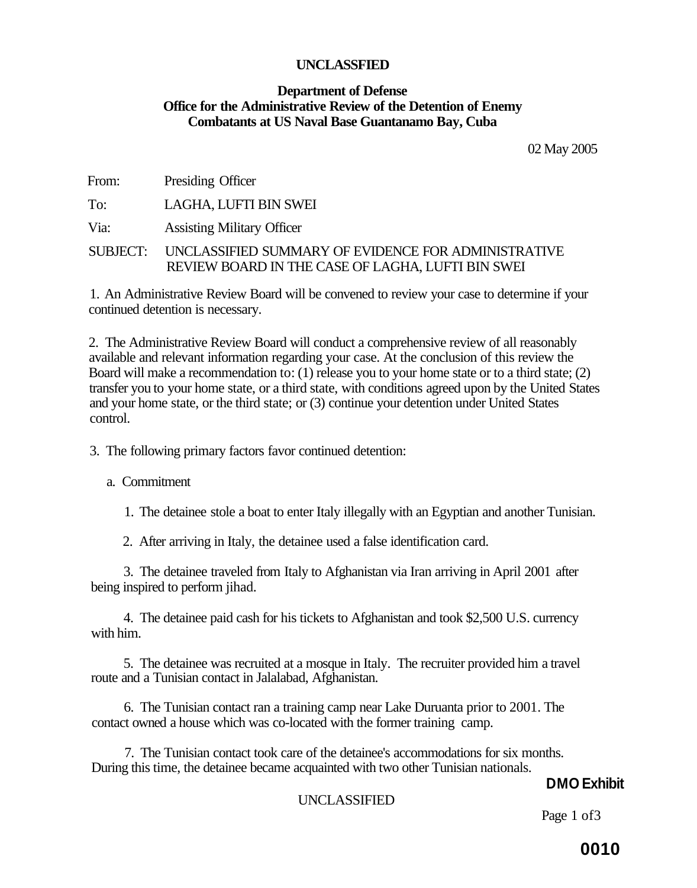#### **Department of Defense Office for the Administrative Review of the Detention of Enemy Combatants at US Naval Base Guantanamo Bay, Cuba**

02 May 2005

From: Presiding Officer

To: LAGHA, LUFTI BIN SWEI

Via: Assisting Military Officer

#### SUBJECT: UNCLASSIFIED SUMMARY OF EVIDENCE FOR ADMINISTRATIVE REVIEW BOARD IN THE CASE OF LAGHA, LUFTI BIN SWEI

1. An Administrative Review Board will be convened to review your case to determine if your continued detention is necessary.

2. The Administrative Review Board will conduct a comprehensive review of all reasonably available and relevant information regarding your case. At the conclusion of this review the Board will make a recommendation to: (1) release you to your home state or to a third state; (2) transfer you to your home state, or a third state, with conditions agreed upon by the United States and your home state, or the third state; or (3) continue your detention under United States control.

3. The following primary factors favor continued detention:

a. Commitment

1. The detainee stole a boat to enter Italy illegally with an Egyptian and another Tunisian.

2. After arriving in Italy, the detainee used a false identification card.

3. The detainee traveled from Italy to Afghanistan via Iran arriving in April 2001 after being inspired to perform jihad.

4. The detainee paid cash for his tickets to Afghanistan and took \$2,500 U.S. currency with him.

5. The detainee was recruited at a mosque in Italy. The recruiter provided him a travel route and a Tunisian contact in Jalalabad, Afghanistan.

6. The Tunisian contact ran a training camp near Lake Duruanta prior to 2001. The contact owned a house which was co-located with the former training camp.

7. The Tunisian contact took care of the detainee's accommodations for six months. During this time, the detainee became acquainted with two other Tunisian nationals.

### **DMO Exhibit**

#### UNCLASSIFIED

Page 1 of 3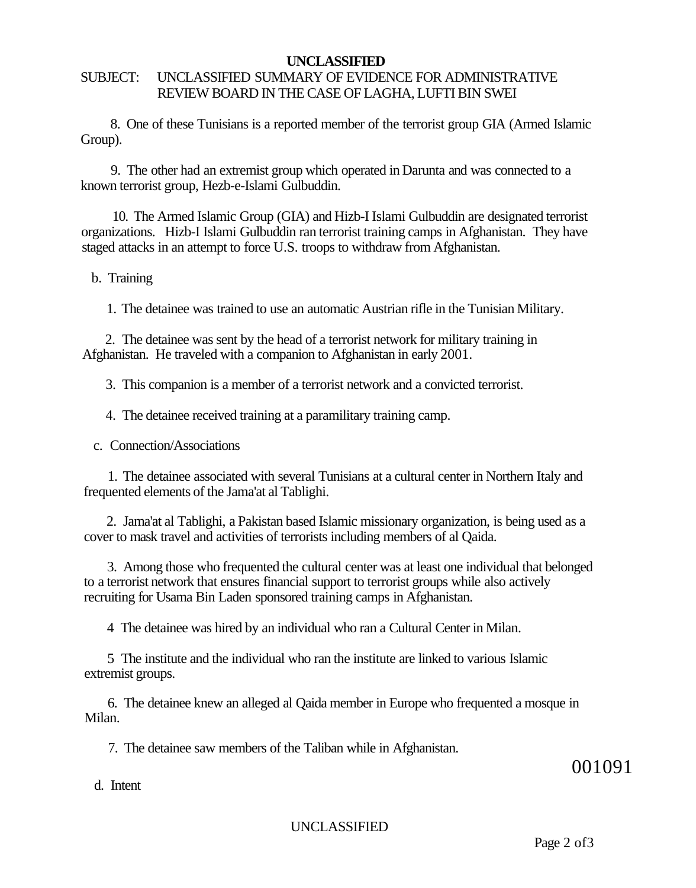#### SUBJECT: UNCLASSIFIED SUMMARY OF EVIDENCE FOR ADMINISTRATIVE REVIEW BOARD IN THE CASE OF LAGHA, LUFTI BIN SWEI

8. One of these Tunisians is a reported member of the terrorist group GIA (Armed Islamic Group).

9. The other had an extremist group which operated in Darunta and was connected to a known terrorist group, Hezb-e-Islami Gulbuddin.

10. The Armed Islamic Group (GIA) and Hizb-I Islami Gulbuddin are designated terrorist organizations. Hizb-I Islami Gulbuddin ran terrorist training camps in Afghanistan. They have staged attacks in an attempt to force U.S. troops to withdraw from Afghanistan.

#### b. Training

1. The detainee was trained to use an automatic Austrian rifle in the Tunisian Military.

2. The detainee was sent by the head of a terrorist network for military training in Afghanistan. He traveled with a companion to Afghanistan in early 2001.

3. This companion is a member of a terrorist network and a convicted terrorist.

4. The detainee received training at a paramilitary training camp.

c. Connection/Associations

1. The detainee associated with several Tunisians at a cultural center in Northern Italy and frequented elements of the Jama'at al Tablighi.

2. Jama'at al Tablighi, a Pakistan based Islamic missionary organization, is being used as a cover to mask travel and activities of terrorists including members of al Qaida.

3. Among those who frequented the cultural center was at least one individual that belonged to a terrorist network that ensures financial support to terrorist groups while also actively recruiting for Usama Bin Laden sponsored training camps in Afghanistan.

4 The detainee was hired by an individual who ran a Cultural Center in Milan.

5 The institute and the individual who ran the institute are linked to various Islamic extremist groups.

6. The detainee knew an alleged al Qaida member in Europe who frequented a mosque in Milan.

7. The detainee saw members of the Taliban while in Afghanistan.

001091

d. Intent

UNCLASSIFIED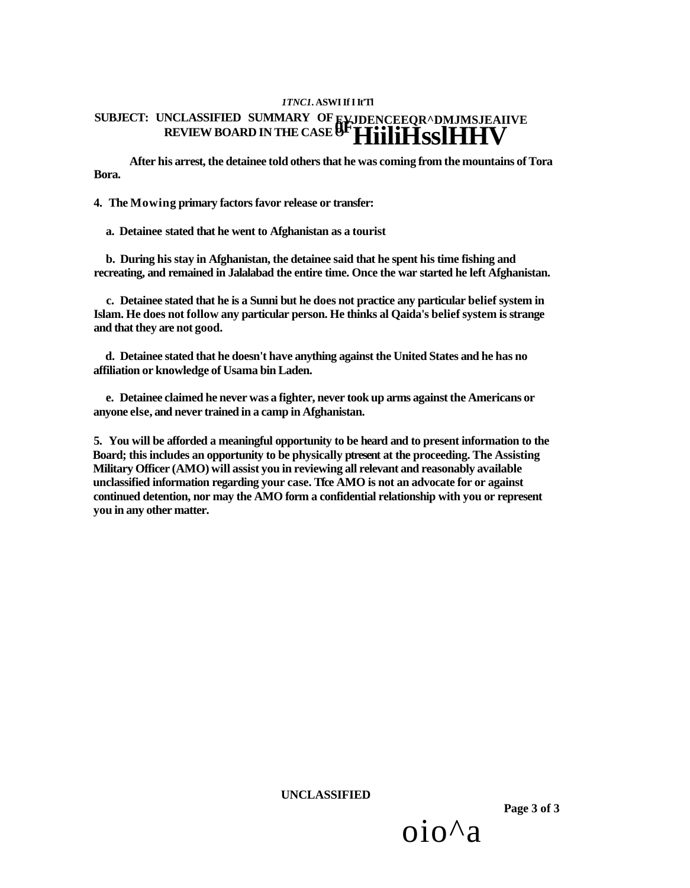#### *1TNC1***. ASWI If I It'Tl SUBJECT: UNCLASSIFIED SUMMARY OF REVIEW BOARD IN THE CASE O EVJDENCEEQR^DMJMSJEAIIVE 0FHiiliHsslHHV**

**After his arrest, the detainee told others that he was coming from the mountains of Tora Bora.** 

**4. The Mowing primary factors favor release or transfer:** 

**a. Detainee stated that he went to Afghanistan as a tourist** 

**b. During his stay in Afghanistan, the detainee said that he spent his time fishing and recreating, and remained in Jalalabad the entire time. Once the war started he left Afghanistan.** 

**c. Detainee stated that he is a Sunni but he does not practice any particular belief system in Islam. He does not follow any particular person. He thinks al Qaida's belief system is strange and that they are not good.** 

**d. Detainee stated that he doesn't have anything against the United States and he has no affiliation or knowledge of Usama bin Laden.** 

**e. Detainee claimed he never was a fighter, never took up arms against the Americans or anyone else, and never trained in a camp in Afghanistan.** 

**5. You will be afforded a meaningful opportunity to be heard and to present information to the Board; this includes an opportunity to be physically ptresent at the proceeding. The Assisting Military Officer (AMO) will assist you in reviewing all relevant and reasonably available unclassified information regarding your case. Tfce AMO is not an advocate for or against continued detention, nor may the AMO form a confidential relationship with you or represent you in any other matter.** 

**UNCLASSIFIED** 

**Page 3 of 3** 

oio^a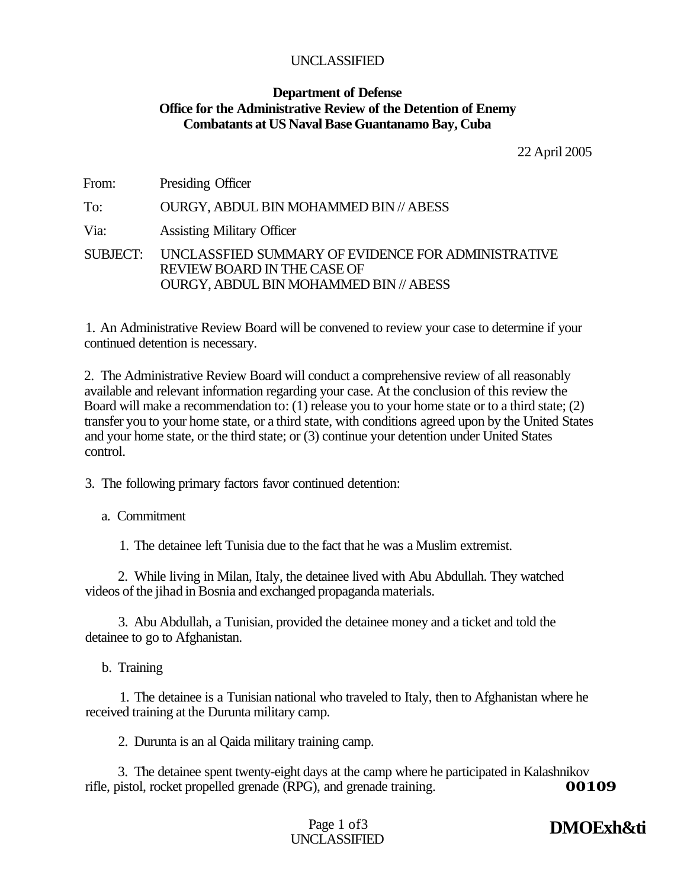#### **Department of Defense Office for the Administrative Review of the Detention of Enemy Combatants at US Naval Base Guantanamo Bay, Cuba**

22 April 2005

| From: | Presiding Officer                                                                                                                    |
|-------|--------------------------------------------------------------------------------------------------------------------------------------|
| To:   | <b>OURGY, ABDUL BIN MOHAMMED BIN // ABESS</b>                                                                                        |
| Via:  | <b>Assisting Military Officer</b>                                                                                                    |
|       | SUBJECT: UNCLASSFIED SUMMARY OF EVIDENCE FOR ADMINISTRATIVE<br>REVIEW BOARD IN THE CASE OF<br>OURGY, ABDUL BIN MOHAMMED BIN // ABESS |

1. An Administrative Review Board will be convened to review your case to determine if your continued detention is necessary.

2. The Administrative Review Board will conduct a comprehensive review of all reasonably available and relevant information regarding your case. At the conclusion of this review the Board will make a recommendation to: (1) release you to your home state or to a third state; (2) transfer you to your home state, or a third state, with conditions agreed upon by the United States and your home state, or the third state; or (3) continue your detention under United States control.

3. The following primary factors favor continued detention:

a. Commitment

1. The detainee left Tunisia due to the fact that he was a Muslim extremist.

2. While living in Milan, Italy, the detainee lived with Abu Abdullah. They watched videos of the jihad in Bosnia and exchanged propaganda materials.

3. Abu Abdullah, a Tunisian, provided the detainee money and a ticket and told the detainee to go to Afghanistan.

b. Training

1. The detainee is a Tunisian national who traveled to Italy, then to Afghanistan where he received training at the Durunta military camp.

2. Durunta is an al Qaida military training camp.

3. The detainee spent twenty-eight days at the camp where he participated in Kalashnikov bistol. rocket propelled grenade (RPG), and grenade training. rifle, pistol, rocket propelled grenade (RPG), and grenade training.

> Page 1 of 3 UNCLASSIFIED

**DMOExh&ti**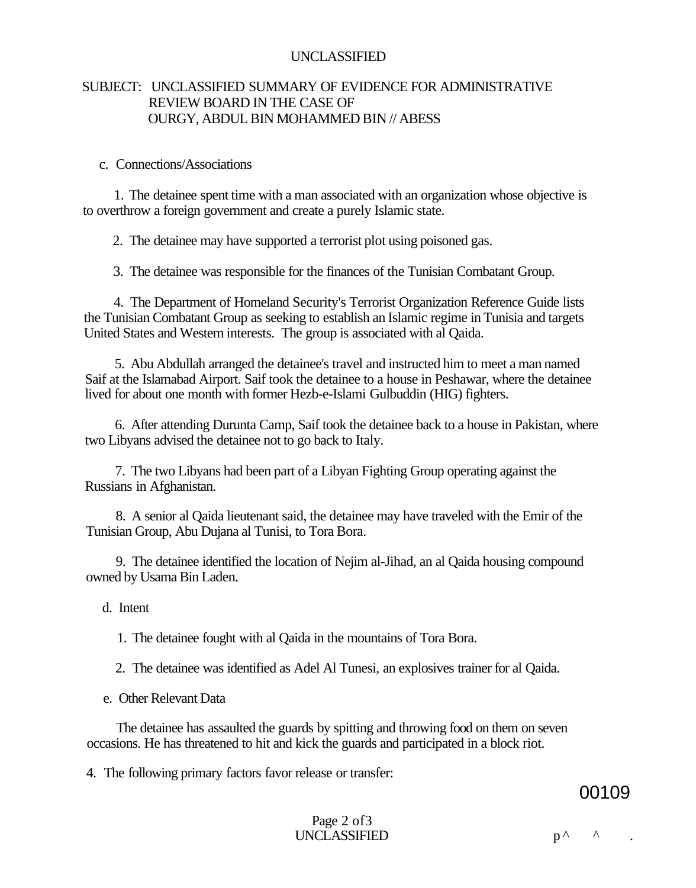#### SUBJECT: UNCLASSIFIED SUMMARY OF EVIDENCE FOR ADMINISTRATIVE REVIEW BOARD IN THE CASE OF OURGY, ABDUL BIN MOHAMMED BIN // ABESS

#### c. Connections/Associations

1. The detainee spent time with a man associated with an organization whose objective is to overthrow a foreign government and create a purely Islamic state.

2. The detainee may have supported a terrorist plot using poisoned gas.

3. The detainee was responsible for the finances of the Tunisian Combatant Group.

4. The Department of Homeland Security's Terrorist Organization Reference Guide lists the Tunisian Combatant Group as seeking to establish an Islamic regime in Tunisia and targets United States and Western interests. The group is associated with al Qaida.

5. Abu Abdullah arranged the detainee's travel and instructed him to meet a man named Saif at the Islamabad Airport. Saif took the detainee to a house in Peshawar, where the detainee lived for about one month with former Hezb-e-Islami Gulbuddin (HIG) fighters.

6. After attending Durunta Camp, Saif took the detainee back to a house in Pakistan, where two Libyans advised the detainee not to go back to Italy.

7. The two Libyans had been part of a Libyan Fighting Group operating against the Russians in Afghanistan.

8. A senior al Qaida lieutenant said, the detainee may have traveled with the Emir of the Tunisian Group, Abu Dujana al Tunisi, to Tora Bora.

9. The detainee identified the location of Nejim al-Jihad, an al Qaida housing compound owned by Usama Bin Laden.

d. Intent

1. The detainee fought with al Qaida in the mountains of Tora Bora.

2. The detainee was identified as Adel Al Tunesi, an explosives trainer for al Qaida.

e. Other Relevant Data

The detainee has assaulted the guards by spitting and throwing food on them on seven occasions. He has threatened to hit and kick the guards and participated in a block riot.

4. The following primary factors favor release or transfer:

00109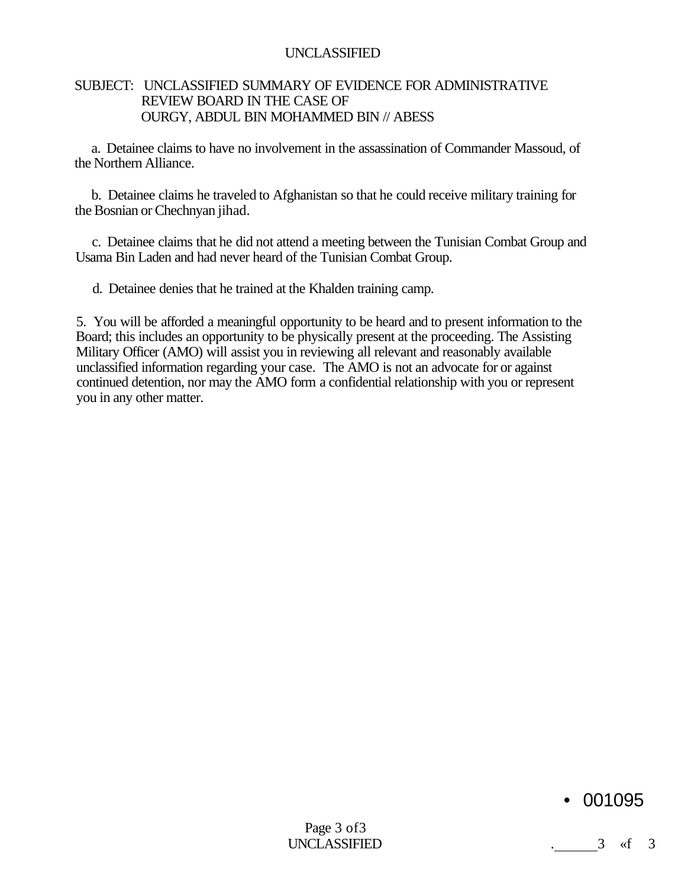#### SUBJECT: UNCLASSIFIED SUMMARY OF EVIDENCE FOR ADMINISTRATIVE REVIEW BOARD IN THE CASE OF OURGY, ABDUL BIN MOHAMMED BIN // ABESS

a. Detainee claims to have no involvement in the assassination of Commander Massoud, of the Northern Alliance.

b. Detainee claims he traveled to Afghanistan so that he could receive military training for the Bosnian or Chechnyan jihad.

c. Detainee claims that he did not attend a meeting between the Tunisian Combat Group and Usama Bin Laden and had never heard of the Tunisian Combat Group.

d. Detainee denies that he trained at the Khalden training camp.

5. You will be afforded a meaningful opportunity to be heard and to present information to the Board; this includes an opportunity to be physically present at the proceeding. The Assisting Military Officer (AMO) will assist you in reviewing all relevant and reasonably available unclassified information regarding your case. The AMO is not an advocate for or against continued detention, nor may the AMO form a confidential relationship with you or represent you in any other matter.

### • 001095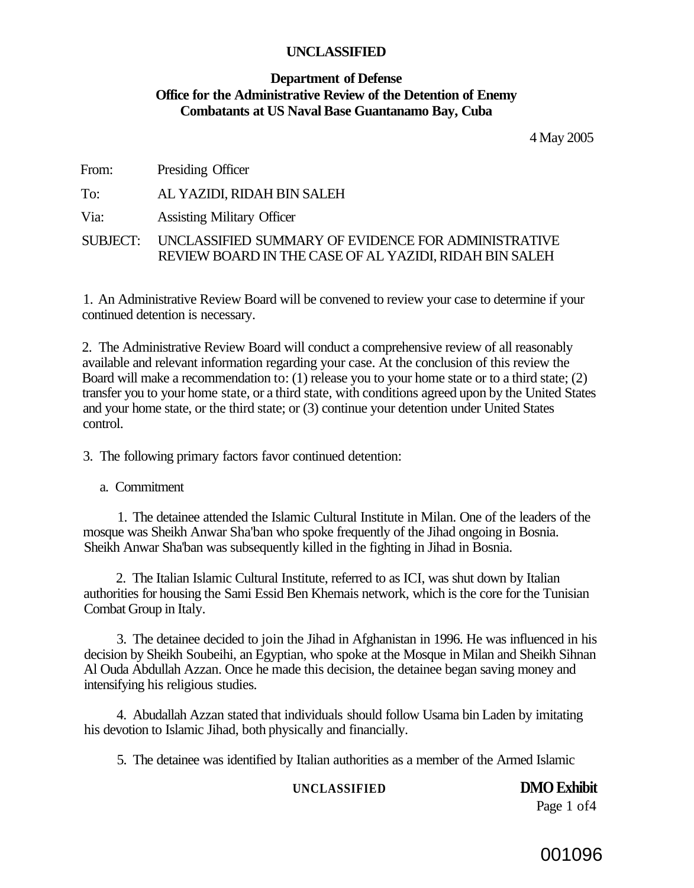#### **Department of Defense Office for the Administrative Review of the Detention of Enemy Combatants at US Naval Base Guantanamo Bay, Cuba**

4 May 2005

| From: | Presiding Officer                                                                                                      |
|-------|------------------------------------------------------------------------------------------------------------------------|
| To:   | AL YAZIDI, RIDAH BIN SALEH                                                                                             |
| Via:  | <b>Assisting Military Officer</b>                                                                                      |
|       | SUBJECT: UNCLASSIFIED SUMMARY OF EVIDENCE FOR ADMINISTRATIVE<br>REVIEW BOARD IN THE CASE OF AL YAZIDI, RIDAH BIN SALEH |

1. An Administrative Review Board will be convened to review your case to determine if your continued detention is necessary.

2. The Administrative Review Board will conduct a comprehensive review of all reasonably available and relevant information regarding your case. At the conclusion of this review the Board will make a recommendation to: (1) release you to your home state or to a third state; (2) transfer you to your home state, or a third state, with conditions agreed upon by the United States and your home state, or the third state; or (3) continue your detention under United States control.

3. The following primary factors favor continued detention:

a. Commitment

1. The detainee attended the Islamic Cultural Institute in Milan. One of the leaders of the mosque was Sheikh Anwar Sha'ban who spoke frequently of the Jihad ongoing in Bosnia. Sheikh Anwar Sha'ban was subsequently killed in the fighting in Jihad in Bosnia.

2. The Italian Islamic Cultural Institute, referred to as ICI, was shut down by Italian authorities for housing the Sami Essid Ben Khemais network, which is the core for the Tunisian Combat Group in Italy.

3. The detainee decided to join the Jihad in Afghanistan in 1996. He was influenced in his decision by Sheikh Soubeihi, an Egyptian, who spoke at the Mosque in Milan and Sheikh Sihnan Al Ouda Abdullah Azzan. Once he made this decision, the detainee began saving money and intensifying his religious studies.

4. Abudallah Azzan stated that individuals should follow Usama bin Laden by imitating his devotion to Islamic Jihad, both physically and financially.

5. The detainee was identified by Italian authorities as a member of the Armed Islamic

#### **UNCLASSIFIED DMO Exhibit**

Page 1 of4

### 001096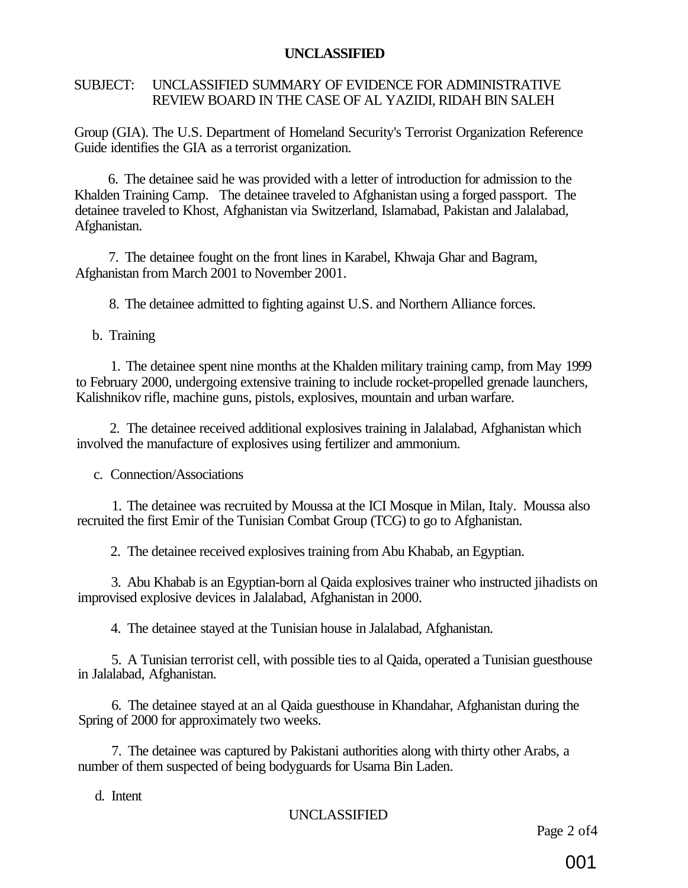#### SUBJECT: UNCLASSIFIED SUMMARY OF EVIDENCE FOR ADMINISTRATIVE REVIEW BOARD IN THE CASE OF AL YAZIDI, RIDAH BIN SALEH

Group (GIA). The U.S. Department of Homeland Security's Terrorist Organization Reference Guide identifies the GIA as a terrorist organization.

6. The detainee said he was provided with a letter of introduction for admission to the Khalden Training Camp. The detainee traveled to Afghanistan using a forged passport. The detainee traveled to Khost, Afghanistan via Switzerland, Islamabad, Pakistan and Jalalabad, Afghanistan.

7. The detainee fought on the front lines in Karabel, Khwaja Ghar and Bagram, Afghanistan from March 2001 to November 2001.

8. The detainee admitted to fighting against U.S. and Northern Alliance forces.

b. Training

1. The detainee spent nine months at the Khalden military training camp, from May 1999 to February 2000, undergoing extensive training to include rocket-propelled grenade launchers, Kalishnikov rifle, machine guns, pistols, explosives, mountain and urban warfare.

2. The detainee received additional explosives training in Jalalabad, Afghanistan which involved the manufacture of explosives using fertilizer and ammonium.

c. Connection/Associations

1. The detainee was recruited by Moussa at the ICI Mosque in Milan, Italy. Moussa also recruited the first Emir of the Tunisian Combat Group (TCG) to go to Afghanistan.

2. The detainee received explosives training from Abu Khabab, an Egyptian.

3. Abu Khabab is an Egyptian-born al Qaida explosives trainer who instructed jihadists on improvised explosive devices in Jalalabad, Afghanistan in 2000.

4. The detainee stayed at the Tunisian house in Jalalabad, Afghanistan.

5. A Tunisian terrorist cell, with possible ties to al Qaida, operated a Tunisian guesthouse in Jalalabad, Afghanistan.

6. The detainee stayed at an al Qaida guesthouse in Khandahar, Afghanistan during the Spring of 2000 for approximately two weeks.

7. The detainee was captured by Pakistani authorities along with thirty other Arabs, a number of them suspected of being bodyguards for Usama Bin Laden.

d. Intent

### UNCLASSIFIED

Page 2 of4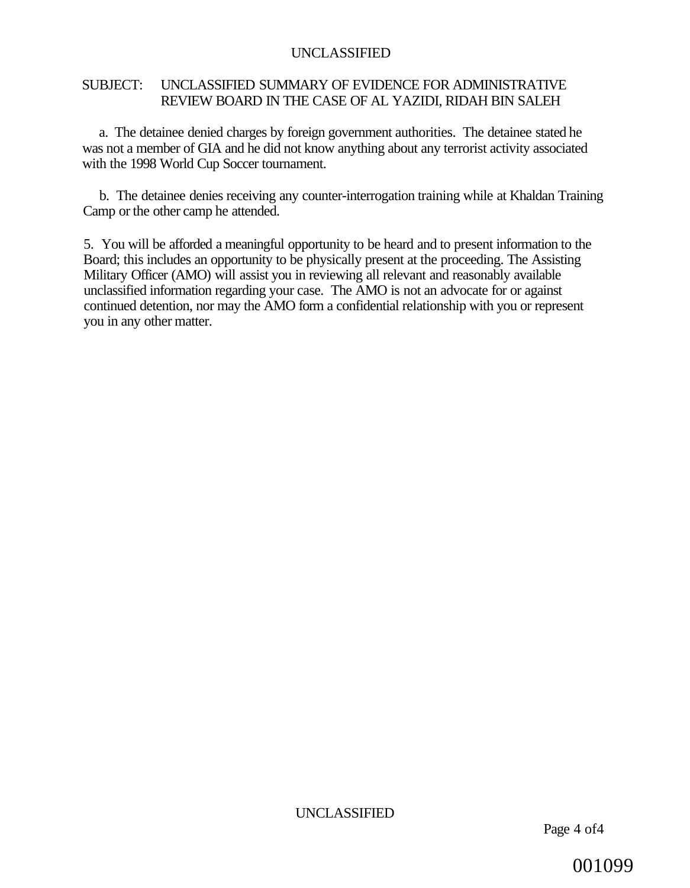#### SUBJECT: UNCLASSIFIED SUMMARY OF EVIDENCE FOR ADMINISTRATIVE REVIEW BOARD IN THE CASE OF AL YAZIDI, RIDAH BIN SALEH

a. The detainee denied charges by foreign government authorities. The detainee stated he was not a member of GIA and he did not know anything about any terrorist activity associated with the 1998 World Cup Soccer tournament.

b. The detainee denies receiving any counter-interrogation training while at Khaldan Training Camp or the other camp he attended.

5. You will be afforded a meaningful opportunity to be heard and to present information to the Board; this includes an opportunity to be physically present at the proceeding. The Assisting Military Officer (AMO) will assist you in reviewing all relevant and reasonably available unclassified information regarding your case. The AMO is not an advocate for or against continued detention, nor may the AMO form a confidential relationship with you or represent you in any other matter.

001099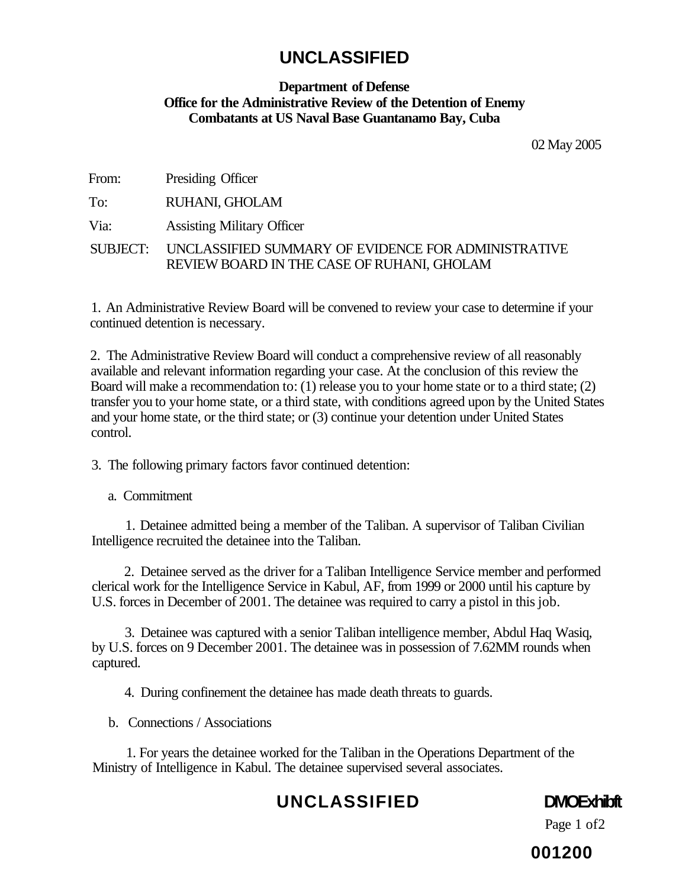#### **Department of Defense Office for the Administrative Review of the Detention of Enemy Combatants at US Naval Base Guantanamo Bay, Cuba**

02 May 2005

| From: | Presiding Officer |
|-------|-------------------|
|-------|-------------------|

To: RUHANI, GHOLAM

Via: Assisting Military Officer

SUBJECT: UNCLASSIFIED SUMMARY OF EVIDENCE FOR ADMINISTRATIVE REVIEW BOARD IN THE CASE OF RUHANI, GHOLAM

1. An Administrative Review Board will be convened to review your case to determine if your continued detention is necessary.

2. The Administrative Review Board will conduct a comprehensive review of all reasonably available and relevant information regarding your case. At the conclusion of this review the Board will make a recommendation to: (1) release you to your home state or to a third state; (2) transfer you to your home state, or a third state, with conditions agreed upon by the United States and your home state, or the third state; or (3) continue your detention under United States control.

3. The following primary factors favor continued detention:

a. Commitment

1. Detainee admitted being a member of the Taliban. A supervisor of Taliban Civilian Intelligence recruited the detainee into the Taliban.

2. Detainee served as the driver for a Taliban Intelligence Service member and performed clerical work for the Intelligence Service in Kabul, AF, from 1999 or 2000 until his capture by U.S. forces in December of 2001. The detainee was required to carry a pistol in this job.

3. Detainee was captured with a senior Taliban intelligence member, Abdul Haq Wasiq, by U.S. forces on 9 December 2001. The detainee was in possession of 7.62MM rounds when captured.

4. During confinement the detainee has made death threats to guards.

b. Connections / Associations

1. For years the detainee worked for the Taliban in the Operations Department of the Ministry of Intelligence in Kabul. The detainee supervised several associates.

## **UNCLASSIFIED DMOExhibft**

Page 1 of2

**001200**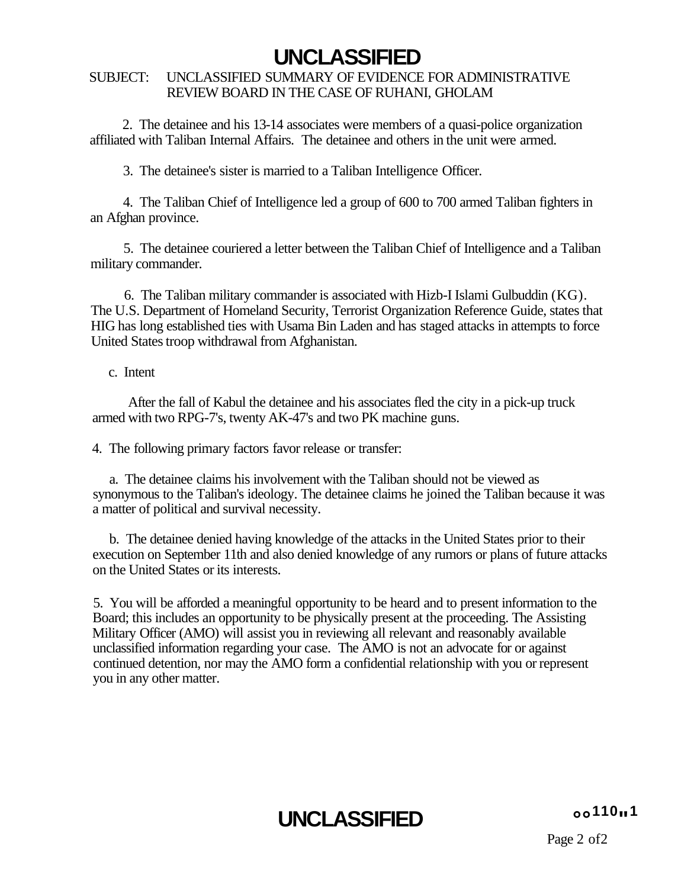#### SUBJECT: UNCLASSIFIED SUMMARY OF EVIDENCE FOR ADMINISTRATIVE REVIEW BOARD IN THE CASE OF RUHANI, GHOLAM

2. The detainee and his 13-14 associates were members of a quasi-police organization affiliated with Taliban Internal Affairs. The detainee and others in the unit were armed.

3. The detainee's sister is married to a Taliban Intelligence Officer.

4. The Taliban Chief of Intelligence led a group of 600 to 700 armed Taliban fighters in an Afghan province.

5. The detainee couriered a letter between the Taliban Chief of Intelligence and a Taliban military commander.

6. The Taliban military commander is associated with Hizb-I Islami Gulbuddin (KG). The U.S. Department of Homeland Security, Terrorist Organization Reference Guide, states that HIG has long established ties with Usama Bin Laden and has staged attacks in attempts to force United States troop withdrawal from Afghanistan.

#### c. Intent

After the fall of Kabul the detainee and his associates fled the city in a pick-up truck armed with two RPG-7's, twenty AK-47's and two PK machine guns.

4. The following primary factors favor release or transfer:

a. The detainee claims his involvement with the Taliban should not be viewed as synonymous to the Taliban's ideology. The detainee claims he joined the Taliban because it was a matter of political and survival necessity.

b. The detainee denied having knowledge of the attacks in the United States prior to their execution on September 11th and also denied knowledge of any rumors or plans of future attacks on the United States or its interests.

5. You will be afforded a meaningful opportunity to be heard and to present information to the Board; this includes an opportunity to be physically present at the proceeding. The Assisting Military Officer (AMO) will assist you in reviewing all relevant and reasonably available unclassified information regarding your case. The AMO is not an advocate for or against continued detention, nor may the AMO form a confidential relationship with you or represent you in any other matter.

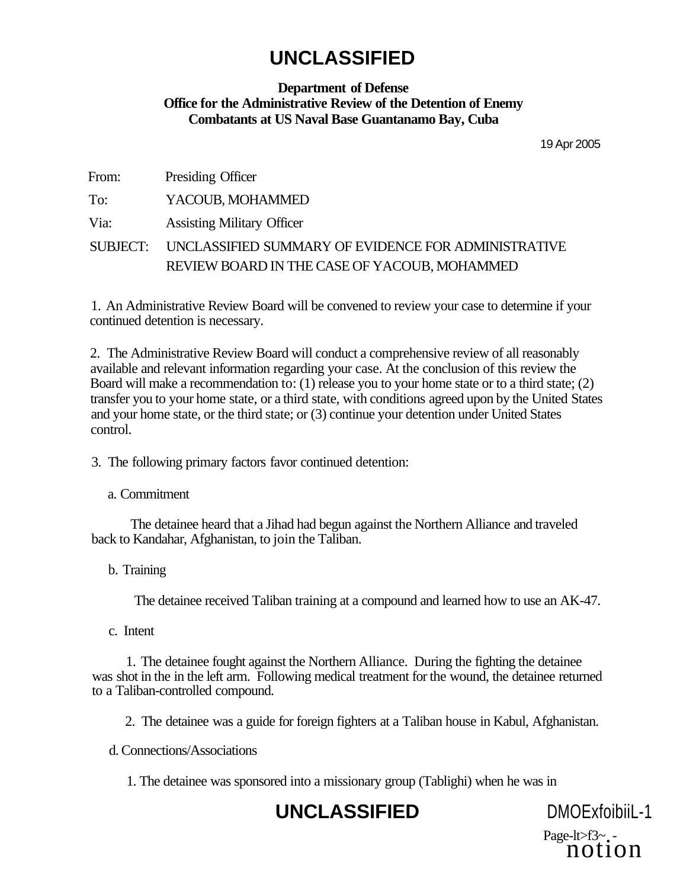#### **Department of Defense Office for the Administrative Review of the Detention of Enemy Combatants at US Naval Base Guantanamo Bay, Cuba**

19 Apr 2005

| From: | Presiding Officer |
|-------|-------------------|
|       |                   |

To: YACOUB, MOHAMMED

Via: Assisting Military Officer

SUBJECT: UNCLASSIFIED SUMMARY OF EVIDENCE FOR ADMINISTRATIVE REVIEW BOARD IN THE CASE OF YACOUB, MOHAMMED

1. An Administrative Review Board will be convened to review your case to determine if your continued detention is necessary.

2. The Administrative Review Board will conduct a comprehensive review of all reasonably available and relevant information regarding your case. At the conclusion of this review the Board will make a recommendation to: (1) release you to your home state or to a third state; (2) transfer you to your home state, or a third state, with conditions agreed upon by the United States and your home state, or the third state; or (3) continue your detention under United States control.

3. The following primary factors favor continued detention:

a. Commitment

The detainee heard that a Jihad had begun against the Northern Alliance and traveled back to Kandahar, Afghanistan, to join the Taliban.

b. Training

The detainee received Taliban training at a compound and learned how to use an AK-47.

c. Intent

1. The detainee fought against the Northern Alliance. During the fighting the detainee was shot in the in the left arm. Following medical treatment for the wound, the detainee returned to a Taliban-controlled compound.

2. The detainee was a guide for foreign fighters at a Taliban house in Kabul, Afghanistan.

d. Connections/Associations

1. The detainee was sponsored into a missionary group (Tablighi) when he was in

## **UNCLASSIFIED** DMOExfoibiiL-1

Page-lt>f3~.-<br>notion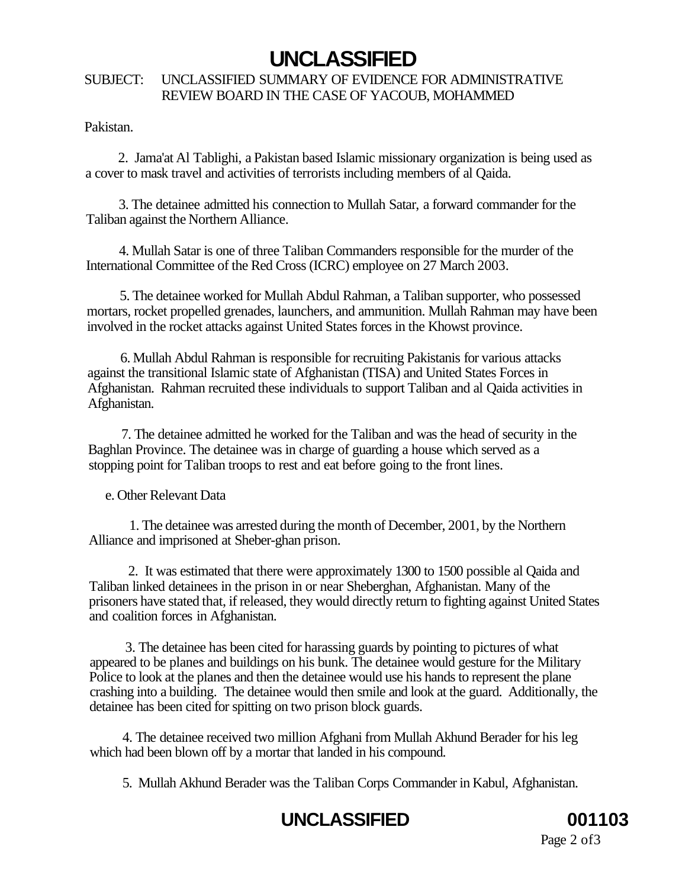#### SUBJECT: UNCLASSIFIED SUMMARY OF EVIDENCE FOR ADMINISTRATIVE REVIEW BOARD IN THE CASE OF YACOUB, MOHAMMED

Pakistan.

2. Jama'at Al Tablighi, a Pakistan based Islamic missionary organization is being used as a cover to mask travel and activities of terrorists including members of al Qaida.

3. The detainee admitted his connection to Mullah Satar, a forward commander for the Taliban against the Northern Alliance.

4. Mullah Satar is one of three Taliban Commanders responsible for the murder of the International Committee of the Red Cross (ICRC) employee on 27 March 2003.

5. The detainee worked for Mullah Abdul Rahman, a Taliban supporter, who possessed mortars, rocket propelled grenades, launchers, and ammunition. Mullah Rahman may have been involved in the rocket attacks against United States forces in the Khowst province.

6. Mullah Abdul Rahman is responsible for recruiting Pakistanis for various attacks against the transitional Islamic state of Afghanistan (TISA) and United States Forces in Afghanistan. Rahman recruited these individuals to support Taliban and al Qaida activities in Afghanistan.

7. The detainee admitted he worked for the Taliban and was the head of security in the Baghlan Province. The detainee was in charge of guarding a house which served as a stopping point for Taliban troops to rest and eat before going to the front lines.

e. Other Relevant Data

1. The detainee was arrested during the month of December, 2001, by the Northern Alliance and imprisoned at Sheber-ghan prison.

2. It was estimated that there were approximately 1300 to 1500 possible al Qaida and Taliban linked detainees in the prison in or near Sheberghan, Afghanistan. Many of the prisoners have stated that, if released, they would directly return to fighting against United States and coalition forces in Afghanistan.

3. The detainee has been cited for harassing guards by pointing to pictures of what appeared to be planes and buildings on his bunk. The detainee would gesture for the Military Police to look at the planes and then the detainee would use his hands to represent the plane crashing into a building. The detainee would then smile and look at the guard. Additionally, the detainee has been cited for spitting on two prison block guards.

4. The detainee received two million Afghani from Mullah Akhund Berader for his leg which had been blown off by a mortar that landed in his compound.

5. Mullah Akhund Berader was the Taliban Corps Commander in Kabul, Afghanistan.

# **UNCLASSIFIED 001103**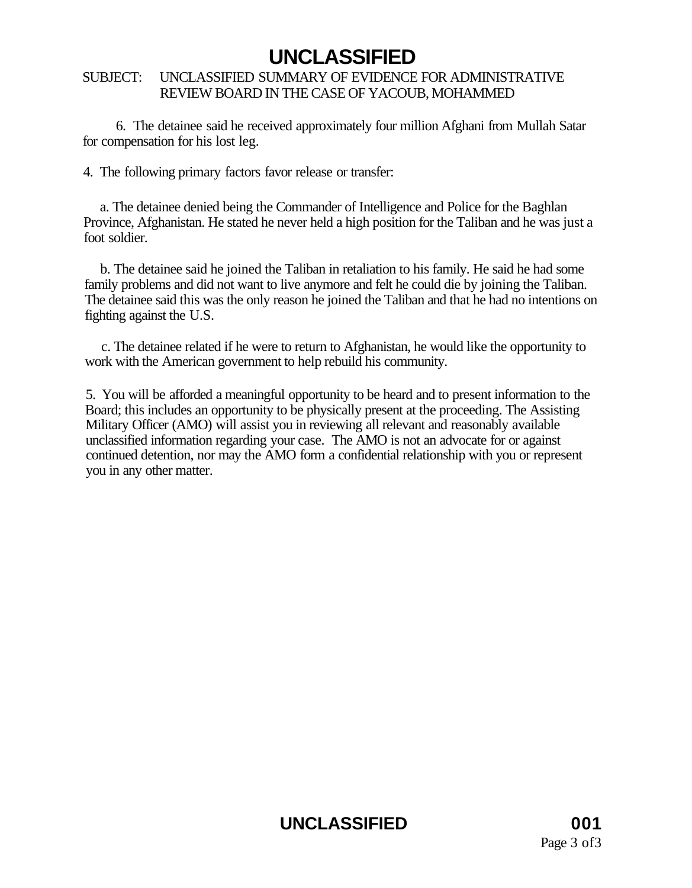#### SUBJECT: UNCLASSIFIED SUMMARY OF EVIDENCE FOR ADMINISTRATIVE REVIEW BOARD IN THE CASE OF YACOUB, MOHAMMED

6. The detainee said he received approximately four million Afghani from Mullah Satar for compensation for his lost leg.

4. The following primary factors favor release or transfer:

a. The detainee denied being the Commander of Intelligence and Police for the Baghlan Province, Afghanistan. He stated he never held a high position for the Taliban and he was just a foot soldier.

b. The detainee said he joined the Taliban in retaliation to his family. He said he had some family problems and did not want to live anymore and felt he could die by joining the Taliban. The detainee said this was the only reason he joined the Taliban and that he had no intentions on fighting against the U.S.

c. The detainee related if he were to return to Afghanistan, he would like the opportunity to work with the American government to help rebuild his community.

5. You will be afforded a meaningful opportunity to be heard and to present information to the Board; this includes an opportunity to be physically present at the proceeding. The Assisting Military Officer (AMO) will assist you in reviewing all relevant and reasonably available unclassified information regarding your case. The AMO is not an advocate for or against continued detention, nor may the AMO form a confidential relationship with you or represent you in any other matter.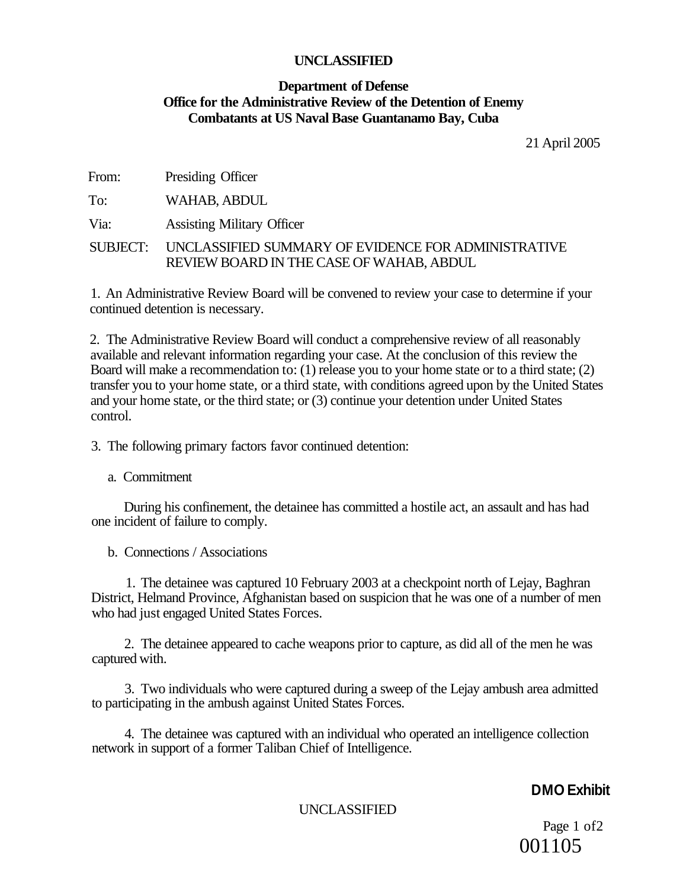#### **Department of Defense Office for the Administrative Review of the Detention of Enemy Combatants at US Naval Base Guantanamo Bay, Cuba**

21 April 2005

From: Presiding Officer

To: WAHAB, ABDUL

Via: Assisting Military Officer

SUBJECT: UNCLASSIFIED SUMMARY OF EVIDENCE FOR ADMINISTRATIVE REVIEW BOARD IN THE CASE OF WAHAB, ABDUL

1. An Administrative Review Board will be convened to review your case to determine if your continued detention is necessary.

2. The Administrative Review Board will conduct a comprehensive review of all reasonably available and relevant information regarding your case. At the conclusion of this review the Board will make a recommendation to: (1) release you to your home state or to a third state; (2) transfer you to your home state, or a third state, with conditions agreed upon by the United States and your home state, or the third state; or (3) continue your detention under United States control.

3. The following primary factors favor continued detention:

a. Commitment

During his confinement, the detainee has committed a hostile act, an assault and has had one incident of failure to comply.

b. Connections / Associations

1. The detainee was captured 10 February 2003 at a checkpoint north of Lejay, Baghran District, Helmand Province, Afghanistan based on suspicion that he was one of a number of men who had just engaged United States Forces.

2. The detainee appeared to cache weapons prior to capture, as did all of the men he was captured with.

3. Two individuals who were captured during a sweep of the Lejay ambush area admitted to participating in the ambush against United States Forces.

4. The detainee was captured with an individual who operated an intelligence collection network in support of a former Taliban Chief of Intelligence.

### **DMO Exhibit**

UNCLASSIFIED

Page 1 of2 001105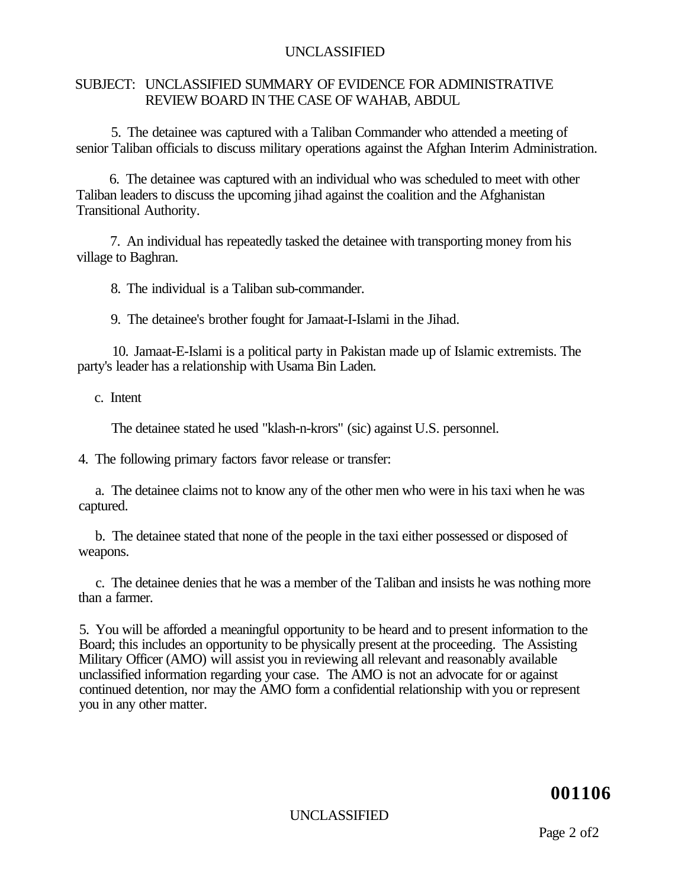#### SUBJECT: UNCLASSIFIED SUMMARY OF EVIDENCE FOR ADMINISTRATIVE REVIEW BOARD IN THE CASE OF WAHAB, ABDUL

5. The detainee was captured with a Taliban Commander who attended a meeting of senior Taliban officials to discuss military operations against the Afghan Interim Administration.

6. The detainee was captured with an individual who was scheduled to meet with other Taliban leaders to discuss the upcoming jihad against the coalition and the Afghanistan Transitional Authority.

7. An individual has repeatedly tasked the detainee with transporting money from his village to Baghran.

8. The individual is a Taliban sub-commander.

9. The detainee's brother fought for Jamaat-I-Islami in the Jihad.

10. Jamaat-E-Islami is a political party in Pakistan made up of Islamic extremists. The party's leader has a relationship with Usama Bin Laden.

c. Intent

The detainee stated he used "klash-n-krors" (sic) against U.S. personnel.

4. The following primary factors favor release or transfer:

a. The detainee claims not to know any of the other men who were in his taxi when he was captured.

b. The detainee stated that none of the people in the taxi either possessed or disposed of weapons.

c. The detainee denies that he was a member of the Taliban and insists he was nothing more than a farmer.

5. You will be afforded a meaningful opportunity to be heard and to present information to the Board; this includes an opportunity to be physically present at the proceeding. The Assisting Military Officer (AMO) will assist you in reviewing all relevant and reasonably available unclassified information regarding your case. The AMO is not an advocate for or against continued detention, nor may the AMO form a confidential relationship with you or represent you in any other matter.

**001106** 

UNCLASSIFIED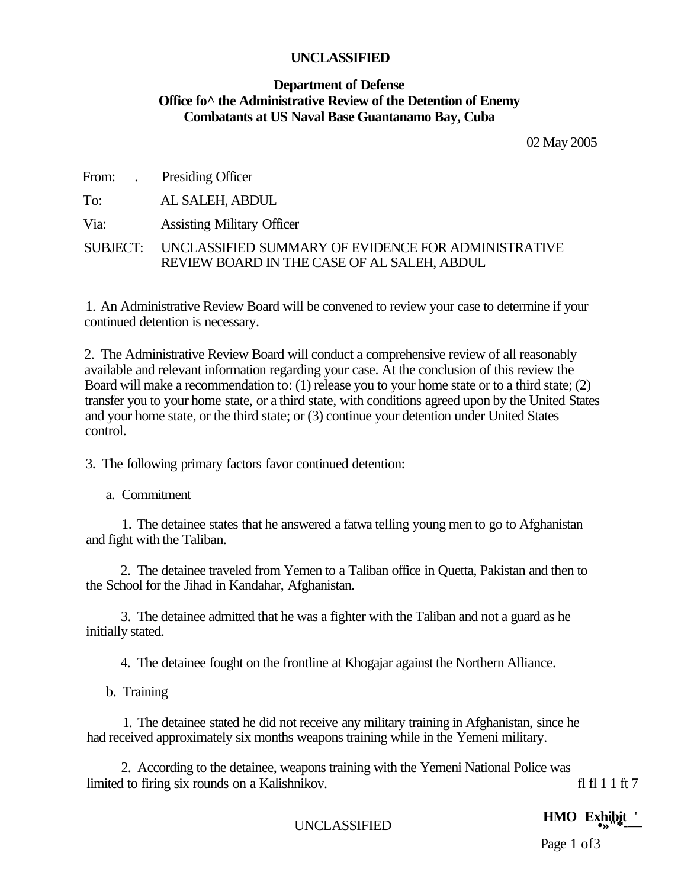#### **Department of Defense Office fo^ the Administrative Review of the Detention of Enemy Combatants at US Naval Base Guantanamo Bay, Cuba**

02 May 2005

From: . Presiding Officer

To: AL SALEH, ABDUL

Via: Assisting Military Officer

SUBJECT: UNCLASSIFIED SUMMARY OF EVIDENCE FOR ADMINISTRATIVE REVIEW BOARD IN THE CASE OF AL SALEH, ABDUL

1. An Administrative Review Board will be convened to review your case to determine if your continued detention is necessary.

2. The Administrative Review Board will conduct a comprehensive review of all reasonably available and relevant information regarding your case. At the conclusion of this review the Board will make a recommendation to: (1) release you to your home state or to a third state; (2) transfer you to your home state, or a third state, with conditions agreed upon by the United States and your home state, or the third state; or (3) continue your detention under United States control.

3. The following primary factors favor continued detention:

a. Commitment

1. The detainee states that he answered a fatwa telling young men to go to Afghanistan and fight with the Taliban.

2. The detainee traveled from Yemen to a Taliban office in Quetta, Pakistan and then to the School for the Jihad in Kandahar, Afghanistan.

3. The detainee admitted that he was a fighter with the Taliban and not a guard as he initially stated.

4. The detainee fought on the frontline at Khogajar against the Northern Alliance.

b. Training

1. The detainee stated he did not receive any military training in Afghanistan, since he had received approximately six months weapons training while in the Yemeni military.

2. According to the detainee, weapons training with the Yemeni National Police was limited to firing six rounds on a Kalishnikov. fl fl 1 1 ft 7

**HMO Exhibit**<br>with the example of the example of  $\frac{1}{2}$  and  $\frac{1}{2}$  and  $\frac{1}{2}$  and  $\frac{1}{2}$  and  $\frac{1}{2}$  and  $\frac{1}{2}$  and  $\frac{1}{2}$  and  $\frac{1}{2}$  and  $\frac{1}{2}$  and  $\frac{1}{2}$  and  $\frac{1}{2}$  and  $\frac{1}{2}$  and  $\frac{1$ 

Page 1 of 3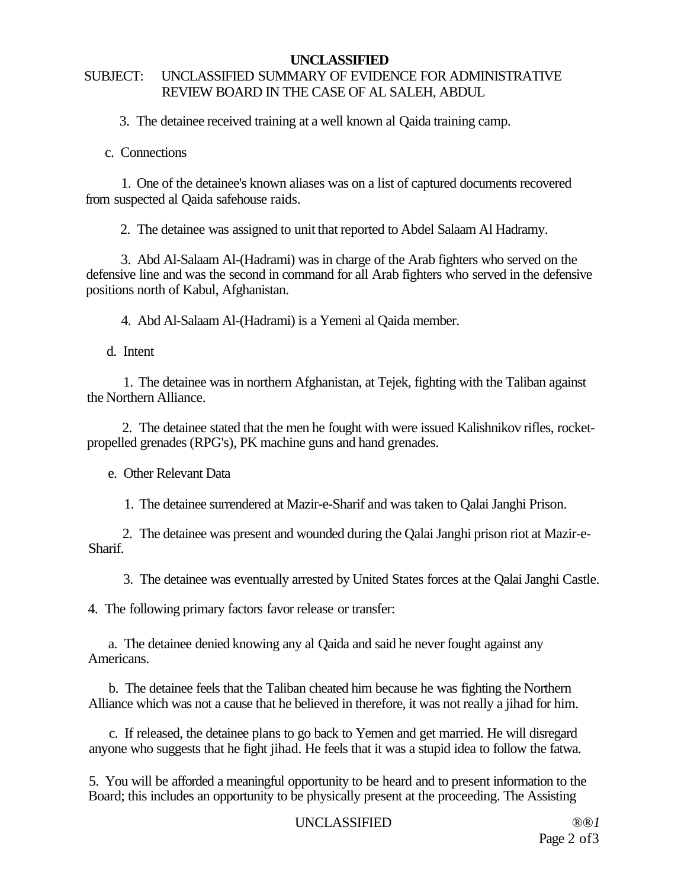### SUBJECT: UNCLASSIFIED SUMMARY OF EVIDENCE FOR ADMINISTRATIVE REVIEW BOARD IN THE CASE OF AL SALEH, ABDUL

3. The detainee received training at a well known al Qaida training camp.

c. Connections

1. One of the detainee's known aliases was on a list of captured documents recovered from suspected al Qaida safehouse raids.

2. The detainee was assigned to unit that reported to Abdel Salaam Al Hadramy.

3. Abd Al-Salaam Al-(Hadrami) was in charge of the Arab fighters who served on the defensive line and was the second in command for all Arab fighters who served in the defensive positions north of Kabul, Afghanistan.

4. Abd Al-Salaam Al-(Hadrami) is a Yemeni al Qaida member.

d. Intent

1. The detainee was in northern Afghanistan, at Tejek, fighting with the Taliban against the Northern Alliance.

2. The detainee stated that the men he fought with were issued Kalishnikov rifles, rocketpropelled grenades (RPG's), PK machine guns and hand grenades.

e. Other Relevant Data

1. The detainee surrendered at Mazir-e-Sharif and was taken to Qalai Janghi Prison.

2. The detainee was present and wounded during the Qalai Janghi prison riot at Mazir-e-Sharif.

3. The detainee was eventually arrested by United States forces at the Qalai Janghi Castle.

4. The following primary factors favor release or transfer:

a. The detainee denied knowing any al Qaida and said he never fought against any Americans.

b. The detainee feels that the Taliban cheated him because he was fighting the Northern Alliance which was not a cause that he believed in therefore, it was not really a jihad for him.

c. If released, the detainee plans to go back to Yemen and get married. He will disregard anyone who suggests that he fight jihad. He feels that it was a stupid idea to follow the fatwa.

5. You will be afforded a meaningful opportunity to be heard and to present information to the Board; this includes an opportunity to be physically present at the proceeding. The Assisting

### UNCLASSIFIED *®®1*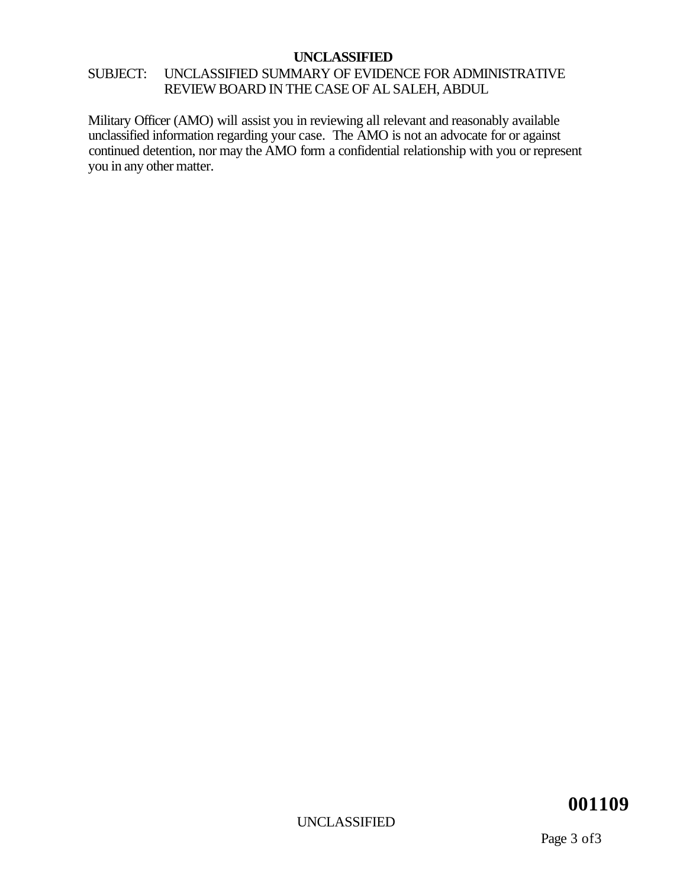### SUBJECT: UNCLASSIFIED SUMMARY OF EVIDENCE FOR ADMINISTRATIVE REVIEW BOARD IN THE CASE OF AL SALEH, ABDUL

Military Officer (AMO) will assist you in reviewing all relevant and reasonably available unclassified information regarding your case. The AMO is not an advocate for or against continued detention, nor may the AMO form a confidential relationship with you or represent you in any other matter.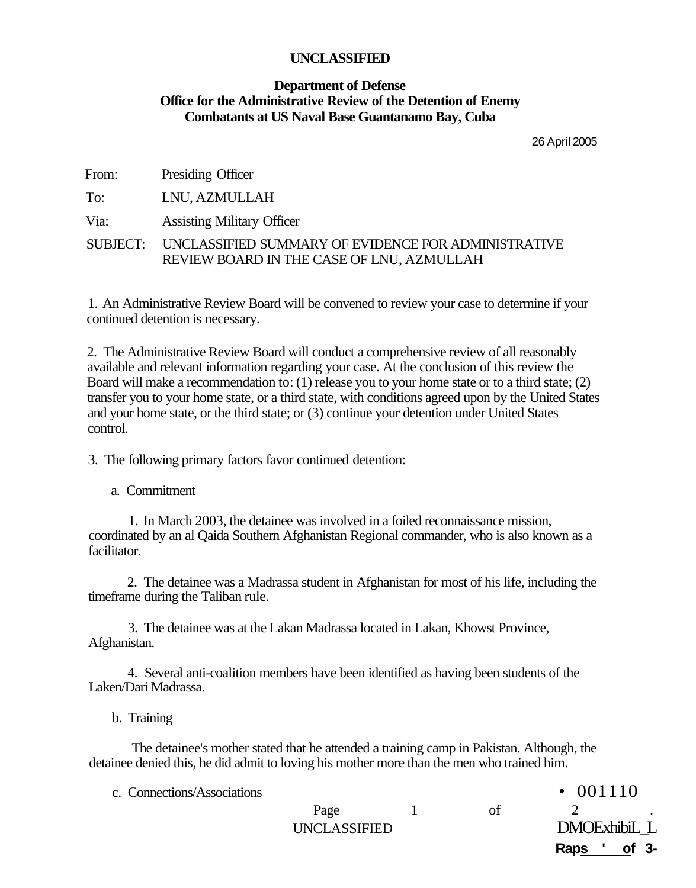#### **Department of Defense Office for the Administrative Review of the Detention of Enemy Combatants at US Naval Base Guantanamo Bay, Cuba**

26 April 2005

| From: | Presiding Officer                                                                                         |
|-------|-----------------------------------------------------------------------------------------------------------|
| To:   | LNU, AZMULLAH                                                                                             |
| Via:  | <b>Assisting Military Officer</b>                                                                         |
|       | SUBJECT: UNCLASSIFIED SUMMARY OF EVIDENCE FOR ADMINISTRATIVE<br>REVIEW BOARD IN THE CASE OF LNU, AZMULLAH |

1. An Administrative Review Board will be convened to review your case to determine if your continued detention is necessary.

2. The Administrative Review Board will conduct a comprehensive review of all reasonably available and relevant information regarding your case. At the conclusion of this review the Board will make a recommendation to: (1) release you to your home state or to a third state; (2) transfer you to your home state, or a third state, with conditions agreed upon by the United States and your home state, or the third state; or (3) continue your detention under United States control.

3. The following primary factors favor continued detention:

a. Commitment

1. In March 2003, the detainee was involved in a foiled reconnaissance mission, coordinated by an al Qaida Southern Afghanistan Regional commander, who is also known as a facilitator.

2. The detainee was a Madrassa student in Afghanistan for most of his life, including the timeframe during the Taliban rule.

3. The detainee was at the Lakan Madrassa located in Lakan, Khowst Province, Afghanistan.

4. Several anti-coalition members have been identified as having been students of the Laken/Dari Madrassa.

b. Training

The detainee's mother stated that he attended a training camp in Pakistan. Although, the detainee denied this, he did admit to loving his mother more than the men who trained him.

c. Connections/Associations • 001110

| <b>0.W</b> |              |  | $\mathbf{v}$ $\mathbf{v}$ $\mathbf{v}$ $\mathbf{v}$ |  |
|------------|--------------|--|-----------------------------------------------------|--|
|            | Page         |  |                                                     |  |
|            | UNCLASSIFIED |  | DMOExhibiL L                                        |  |
|            |              |  | Raps ' of 3-                                        |  |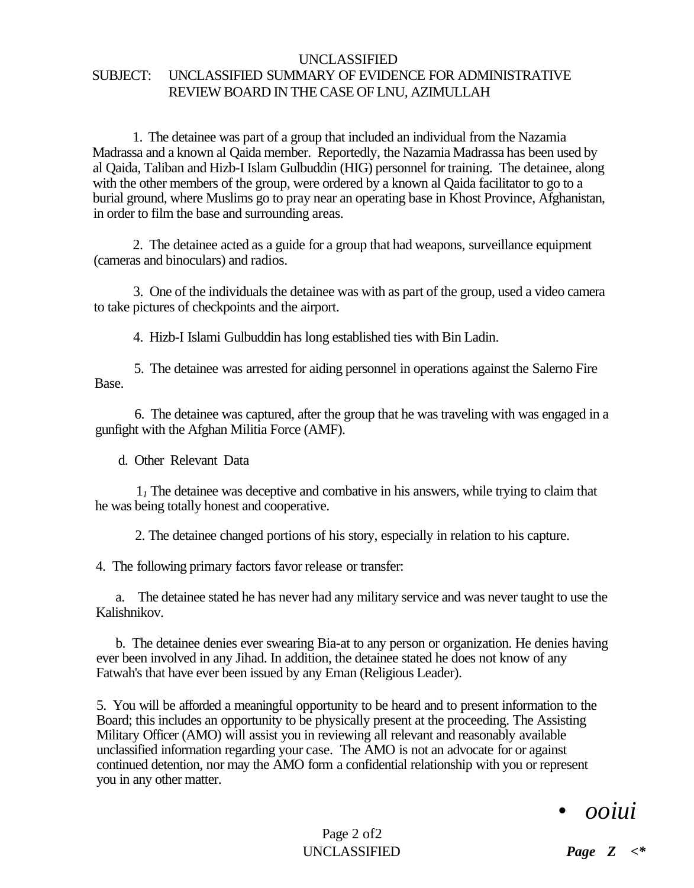#### UNCLASSIFIED SUBJECT: UNCLASSIFIED SUMMARY OF EVIDENCE FOR ADMINISTRATIVE REVIEW BOARD IN THE CASE OF LNU, AZIMULLAH

1. The detainee was part of a group that included an individual from the Nazamia Madrassa and a known al Qaida member. Reportedly, the Nazamia Madrassa has been used by al Qaida, Taliban and Hizb-I Islam Gulbuddin (HIG) personnel for training. The detainee, along with the other members of the group, were ordered by a known al Qaida facilitator to go to a burial ground, where Muslims go to pray near an operating base in Khost Province, Afghanistan, in order to film the base and surrounding areas.

2. The detainee acted as a guide for a group that had weapons, surveillance equipment (cameras and binoculars) and radios.

3. One of the individuals the detainee was with as part of the group, used a video camera to take pictures of checkpoints and the airport.

4. Hizb-I Islami Gulbuddin has long established ties with Bin Ladin.

5. The detainee was arrested for aiding personnel in operations against the Salerno Fire Base.

6. The detainee was captured, after the group that he was traveling with was engaged in a gunfight with the Afghan Militia Force (AMF).

d. Other Relevant Data

1*1* The detainee was deceptive and combative in his answers, while trying to claim that he was being totally honest and cooperative.

2. The detainee changed portions of his story, especially in relation to his capture.

4. The following primary factors favor release or transfer:

a. The detainee stated he has never had any military service and was never taught to use the Kalishnikov.

b. The detainee denies ever swearing Bia-at to any person or organization. He denies having ever been involved in any Jihad. In addition, the detainee stated he does not know of any Fatwah's that have ever been issued by any Eman (Religious Leader).

5. You will be afforded a meaningful opportunity to be heard and to present information to the Board; this includes an opportunity to be physically present at the proceeding. The Assisting Military Officer (AMO) will assist you in reviewing all relevant and reasonably available unclassified information regarding your case. The AMO is not an advocate for or against continued detention, nor may the AMO form a confidential relationship with you or represent you in any other matter.

## • *ooiui*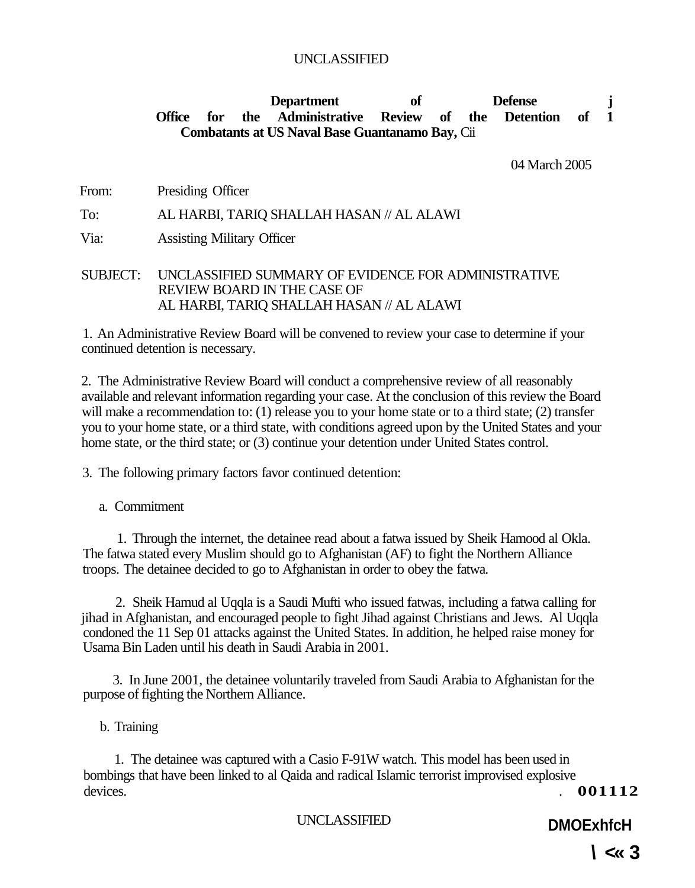#### Department of Defense j **Office for the Administrative Review of the Detention of 1 Combatants at US Naval Base Guantanamo Bay,** Cii

04 March 2005

From: Presiding Officer

#### To: AL HARBI, TARIQ SHALLAH HASAN // AL ALAWI

Via: Assisting Military Officer

SUBJECT: UNCLASSIFIED SUMMARY OF EVIDENCE FOR ADMINISTRATIVE REVIEW BOARD IN THE CASE OF AL HARBI, TARIQ SHALLAH HASAN // AL ALAWI

1. An Administrative Review Board will be convened to review your case to determine if your continued detention is necessary.

2. The Administrative Review Board will conduct a comprehensive review of all reasonably available and relevant information regarding your case. At the conclusion of this review the Board will make a recommendation to: (1) release you to your home state or to a third state; (2) transfer you to your home state, or a third state, with conditions agreed upon by the United States and your home state, or the third state; or (3) continue your detention under United States control.

3. The following primary factors favor continued detention:

a. Commitment

1. Through the internet, the detainee read about a fatwa issued by Sheik Hamood al Okla. The fatwa stated every Muslim should go to Afghanistan (AF) to fight the Northern Alliance troops. The detainee decided to go to Afghanistan in order to obey the fatwa.

2. Sheik Hamud al Uqqla is a Saudi Mufti who issued fatwas, including a fatwa calling for jihad in Afghanistan, and encouraged people to fight Jihad against Christians and Jews. Al Uqqla condoned the 11 Sep 01 attacks against the United States. In addition, he helped raise money for Usama Bin Laden until his death in Saudi Arabia in 2001.

3. In June 2001, the detainee voluntarily traveled from Saudi Arabia to Afghanistan for the purpose of fighting the Northern Alliance.

b. Training

1. The detainee was captured with a Casio F-91W watch. This model has been used in bombings that have been linked to al Qaida and radical Islamic terrorist improvised explosive devices. 001112

UNCLASSIFIED **DMOExhfcH**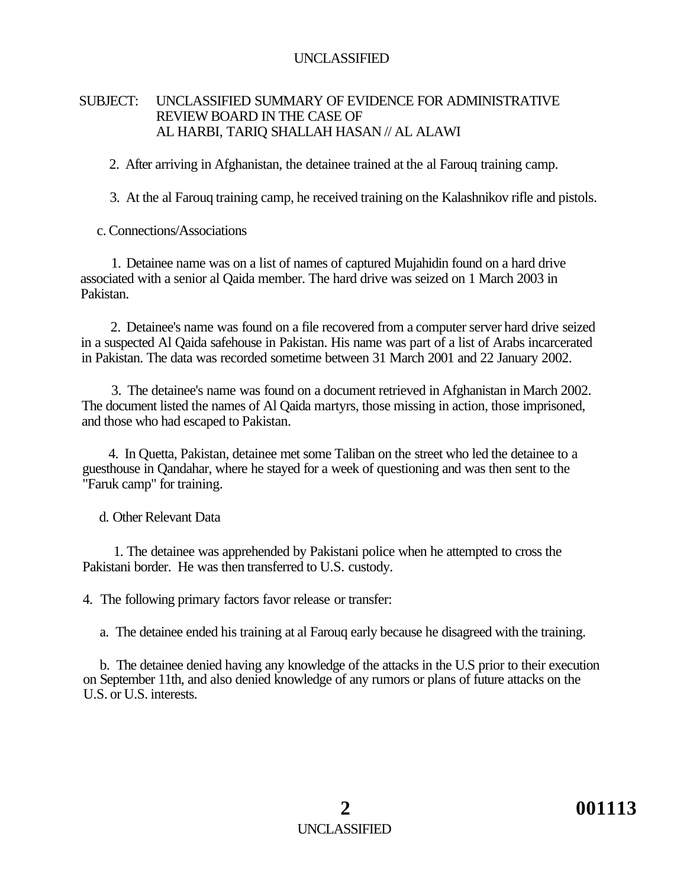#### SUBJECT: UNCLASSIFIED SUMMARY OF EVIDENCE FOR ADMINISTRATIVE REVIEW BOARD IN THE CASE OF AL HARBI, TARIQ SHALLAH HASAN // AL ALAWI

2. After arriving in Afghanistan, the detainee trained at the al Farouq training camp.

3. At the al Farouq training camp, he received training on the Kalashnikov rifle and pistols.

c. Connections/Associations

1. Detainee name was on a list of names of captured Mujahidin found on a hard drive associated with a senior al Qaida member. The hard drive was seized on 1 March 2003 in Pakistan.

2. Detainee's name was found on a file recovered from a computer server hard drive seized in a suspected Al Qaida safehouse in Pakistan. His name was part of a list of Arabs incarcerated in Pakistan. The data was recorded sometime between 31 March 2001 and 22 January 2002.

3. The detainee's name was found on a document retrieved in Afghanistan in March 2002. The document listed the names of Al Qaida martyrs, those missing in action, those imprisoned, and those who had escaped to Pakistan.

4. In Quetta, Pakistan, detainee met some Taliban on the street who led the detainee to a guesthouse in Qandahar, where he stayed for a week of questioning and was then sent to the "Faruk camp" for training.

d. Other Relevant Data

1. The detainee was apprehended by Pakistani police when he attempted to cross the Pakistani border. He was then transferred to U.S. custody.

4. The following primary factors favor release or transfer:

a. The detainee ended his training at al Farouq early because he disagreed with the training.

b. The detainee denied having any knowledge of the attacks in the U.S prior to their execution on September 11th, and also denied knowledge of any rumors or plans of future attacks on the U.S. or U.S. interests.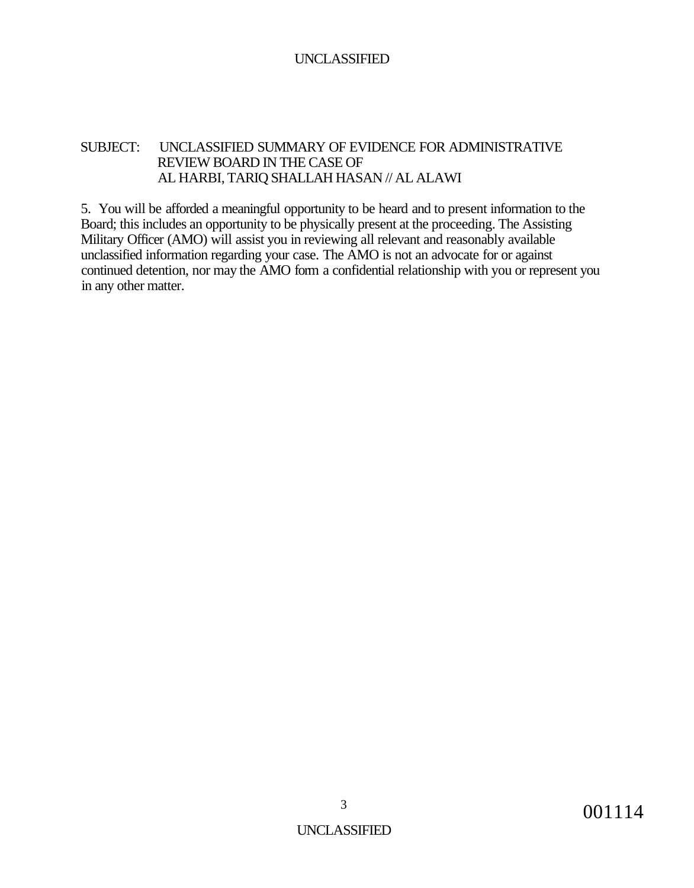#### SUBJECT: UNCLASSIFIED SUMMARY OF EVIDENCE FOR ADMINISTRATIVE REVIEW BOARD IN THE CASE OF AL HARBI, TARIQ SHALLAH HASAN // AL ALAWI

5. You will be afforded a meaningful opportunity to be heard and to present information to the Board; this includes an opportunity to be physically present at the proceeding. The Assisting Military Officer (AMO) will assist you in reviewing all relevant and reasonably available unclassified information regarding your case. The AMO is not an advocate for or against continued detention, nor may the AMO form a confidential relationship with you or represent you in any other matter.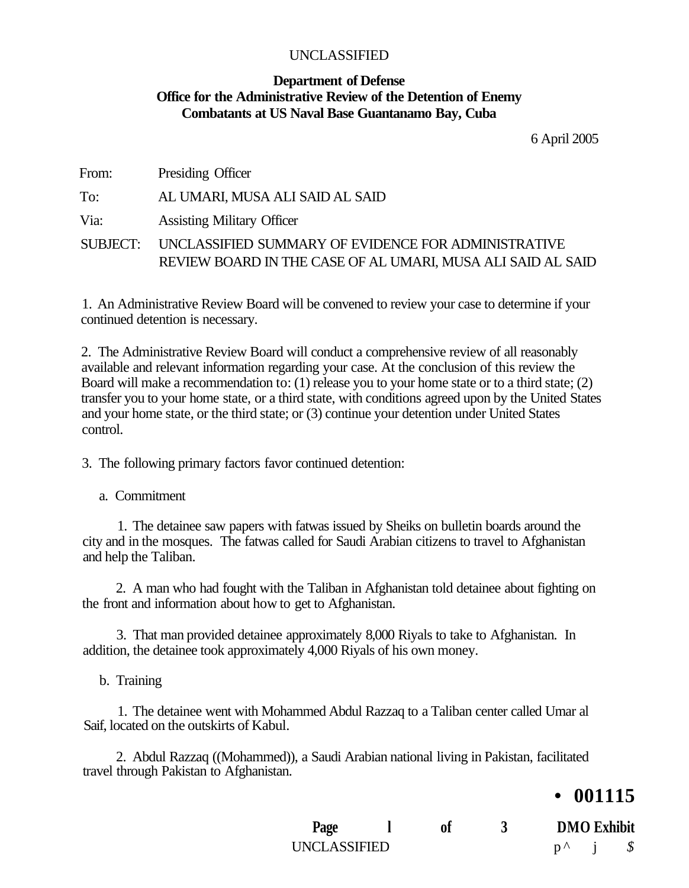#### **Department of Defense Office for the Administrative Review of the Detention of Enemy Combatants at US Naval Base Guantanamo Bay, Cuba**

6 April 2005

| From: | Presiding Officer                                                                                                           |
|-------|-----------------------------------------------------------------------------------------------------------------------------|
| To:   | AL UMARI, MUSA ALI SAID AL SAID                                                                                             |
| Via:  | <b>Assisting Military Officer</b>                                                                                           |
|       | SUBJECT: UNCLASSIFIED SUMMARY OF EVIDENCE FOR ADMINISTRATIVE<br>REVIEW BOARD IN THE CASE OF AL UMARI, MUSA ALI SAID AL SAID |

1. An Administrative Review Board will be convened to review your case to determine if your continued detention is necessary.

2. The Administrative Review Board will conduct a comprehensive review of all reasonably available and relevant information regarding your case. At the conclusion of this review the Board will make a recommendation to: (1) release you to your home state or to a third state; (2) transfer you to your home state, or a third state, with conditions agreed upon by the United States and your home state, or the third state; or (3) continue your detention under United States control.

3. The following primary factors favor continued detention:

a. Commitment

1. The detainee saw papers with fatwas issued by Sheiks on bulletin boards around the city and in the mosques. The fatwas called for Saudi Arabian citizens to travel to Afghanistan and help the Taliban.

2. A man who had fought with the Taliban in Afghanistan told detainee about fighting on the front and information about how to get to Afghanistan.

3. That man provided detainee approximately 8,000 Riyals to take to Afghanistan. In addition, the detainee took approximately 4,000 Riyals of his own money.

b. Training

1. The detainee went with Mohammed Abdul Razzaq to a Taliban center called Umar al Saif, located on the outskirts of Kabul.

2. Abdul Razzaq ((Mohammed)), a Saudi Arabian national living in Pakistan, facilitated travel through Pakistan to Afghanistan.

### **• 001115**

| Page         | of |  | <b>DMO</b> Exhibit |  |  |
|--------------|----|--|--------------------|--|--|
| UNCLASSIFIED |    |  |                    |  |  |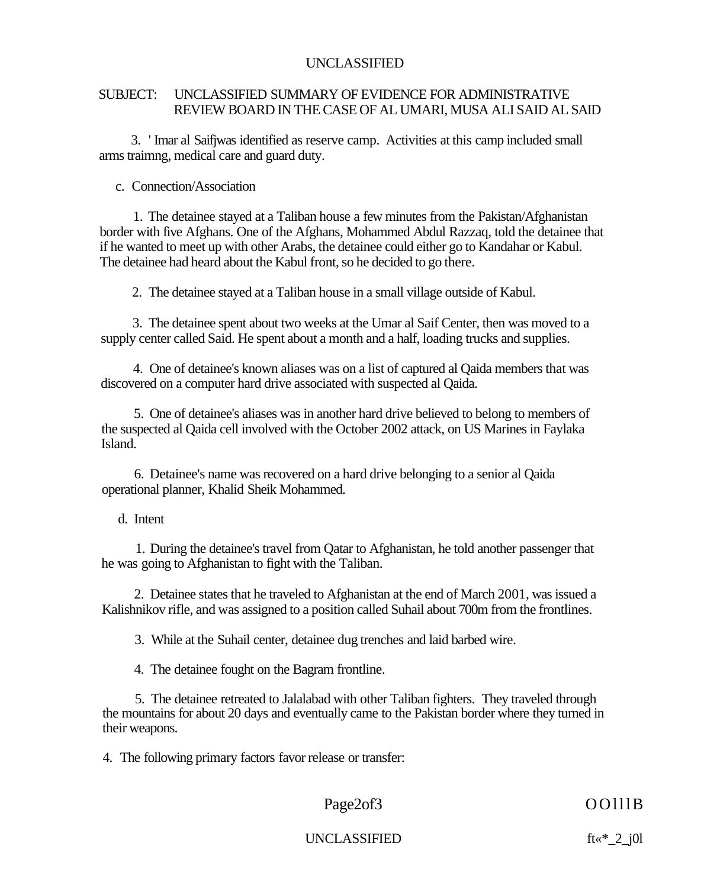#### SUBJECT: UNCLASSIFIED SUMMARY OF EVIDENCE FOR ADMINISTRATIVE REVIEW BOARD IN THE CASE OF AL UMARI, MUSA ALI SAID AL SAID

3. ' Imar al Saifjwas identified as reserve camp. Activities at this camp included small arms traimng, medical care and guard duty.

c. Connection/Association

1. The detainee stayed at a Taliban house a few minutes from the Pakistan/Afghanistan border with five Afghans. One of the Afghans, Mohammed Abdul Razzaq, told the detainee that if he wanted to meet up with other Arabs, the detainee could either go to Kandahar or Kabul. The detainee had heard about the Kabul front, so he decided to go there.

2. The detainee stayed at a Taliban house in a small village outside of Kabul.

3. The detainee spent about two weeks at the Umar al Saif Center, then was moved to a supply center called Said. He spent about a month and a half, loading trucks and supplies.

4. One of detainee's known aliases was on a list of captured al Qaida members that was discovered on a computer hard drive associated with suspected al Qaida.

5. One of detainee's aliases was in another hard drive believed to belong to members of the suspected al Qaida cell involved with the October 2002 attack, on US Marines in Faylaka Island.

6. Detainee's name was recovered on a hard drive belonging to a senior al Qaida operational planner, Khalid Sheik Mohammed.

d. Intent

1. During the detainee's travel from Qatar to Afghanistan, he told another passenger that he was going to Afghanistan to fight with the Taliban.

2. Detainee states that he traveled to Afghanistan at the end of March 2001, was issued a Kalishnikov rifle, and was assigned to a position called Suhail about 700m from the frontlines.

3. While at the Suhail center, detainee dug trenches and laid barbed wire.

4. The detainee fought on the Bagram frontline.

5. The detainee retreated to Jalalabad with other Taliban fighters. They traveled through the mountains for about 20 days and eventually came to the Pakistan border where they turned in their weapons.

4. The following primary factors favor release or transfer:

Page2of3 OOlllB

UNCLASSIFIED ft«\*\_2\_j0l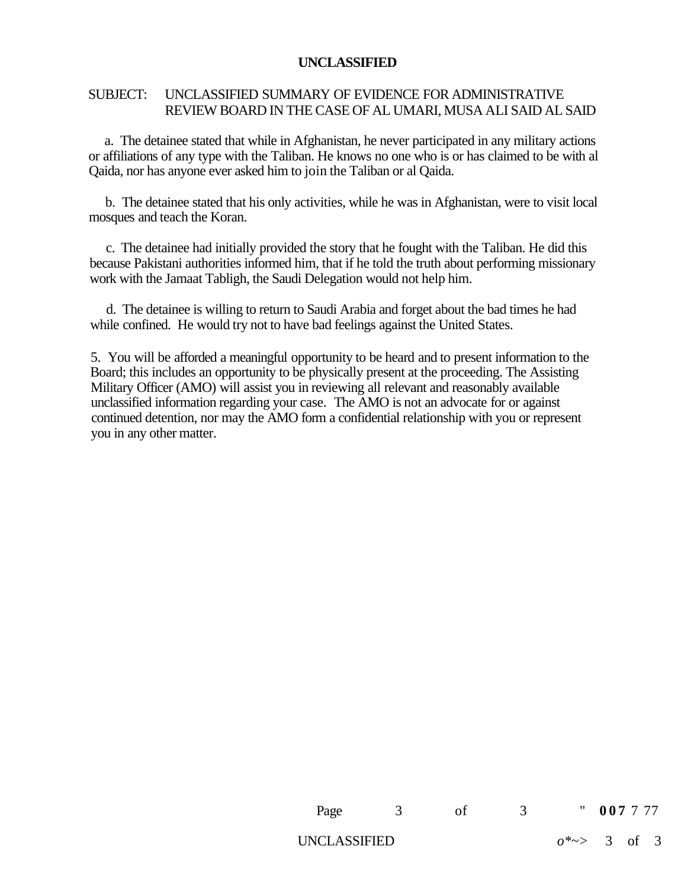#### SUBJECT: UNCLASSIFIED SUMMARY OF EVIDENCE FOR ADMINISTRATIVE REVIEW BOARD IN THE CASE OF AL UMARI, MUSA ALI SAID AL SAID

a. The detainee stated that while in Afghanistan, he never participated in any military actions or affiliations of any type with the Taliban. He knows no one who is or has claimed to be with al Qaida, nor has anyone ever asked him to join the Taliban or al Qaida.

b. The detainee stated that his only activities, while he was in Afghanistan, were to visit local mosques and teach the Koran.

c. The detainee had initially provided the story that he fought with the Taliban. He did this because Pakistani authorities informed him, that if he told the truth about performing missionary work with the Jamaat Tabligh, the Saudi Delegation would not help him.

d. The detainee is willing to return to Saudi Arabia and forget about the bad times he had while confined. He would try not to have bad feelings against the United States.

5. You will be afforded a meaningful opportunity to be heard and to present information to the Board; this includes an opportunity to be physically present at the proceeding. The Assisting Military Officer (AMO) will assist you in reviewing all relevant and reasonably available unclassified information regarding your case. The AMO is not an advocate for or against continued detention, nor may the AMO form a confidential relationship with you or represent you in any other matter.

| Page         | of a |                          | " 007777 |  |
|--------------|------|--------------------------|----------|--|
| UNCLASSIFIED |      | $0^* \rightarrow 3$ of 3 |          |  |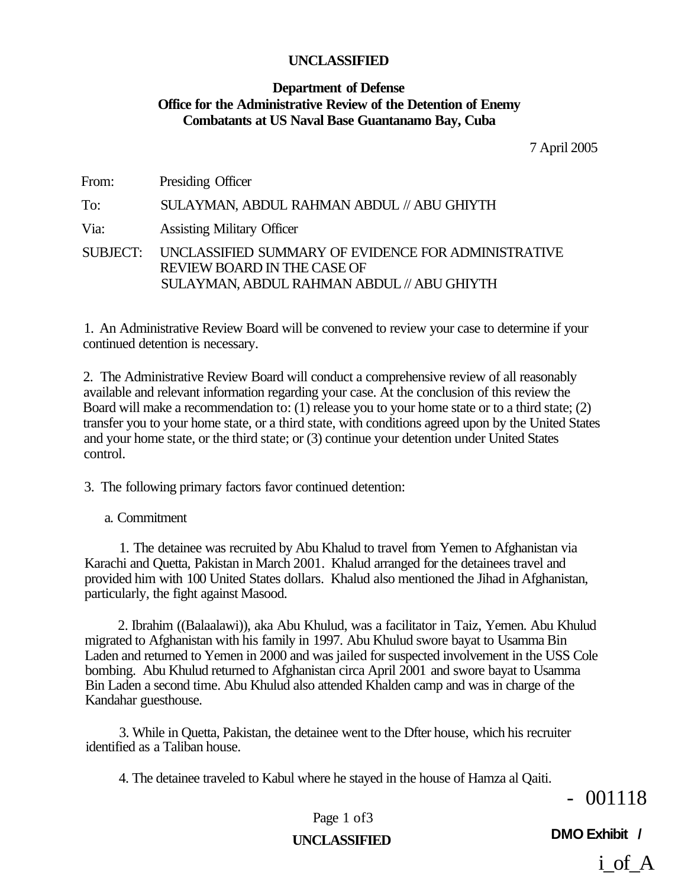#### **Department of Defense Office for the Administrative Review of the Detention of Enemy Combatants at US Naval Base Guantanamo Bay, Cuba**

7 April 2005

From: Presiding Officer To: SULAYMAN, ABDUL RAHMAN ABDUL // ABU GHIYTH Via: Assisting Military Officer SUBJECT: UNCLASSIFIED SUMMARY OF EVIDENCE FOR ADMINISTRATIVE REVIEW BOARD IN THE CASE OF SULAYMAN, ABDUL RAHMAN ABDUL // ABU GHIYTH

1. An Administrative Review Board will be convened to review your case to determine if your continued detention is necessary.

2. The Administrative Review Board will conduct a comprehensive review of all reasonably available and relevant information regarding your case. At the conclusion of this review the Board will make a recommendation to: (1) release you to your home state or to a third state; (2) transfer you to your home state, or a third state, with conditions agreed upon by the United States and your home state, or the third state; or (3) continue your detention under United States control.

3. The following primary factors favor continued detention:

#### a. Commitment

1. The detainee was recruited by Abu Khalud to travel from Yemen to Afghanistan via Karachi and Quetta, Pakistan in March 2001. Khalud arranged for the detainees travel and provided him with 100 United States dollars. Khalud also mentioned the Jihad in Afghanistan, particularly, the fight against Masood.

2. Ibrahim ((Balaalawi)), aka Abu Khulud, was a facilitator in Taiz, Yemen. Abu Khulud migrated to Afghanistan with his family in 1997. Abu Khulud swore bayat to Usamma Bin Laden and returned to Yemen in 2000 and was jailed for suspected involvement in the USS Cole bombing. Abu Khulud returned to Afghanistan circa April 2001 and swore bayat to Usamma Bin Laden a second time. Abu Khulud also attended Khalden camp and was in charge of the Kandahar guesthouse.

3. While in Quetta, Pakistan, the detainee went to the Dfter house, which his recruiter identified as a Taliban house.

4. The detainee traveled to Kabul where he stayed in the house of Hamza al Qaiti.

- 001118

Page 1 of 3

**DMO Exhibit / UNCLASSIFIED** 

i of A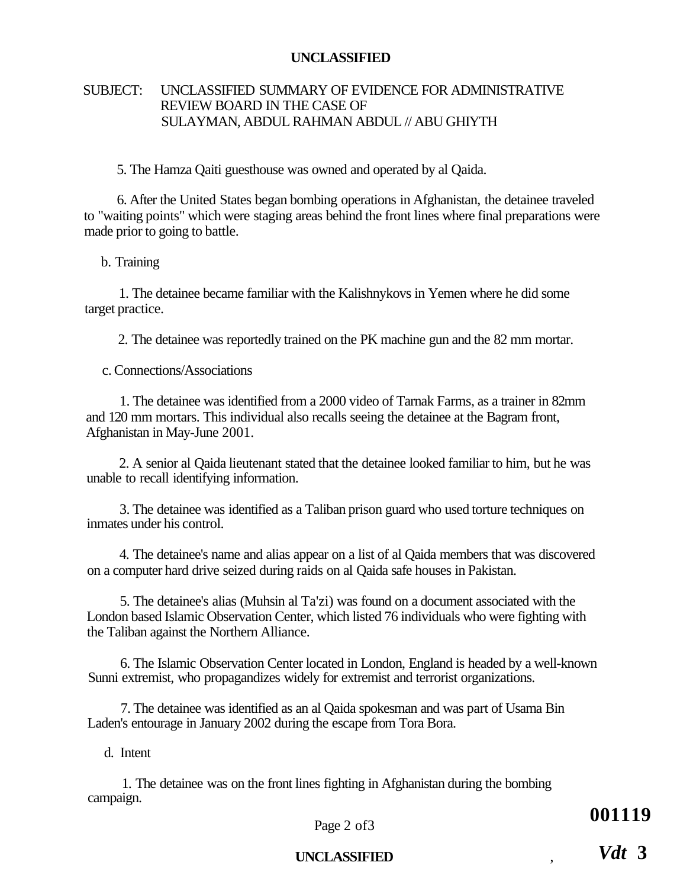#### SUBJECT: UNCLASSIFIED SUMMARY OF EVIDENCE FOR ADMINISTRATIVE REVIEW BOARD IN THE CASE OF SULAYMAN, ABDUL RAHMAN ABDUL // ABU GHIYTH

5. The Hamza Qaiti guesthouse was owned and operated by al Qaida.

6. After the United States began bombing operations in Afghanistan, the detainee traveled to "waiting points" which were staging areas behind the front lines where final preparations were made prior to going to battle.

b. Training

1. The detainee became familiar with the Kalishnykovs in Yemen where he did some target practice.

2. The detainee was reportedly trained on the PK machine gun and the 82 mm mortar.

c. Connections/Associations

1. The detainee was identified from a 2000 video of Tarnak Farms, as a trainer in 82mm and 120 mm mortars. This individual also recalls seeing the detainee at the Bagram front, Afghanistan in May-June 2001.

2. A senior al Qaida lieutenant stated that the detainee looked familiar to him, but he was unable to recall identifying information.

3. The detainee was identified as a Taliban prison guard who used torture techniques on inmates under his control.

4. The detainee's name and alias appear on a list of al Qaida members that was discovered on a computer hard drive seized during raids on al Qaida safe houses in Pakistan.

5. The detainee's alias (Muhsin al Ta'zi) was found on a document associated with the London based Islamic Observation Center, which listed 76 individuals who were fighting with the Taliban against the Northern Alliance.

6. The Islamic Observation Center located in London, England is headed by a well-known Sunni extremist, who propagandizes widely for extremist and terrorist organizations.

7. The detainee was identified as an al Qaida spokesman and was part of Usama Bin Laden's entourage in January 2002 during the escape from Tora Bora.

#### d. Intent

1. The detainee was on the front lines fighting in Afghanistan during the bombing campaign.

Page 2 of 3

**001119** 

#### **UNCLASSIFIED** ,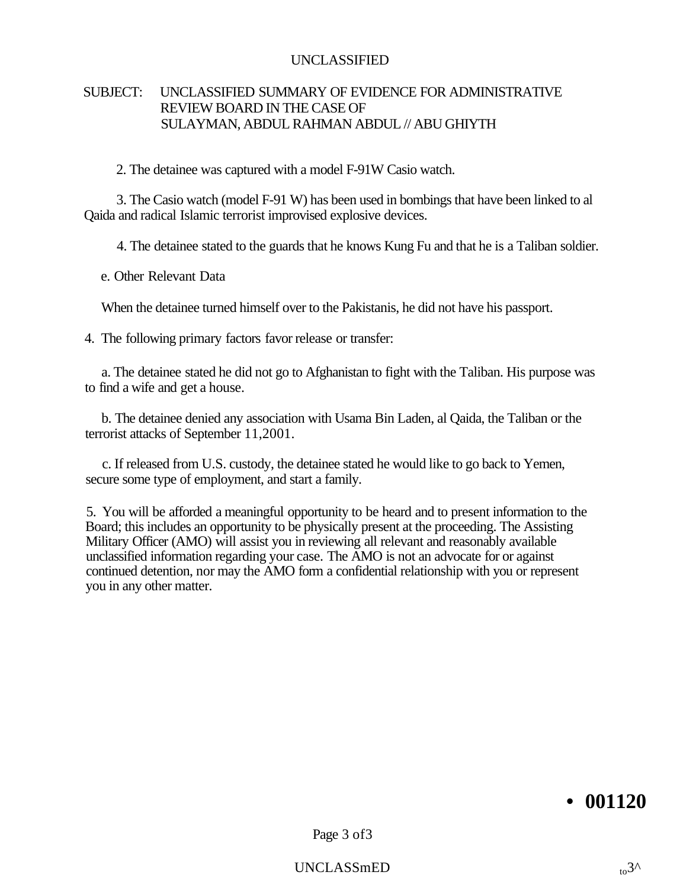#### SUBJECT: UNCLASSIFIED SUMMARY OF EVIDENCE FOR ADMINISTRATIVE REVIEW BOARD IN THE CASE OF SULAYMAN, ABDUL RAHMAN ABDUL // ABU GHIYTH

2. The detainee was captured with a model F-91W Casio watch.

3. The Casio watch (model F-91 W) has been used in bombings that have been linked to al Qaida and radical Islamic terrorist improvised explosive devices.

4. The detainee stated to the guards that he knows Kung Fu and that he is a Taliban soldier.

e. Other Relevant Data

When the detainee turned himself over to the Pakistanis, he did not have his passport.

4. The following primary factors favor release or transfer:

a. The detainee stated he did not go to Afghanistan to fight with the Taliban. His purpose was to find a wife and get a house.

b. The detainee denied any association with Usama Bin Laden, al Qaida, the Taliban or the terrorist attacks of September 11,2001.

c. If released from U.S. custody, the detainee stated he would like to go back to Yemen, secure some type of employment, and start a family.

5. You will be afforded a meaningful opportunity to be heard and to present information to the Board; this includes an opportunity to be physically present at the proceeding. The Assisting Military Officer (AMO) will assist you in reviewing all relevant and reasonably available unclassified information regarding your case. The AMO is not an advocate for or against continued detention, nor may the AMO form a confidential relationship with you or represent you in any other matter.

# **• 001120**

Page 3 of3

 $UNCLASSmED$  to  $\alpha$ <sup>3^</sup>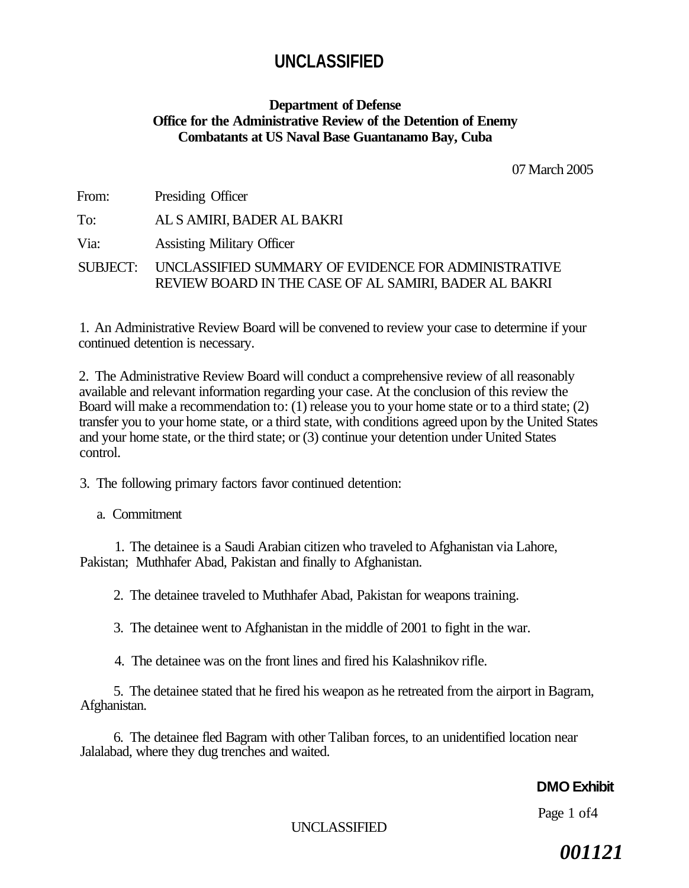#### **Department of Defense Office for the Administrative Review of the Detention of Enemy Combatants at US Naval Base Guantanamo Bay, Cuba**

07 March 2005

From: Presiding Officer To: AL S AMIRI, BADER AL BAKRI Via: Assisting Military Officer

SUBJECT: UNCLASSIFIED SUMMARY OF EVIDENCE FOR ADMINISTRATIVE REVIEW BOARD IN THE CASE OF AL SAMIRI, BADER AL BAKRI

1. An Administrative Review Board will be convened to review your case to determine if your continued detention is necessary.

2. The Administrative Review Board will conduct a comprehensive review of all reasonably available and relevant information regarding your case. At the conclusion of this review the Board will make a recommendation to: (1) release you to your home state or to a third state; (2) transfer you to your home state, or a third state, with conditions agreed upon by the United States and your home state, or the third state; or (3) continue your detention under United States control.

3. The following primary factors favor continued detention:

#### a. Commitment

1. The detainee is a Saudi Arabian citizen who traveled to Afghanistan via Lahore, Pakistan; Muthhafer Abad, Pakistan and finally to Afghanistan.

2. The detainee traveled to Muthhafer Abad, Pakistan for weapons training.

3. The detainee went to Afghanistan in the middle of 2001 to fight in the war.

4. The detainee was on the front lines and fired his Kalashnikov rifle.

5. The detainee stated that he fired his weapon as he retreated from the airport in Bagram, Afghanistan.

6. The detainee fled Bagram with other Taliban forces, to an unidentified location near Jalalabad, where they dug trenches and waited.

# **DMO Exhibit**

Page 1 of4

UNCLASSIFIED

*001121*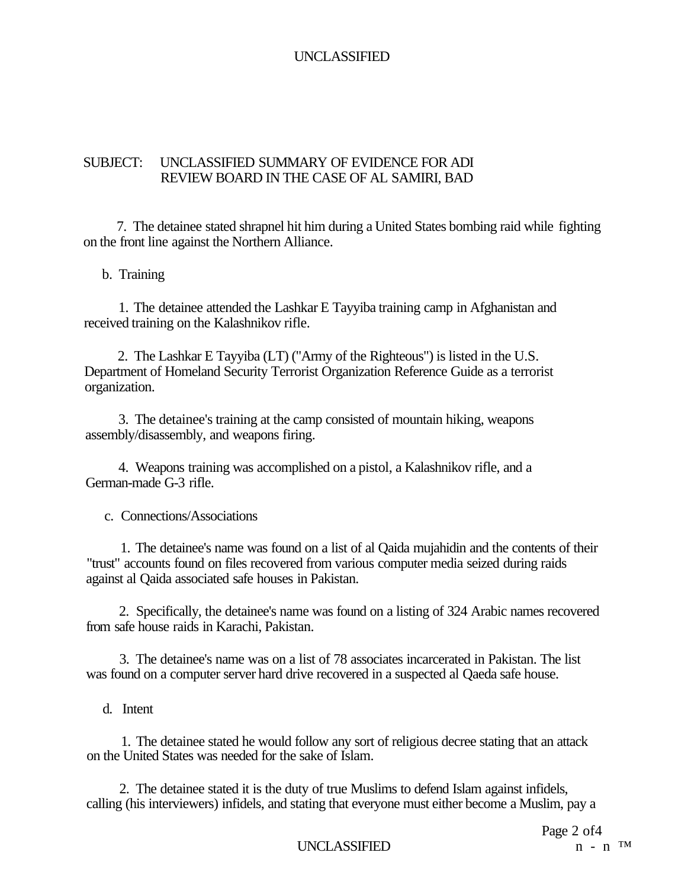#### SUBJECT: UNCLASSIFIED SUMMARY OF EVIDENCE FOR ADI REVIEW BOARD IN THE CASE OF AL SAMIRI, BAD

7. The detainee stated shrapnel hit him during a United States bombing raid while fighting on the front line against the Northern Alliance.

#### b. Training

1. The detainee attended the Lashkar E Tayyiba training camp in Afghanistan and received training on the Kalashnikov rifle.

2. The Lashkar E Tayyiba (LT) ("Army of the Righteous") is listed in the U.S. Department of Homeland Security Terrorist Organization Reference Guide as a terrorist organization.

3. The detainee's training at the camp consisted of mountain hiking, weapons assembly/disassembly, and weapons firing.

4. Weapons training was accomplished on a pistol, a Kalashnikov rifle, and a German-made G-3 rifle.

c. Connections/Associations

1. The detainee's name was found on a list of al Qaida mujahidin and the contents of their "trust" accounts found on files recovered from various computer media seized during raids against al Qaida associated safe houses in Pakistan.

2. Specifically, the detainee's name was found on a listing of 324 Arabic names recovered from safe house raids in Karachi, Pakistan.

3. The detainee's name was on a list of 78 associates incarcerated in Pakistan. The list was found on a computer server hard drive recovered in a suspected al Qaeda safe house.

d. Intent

1. The detainee stated he would follow any sort of religious decree stating that an attack on the United States was needed for the sake of Islam.

2. The detainee stated it is the duty of true Muslims to defend Islam against infidels, calling (his interviewers) infidels, and stating that everyone must either become a Muslim, pay a

**UNCLASSIFIED**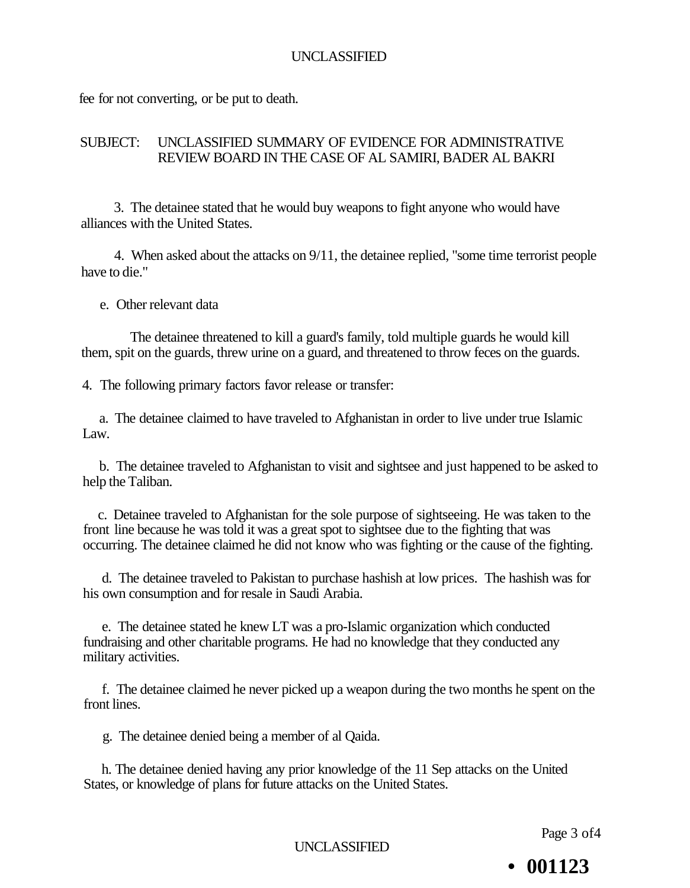fee for not converting, or be put to death.

#### SUBJECT: UNCLASSIFIED SUMMARY OF EVIDENCE FOR ADMINISTRATIVE REVIEW BOARD IN THE CASE OF AL SAMIRI, BADER AL BAKRI

3. The detainee stated that he would buy weapons to fight anyone who would have alliances with the United States.

4. When asked about the attacks on 9/11, the detainee replied, "some time terrorist people have to die."

e. Other relevant data

The detainee threatened to kill a guard's family, told multiple guards he would kill them, spit on the guards, threw urine on a guard, and threatened to throw feces on the guards.

4. The following primary factors favor release or transfer:

a. The detainee claimed to have traveled to Afghanistan in order to live under true Islamic Law.

b. The detainee traveled to Afghanistan to visit and sightsee and just happened to be asked to help the Taliban.

c. Detainee traveled to Afghanistan for the sole purpose of sightseeing. He was taken to the front line because he was told it was a great spot to sightsee due to the fighting that was occurring. The detainee claimed he did not know who was fighting or the cause of the fighting.

d. The detainee traveled to Pakistan to purchase hashish at low prices. The hashish was for his own consumption and for resale in Saudi Arabia.

e. The detainee stated he knew LT was a pro-Islamic organization which conducted fundraising and other charitable programs. He had no knowledge that they conducted any military activities.

f. The detainee claimed he never picked up a weapon during the two months he spent on the front lines.

g. The detainee denied being a member of al Qaida.

h. The detainee denied having any prior knowledge of the 11 Sep attacks on the United States, or knowledge of plans for future attacks on the United States.

Page 3 of4

UNCLASSIFIED

**• 001123**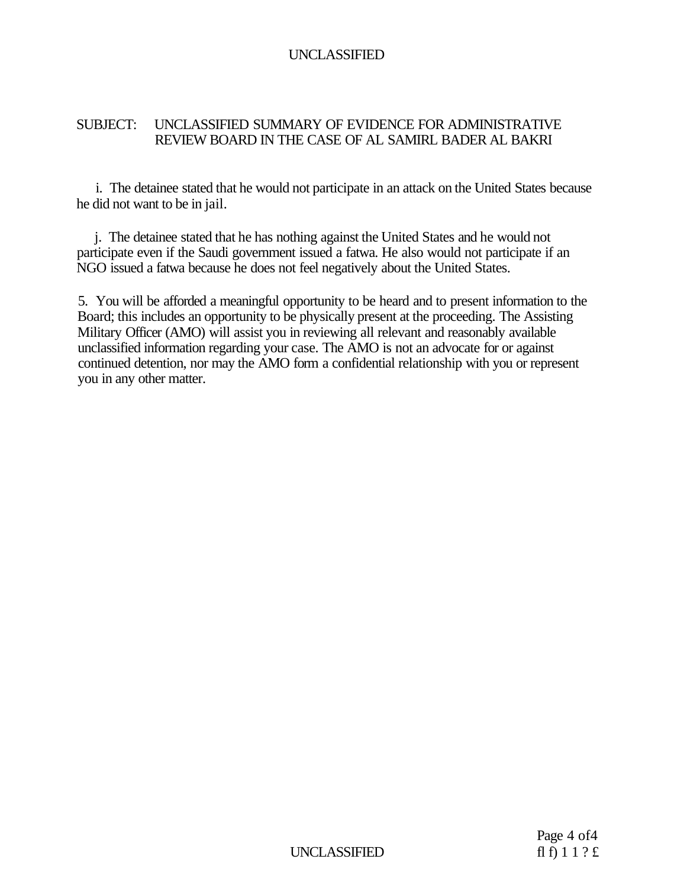#### SUBJECT: UNCLASSIFIED SUMMARY OF EVIDENCE FOR ADMINISTRATIVE REVIEW BOARD IN THE CASE OF AL SAMIRL BADER AL BAKRI

i. The detainee stated that he would not participate in an attack on the United States because he did not want to be in jail.

j. The detainee stated that he has nothing against the United States and he would not participate even if the Saudi government issued a fatwa. He also would not participate if an NGO issued a fatwa because he does not feel negatively about the United States.

5. You will be afforded a meaningful opportunity to be heard and to present information to the Board; this includes an opportunity to be physically present at the proceeding. The Assisting Military Officer (AMO) will assist you in reviewing all relevant and reasonably available unclassified information regarding your case. The AMO is not an advocate for or against continued detention, nor may the AMO form a confidential relationship with you or represent you in any other matter.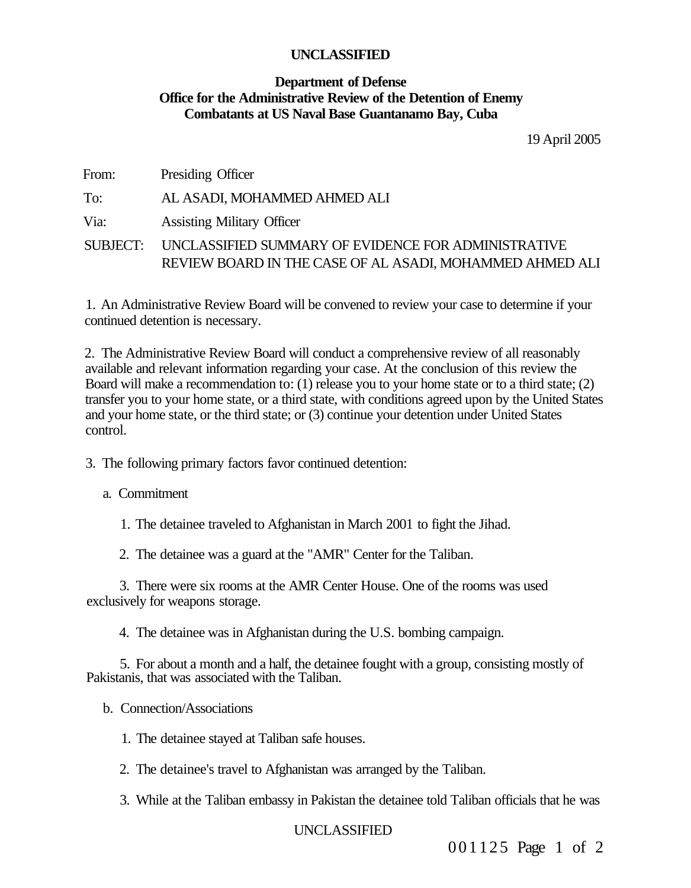#### **Department of Defense Office for the Administrative Review of the Detention of Enemy Combatants at US Naval Base Guantanamo Bay, Cuba**

19 April 2005

| From:    | Presiding Officer                                                                                               |
|----------|-----------------------------------------------------------------------------------------------------------------|
| To:      | AL ASADI, MOHAMMED AHMED ALI                                                                                    |
| Via:     | <b>Assisting Military Officer</b>                                                                               |
| SUBJECT: | UNCLASSIFIED SUMMARY OF EVIDENCE FOR ADMINISTRATIVE<br>REVIEW BOARD IN THE CASE OF AL ASADI, MOHAMMED AHMED ALI |

1. An Administrative Review Board will be convened to review your case to determine if your continued detention is necessary.

2. The Administrative Review Board will conduct a comprehensive review of all reasonably available and relevant information regarding your case. At the conclusion of this review the Board will make a recommendation to: (1) release you to your home state or to a third state; (2) transfer you to your home state, or a third state, with conditions agreed upon by the United States and your home state, or the third state; or (3) continue your detention under United States control.

- 3. The following primary factors favor continued detention:
	- a. Commitment
		- 1. The detainee traveled to Afghanistan in March 2001 to fight the Jihad.
		- 2. The detainee was a guard at the "AMR" Center for the Taliban.

3. There were six rooms at the AMR Center House. One of the rooms was used exclusively for weapons storage.

4. The detainee was in Afghanistan during the U.S. bombing campaign.

5. For about a month and a half, the detainee fought with a group, consisting mostly of Pakistanis, that was associated with the Taliban.

- b. Connection/Associations
	- 1. The detainee stayed at Taliban safe houses.
	- 2. The detainee's travel to Afghanistan was arranged by the Taliban.
	- 3. While at the Taliban embassy in Pakistan the detainee told Taliban officials that he was

UNCLASSIFIED

001125 Page 1 of 2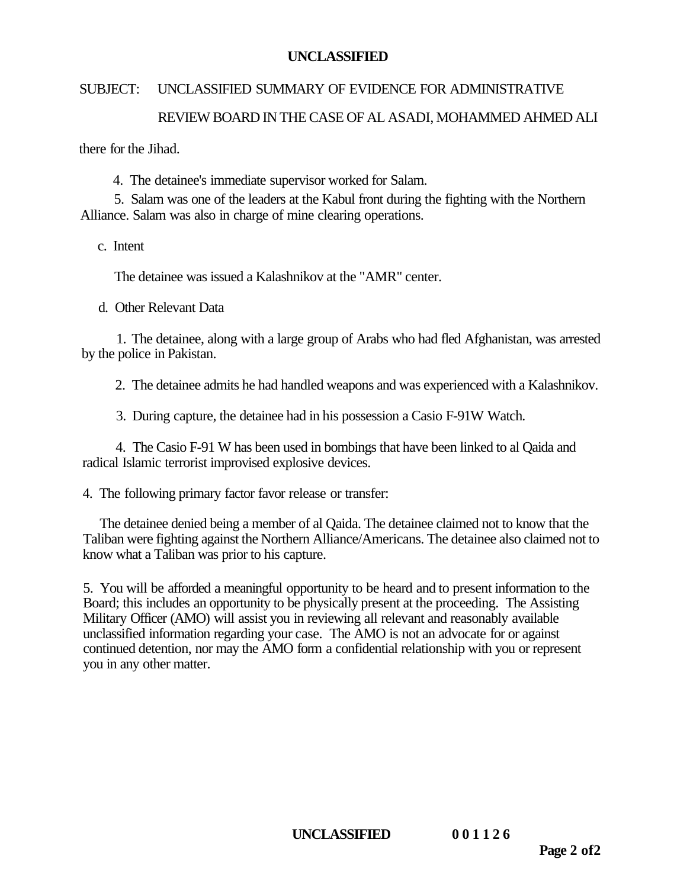#### SUBJECT: UNCLASSIFIED SUMMARY OF EVIDENCE FOR ADMINISTRATIVE

# REVIEW BOARD IN THE CASE OF AL ASADI, MOHAMMED AHMED ALI

there for the Iihad.

4. The detainee's immediate supervisor worked for Salam.

5. Salam was one of the leaders at the Kabul front during the fighting with the Northern Alliance. Salam was also in charge of mine clearing operations.

c. Intent

The detainee was issued a Kalashnikov at the "AMR" center.

d. Other Relevant Data

1. The detainee, along with a large group of Arabs who had fled Afghanistan, was arrested by the police in Pakistan.

2. The detainee admits he had handled weapons and was experienced with a Kalashnikov.

3. During capture, the detainee had in his possession a Casio F-91W Watch.

4. The Casio F-91 W has been used in bombings that have been linked to al Qaida and radical Islamic terrorist improvised explosive devices.

4. The following primary factor favor release or transfer:

The detainee denied being a member of al Qaida. The detainee claimed not to know that the Taliban were fighting against the Northern Alliance/Americans. The detainee also claimed not to know what a Taliban was prior to his capture.

5. You will be afforded a meaningful opportunity to be heard and to present information to the Board; this includes an opportunity to be physically present at the proceeding. The Assisting Military Officer (AMO) will assist you in reviewing all relevant and reasonably available unclassified information regarding your case. The AMO is not an advocate for or against continued detention, nor may the AMO form a confidential relationship with you or represent you in any other matter.

**UNCLASSIFIED 00112 6**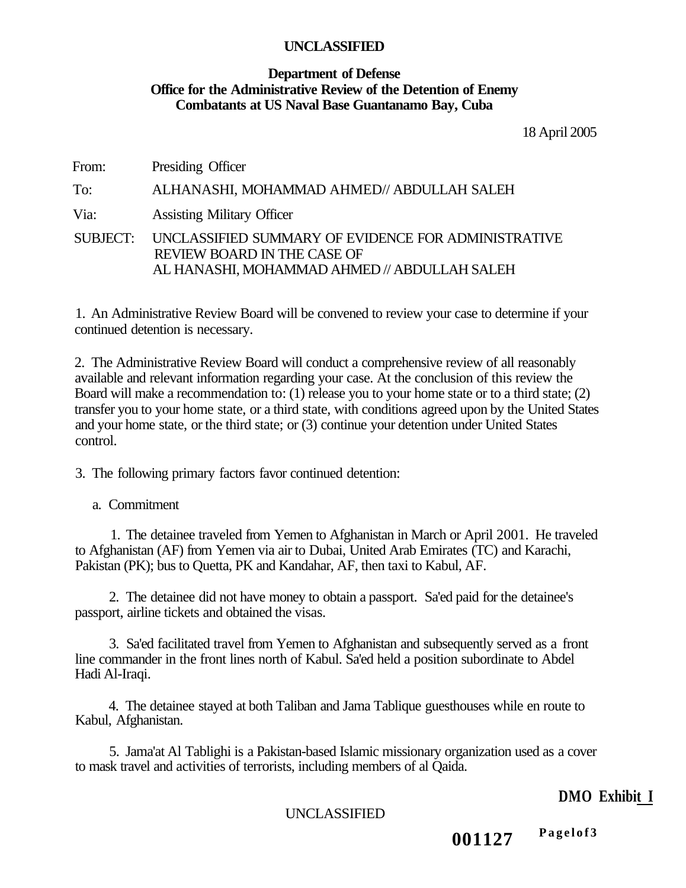#### **Department of Defense Office for the Administrative Review of the Detention of Enemy Combatants at US Naval Base Guantanamo Bay, Cuba**

18 April 2005

From: Presiding Officer To: ALHANASHI, MOHAMMAD AHMED// ABDULLAH SALEH Via: Assisting Military Officer SUBJECT: UNCLASSIFIED SUMMARY OF EVIDENCE FOR ADMINISTRATIVE REVIEW BOARD IN THE CASE OF AL HANASHI, MOHAMMAD AHMED // ABDULLAH SALEH

1. An Administrative Review Board will be convened to review your case to determine if your continued detention is necessary.

2. The Administrative Review Board will conduct a comprehensive review of all reasonably available and relevant information regarding your case. At the conclusion of this review the Board will make a recommendation to: (1) release you to your home state or to a third state; (2) transfer you to your home state, or a third state, with conditions agreed upon by the United States and your home state, or the third state; or (3) continue your detention under United States control.

3. The following primary factors favor continued detention:

a. Commitment

1. The detainee traveled from Yemen to Afghanistan in March or April 2001. He traveled to Afghanistan (AF) from Yemen via air to Dubai, United Arab Emirates (TC) and Karachi, Pakistan (PK); bus to Quetta, PK and Kandahar, AF, then taxi to Kabul, AF.

2. The detainee did not have money to obtain a passport. Sa'ed paid for the detainee's passport, airline tickets and obtained the visas.

3. Sa'ed facilitated travel from Yemen to Afghanistan and subsequently served as a front line commander in the front lines north of Kabul. Sa'ed held a position subordinate to Abdel Hadi Al-Iraqi.

4. The detainee stayed at both Taliban and Jama Tablique guesthouses while en route to Kabul, Afghanistan.

5. Jama'at Al Tablighi is a Pakistan-based Islamic missionary organization used as a cover to mask travel and activities of terrorists, including members of al Qaida.

# **DMO Exhibit I**

UNCLASSIFIED

**001127 Pagelof 3**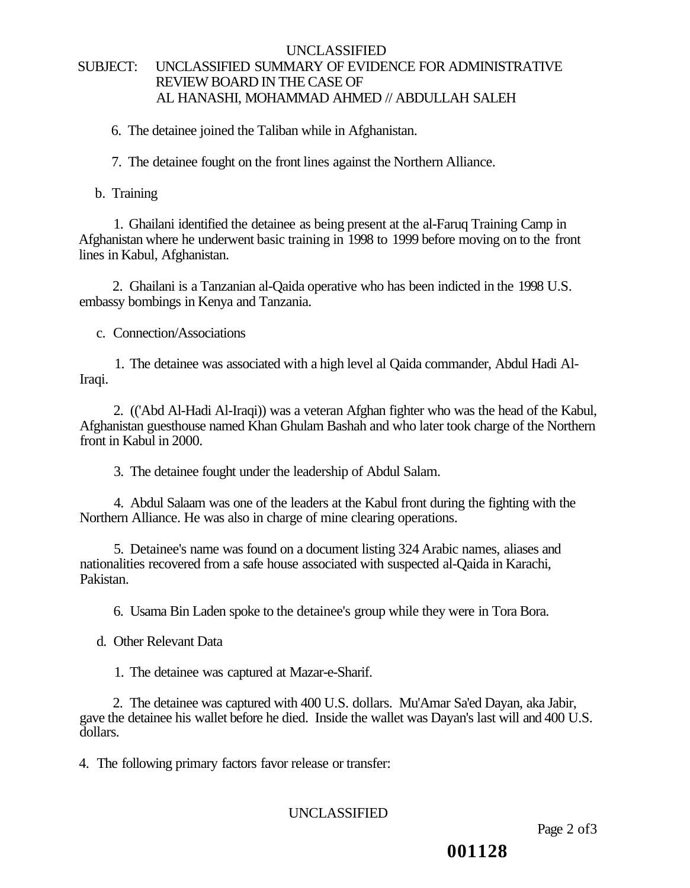#### UNCLASSIFIED SUBJECT: UNCLASSIFIED SUMMARY OF EVIDENCE FOR ADMINISTRATIVE REVIEW BOARD IN THE CASE OF AL HANASHI, MOHAMMAD AHMED // ABDULLAH SALEH

6. The detainee joined the Taliban while in Afghanistan.

7. The detainee fought on the front lines against the Northern Alliance.

b. Training

1. Ghailani identified the detainee as being present at the al-Faruq Training Camp in Afghanistan where he underwent basic training in 1998 to 1999 before moving on to the front lines in Kabul, Afghanistan.

2. Ghailani is a Tanzanian al-Qaida operative who has been indicted in the 1998 U.S. embassy bombings in Kenya and Tanzania.

c. Connection/Associations

1. The detainee was associated with a high level al Qaida commander, Abdul Hadi Al-Iraqi.

2. (('Abd Al-Hadi Al-Iraqi)) was a veteran Afghan fighter who was the head of the Kabul, Afghanistan guesthouse named Khan Ghulam Bashah and who later took charge of the Northern front in Kabul in 2000.

3. The detainee fought under the leadership of Abdul Salam.

4. Abdul Salaam was one of the leaders at the Kabul front during the fighting with the Northern Alliance. He was also in charge of mine clearing operations.

5. Detainee's name was found on a document listing 324 Arabic names, aliases and nationalities recovered from a safe house associated with suspected al-Qaida in Karachi, Pakistan.

6. Usama Bin Laden spoke to the detainee's group while they were in Tora Bora.

d. Other Relevant Data

1. The detainee was captured at Mazar-e-Sharif.

2. The detainee was captured with 400 U.S. dollars. Mu'Amar Sa'ed Dayan, aka Jabir, gave the detainee his wallet before he died. Inside the wallet was Dayan's last will and 400 U.S. dollars.

4. The following primary factors favor release or transfer:

# UNCLASSIFIED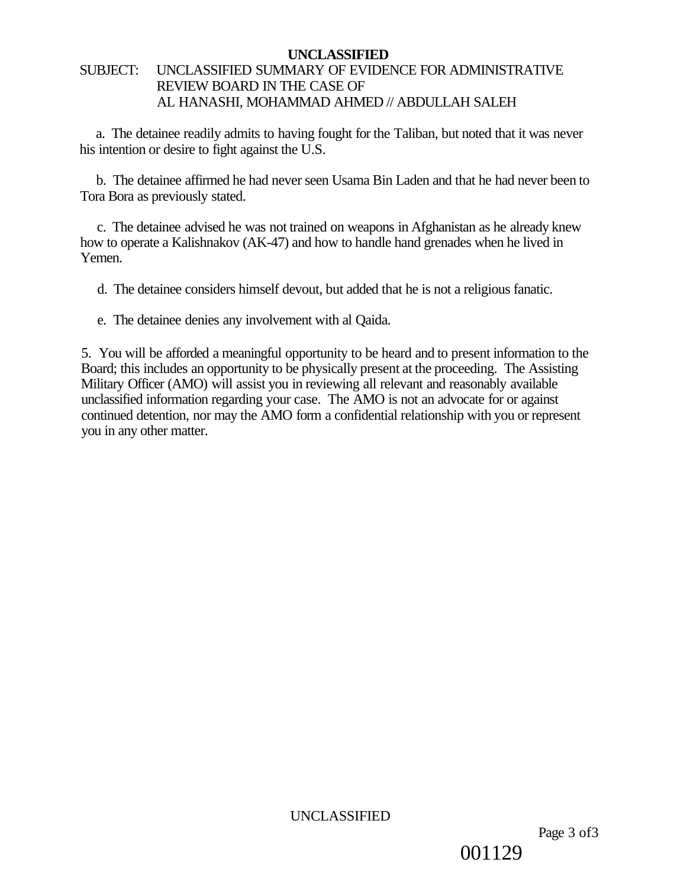# SUBJECT: UNCLASSIFIED SUMMARY OF EVIDENCE FOR ADMINISTRATIVE REVIEW BOARD IN THE CASE OF AL HANASHI, MOHAMMAD AHMED // ABDULLAH SALEH

a. The detainee readily admits to having fought for the Taliban, but noted that it was never his intention or desire to fight against the U.S.

b. The detainee affirmed he had never seen Usama Bin Laden and that he had never been to Tora Bora as previously stated.

c. The detainee advised he was not trained on weapons in Afghanistan as he already knew how to operate a Kalishnakov (AK-47) and how to handle hand grenades when he lived in Yemen.

d. The detainee considers himself devout, but added that he is not a religious fanatic.

e. The detainee denies any involvement with al Qaida.

5. You will be afforded a meaningful opportunity to be heard and to present information to the Board; this includes an opportunity to be physically present at the proceeding. The Assisting Military Officer (AMO) will assist you in reviewing all relevant and reasonably available unclassified information regarding your case. The AMO is not an advocate for or against continued detention, nor may the AMO form a confidential relationship with you or represent you in any other matter.

UNCLASSIFIED

001129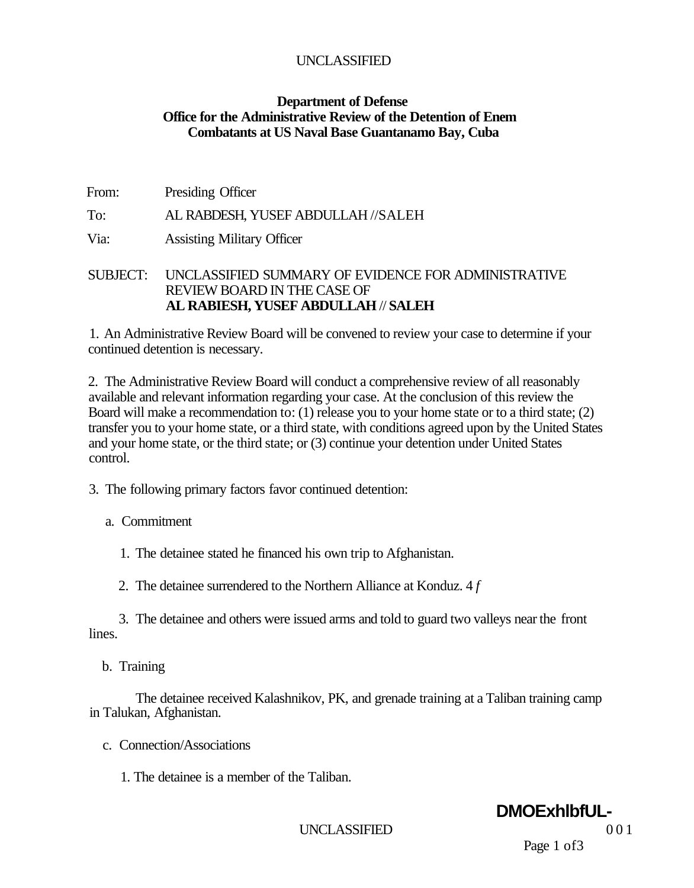#### **Department of Defense Office for the Administrative Review of the Detention of Enem Combatants at US Naval Base Guantanamo Bay, Cuba**

| From: | Presiding Officer                  |
|-------|------------------------------------|
| To:   | AL RABDESH, YUSEF ABDULLAH //SALEH |

Via: Assisting Military Officer

#### SUBJECT: UNCLASSIFIED SUMMARY OF EVIDENCE FOR ADMINISTRATIVE REVIEW BOARD IN THE CASE OF **AL RABIESH, YUSEF ABDULLAH** // **SALEH**

1. An Administrative Review Board will be convened to review your case to determine if your continued detention is necessary.

2. The Administrative Review Board will conduct a comprehensive review of all reasonably available and relevant information regarding your case. At the conclusion of this review the Board will make a recommendation to: (1) release you to your home state or to a third state; (2) transfer you to your home state, or a third state, with conditions agreed upon by the United States and your home state, or the third state; or (3) continue your detention under United States control.

- 3. The following primary factors favor continued detention:
	- a. Commitment
		- 1. The detainee stated he financed his own trip to Afghanistan.
		- 2. The detainee surrendered to the Northern Alliance at Konduz. 4 *f*

3. The detainee and others were issued arms and told to guard two valleys near the front lines.

b. Training

The detainee received Kalashnikov, PK, and grenade training at a Taliban training camp in Talukan, Afghanistan.

- c. Connection/Associations
	- 1. The detainee is a member of the Taliban.

# **DMOExhlbfUL-**

UNCLASSIFIED 001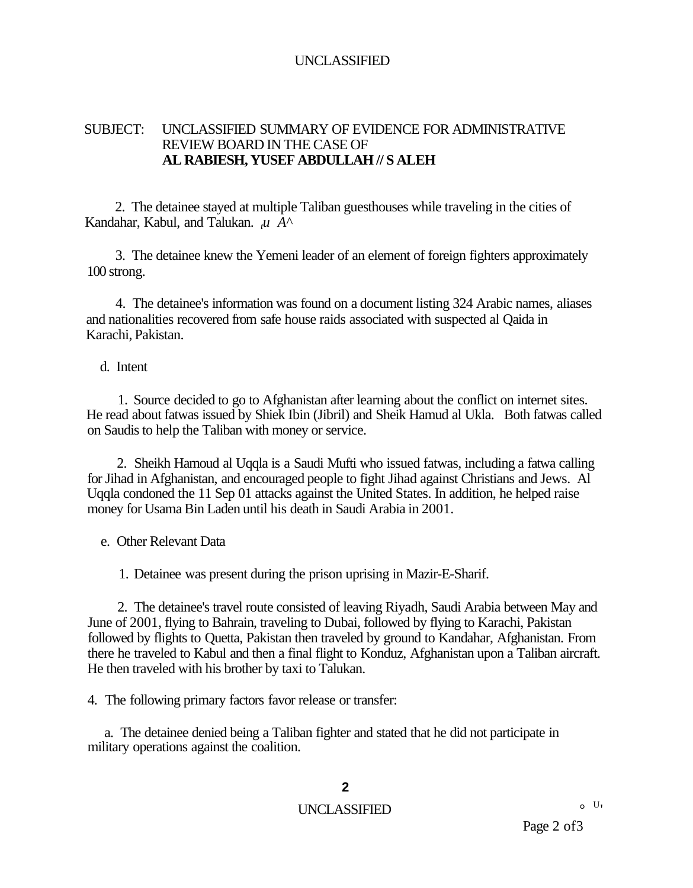#### SUBJECT: UNCLASSIFIED SUMMARY OF EVIDENCE FOR ADMINISTRATIVE REVIEW BOARD IN THE CASE OF **AL RABIESH, YUSEF ABDULLAH // S ALEH**

2. The detainee stayed at multiple Taliban guesthouses while traveling in the cities of Kandahar, Kabul, and Talukan. *<sup>t</sup>u A^* 

3. The detainee knew the Yemeni leader of an element of foreign fighters approximately 100 strong.

4. The detainee's information was found on a document listing 324 Arabic names, aliases and nationalities recovered from safe house raids associated with suspected al Qaida in Karachi, Pakistan.

#### d. Intent

1. Source decided to go to Afghanistan after learning about the conflict on internet sites. He read about fatwas issued by Shiek Ibin (Jibril) and Sheik Hamud al Ukla. Both fatwas called on Saudis to help the Taliban with money or service.

2. Sheikh Hamoud al Uqqla is a Saudi Mufti who issued fatwas, including a fatwa calling for Jihad in Afghanistan, and encouraged people to fight Jihad against Christians and Jews. Al Uqqla condoned the 11 Sep 01 attacks against the United States. In addition, he helped raise money for Usama Bin Laden until his death in Saudi Arabia in 2001.

e. Other Relevant Data

1. Detainee was present during the prison uprising in Mazir-E-Sharif.

2. The detainee's travel route consisted of leaving Riyadh, Saudi Arabia between May and June of 2001, flying to Bahrain, traveling to Dubai, followed by flying to Karachi, Pakistan followed by flights to Quetta, Pakistan then traveled by ground to Kandahar, Afghanistan. From there he traveled to Kabul and then a final flight to Konduz, Afghanistan upon a Taliban aircraft. He then traveled with his brother by taxi to Talukan.

4. The following primary factors favor release or transfer:

a. The detainee denied being a Taliban fighter and stated that he did not participate in military operations against the coalition.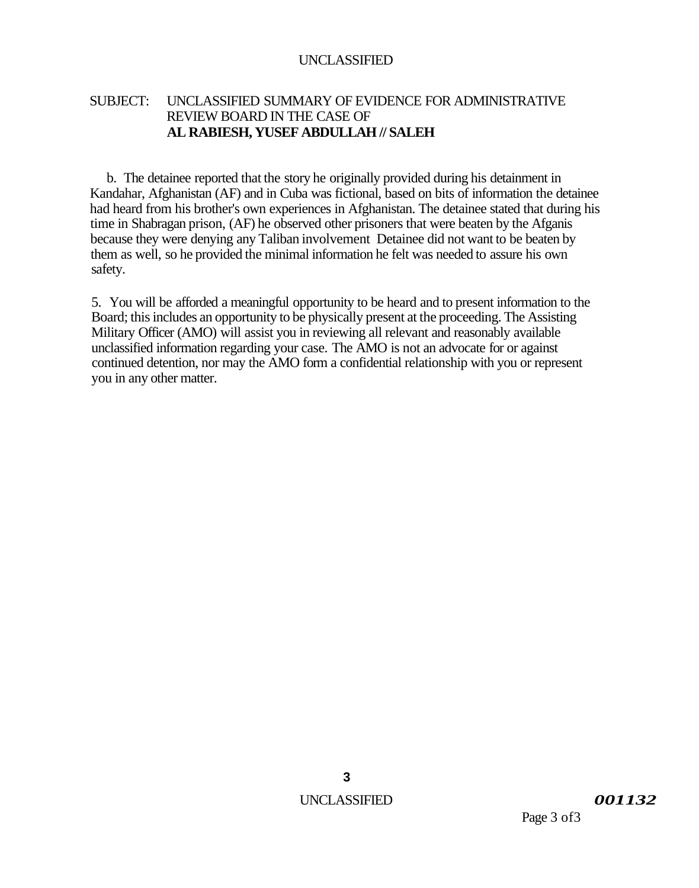## SUBJECT: UNCLASSIFIED SUMMARY OF EVIDENCE FOR ADMINISTRATIVE REVIEW BOARD IN THE CASE OF **AL RABIESH, YUSEF ABDULLAH // SALEH**

b. The detainee reported that the story he originally provided during his detainment in Kandahar, Afghanistan (AF) and in Cuba was fictional, based on bits of information the detainee had heard from his brother's own experiences in Afghanistan. The detainee stated that during his time in Shabragan prison, (AF) he observed other prisoners that were beaten by the Afganis because they were denying any Taliban involvement Detainee did not want to be beaten by them as well, so he provided the minimal information he felt was needed to assure his own safety.

5. You will be afforded a meaningful opportunity to be heard and to present information to the Board; this includes an opportunity to be physically present at the proceeding. The Assisting Military Officer (AMO) will assist you in reviewing all relevant and reasonably available unclassified information regarding your case. The AMO is not an advocate for or against continued detention, nor may the AMO form a confidential relationship with you or represent you in any other matter.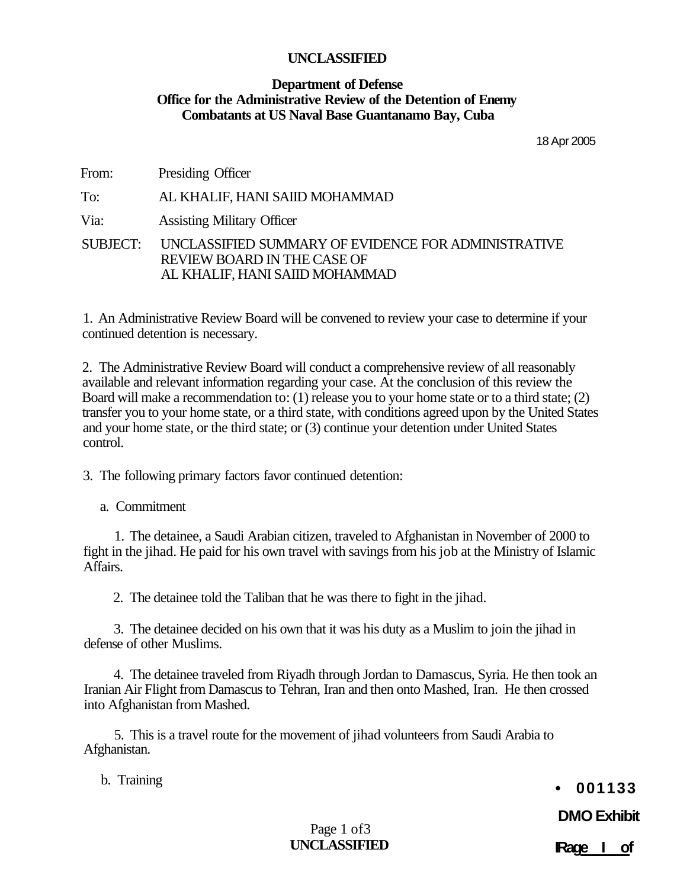#### **Department of Defense Office for the Administrative Review of the Detention of Enemy Combatants at US Naval Base Guantanamo Bay, Cuba**

18 Apr 2005

From: Presiding Officer To: AL KHALIF, HANI SAIID MOHAMMAD Via: Assisting Military Officer SUBJECT: UNCLASSIFIED SUMMARY OF EVIDENCE FOR ADMINISTRATIVE REVIEW BOARD IN THE CASE OF AL KHALIF, HANI SAIID MOHAMMAD

1. An Administrative Review Board will be convened to review your case to determine if your continued detention is necessary.

2. The Administrative Review Board will conduct a comprehensive review of all reasonably available and relevant information regarding your case. At the conclusion of this review the Board will make a recommendation to: (1) release you to your home state or to a third state; (2) transfer you to your home state, or a third state, with conditions agreed upon by the United States and your home state, or the third state; or (3) continue your detention under United States control.

3. The following primary factors favor continued detention:

a. Commitment

1. The detainee, a Saudi Arabian citizen, traveled to Afghanistan in November of 2000 to fight in the jihad. He paid for his own travel with savings from his job at the Ministry of Islamic Affairs.

2. The detainee told the Taliban that he was there to fight in the jihad.

3. The detainee decided on his own that it was his duty as a Muslim to join the jihad in defense of other Muslims.

4. The detainee traveled from Riyadh through Jordan to Damascus, Syria. He then took an Iranian Air Flight from Damascus to Tehran, Iran and then onto Mashed, Iran. He then crossed into Afghanistan from Mashed.

5. This is a travel route for the movement of jihad volunteers from Saudi Arabia to Afghanistan.

b. Training

**• 001133** 

**DMO Exhibit**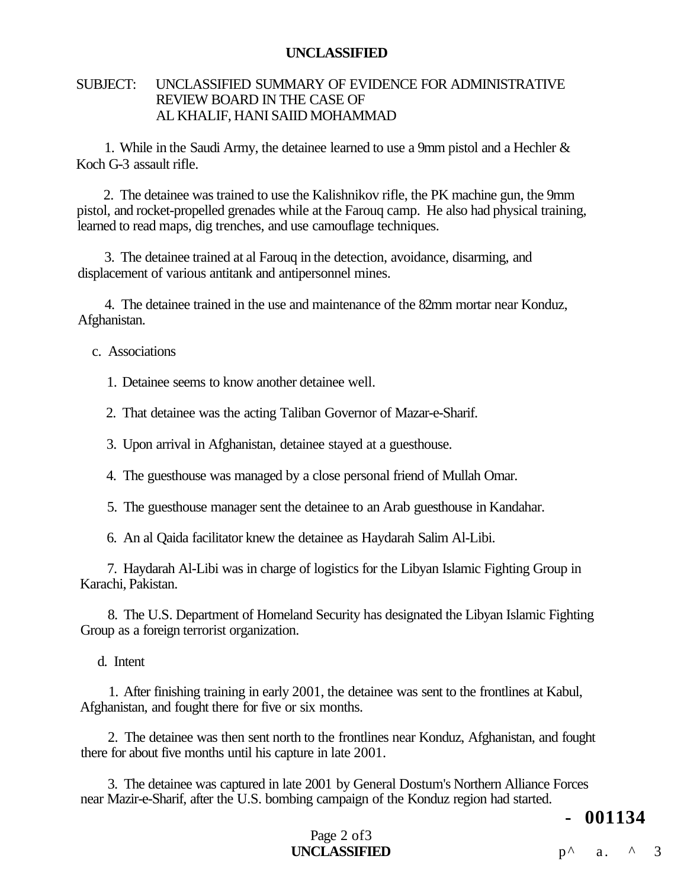#### SUBJECT: UNCLASSIFIED SUMMARY OF EVIDENCE FOR ADMINISTRATIVE REVIEW BOARD IN THE CASE OF AL KHALIF, HANI SAIID MOHAMMAD

1. While in the Saudi Army, the detainee learned to use a 9mm pistol and a Hechler & Koch G-3 assault rifle.

2. The detainee was trained to use the Kalishnikov rifle, the PK machine gun, the 9mm pistol, and rocket-propelled grenades while at the Farouq camp. He also had physical training, learned to read maps, dig trenches, and use camouflage techniques.

3. The detainee trained at al Farouq in the detection, avoidance, disarming, and displacement of various antitank and antipersonnel mines.

4. The detainee trained in the use and maintenance of the 82mm mortar near Konduz, Afghanistan.

c. Associations

1. Detainee seems to know another detainee well.

2. That detainee was the acting Taliban Governor of Mazar-e-Sharif.

3. Upon arrival in Afghanistan, detainee stayed at a guesthouse.

4. The guesthouse was managed by a close personal friend of Mullah Omar.

5. The guesthouse manager sent the detainee to an Arab guesthouse in Kandahar.

6. An al Qaida facilitator knew the detainee as Haydarah Salim Al-Libi.

7. Haydarah Al-Libi was in charge of logistics for the Libyan Islamic Fighting Group in Karachi, Pakistan.

8. The U.S. Department of Homeland Security has designated the Libyan Islamic Fighting Group as a foreign terrorist organization.

d. Intent

1. After finishing training in early 2001, the detainee was sent to the frontlines at Kabul, Afghanistan, and fought there for five or six months.

2. The detainee was then sent north to the frontlines near Konduz, Afghanistan, and fought there for about five months until his capture in late 2001.

3. The detainee was captured in late 2001 by General Dostum's Northern Alliance Forces near Mazir-e-Sharif, after the U.S. bombing campaign of the Konduz region had started.

**- 001134** 

#### Page 2 of 3 **UNCLASSIFIED**  $p^{\wedge}$  a. ^ 3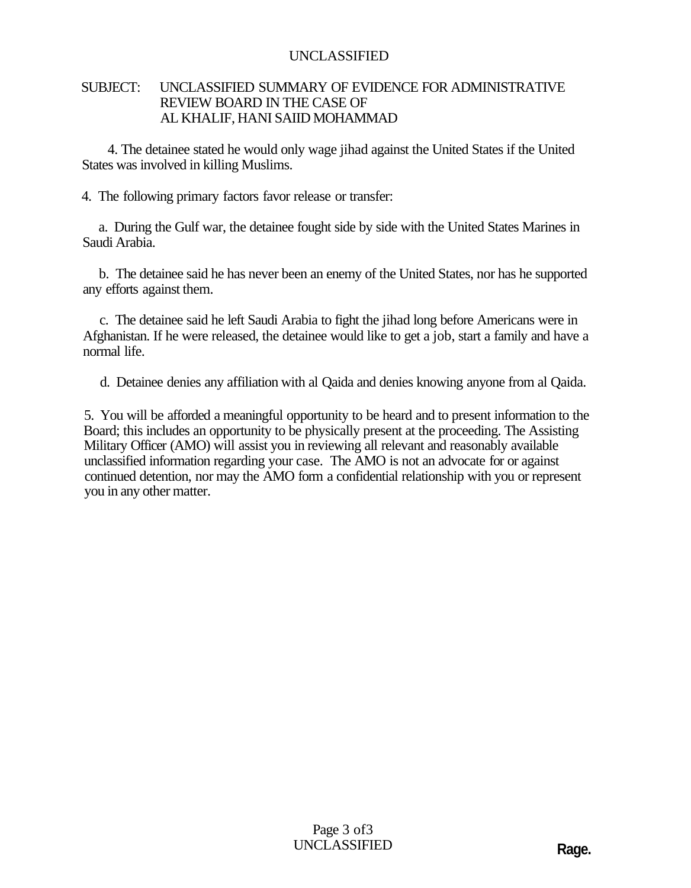#### SUBJECT: UNCLASSIFIED SUMMARY OF EVIDENCE FOR ADMINISTRATIVE REVIEW BOARD IN THE CASE OF AL KHALIF, HANI SAIID MOHAMMAD

4. The detainee stated he would only wage jihad against the United States if the United States was involved in killing Muslims.

4. The following primary factors favor release or transfer:

a. During the Gulf war, the detainee fought side by side with the United States Marines in Saudi Arabia.

b. The detainee said he has never been an enemy of the United States, nor has he supported any efforts against them.

c. The detainee said he left Saudi Arabia to fight the jihad long before Americans were in Afghanistan. If he were released, the detainee would like to get a job, start a family and have a normal life.

d. Detainee denies any affiliation with al Qaida and denies knowing anyone from al Qaida.

5. You will be afforded a meaningful opportunity to be heard and to present information to the Board; this includes an opportunity to be physically present at the proceeding. The Assisting Military Officer (AMO) will assist you in reviewing all relevant and reasonably available unclassified information regarding your case. The AMO is not an advocate for or against continued detention, nor may the AMO form a confidential relationship with you or represent you in any other matter.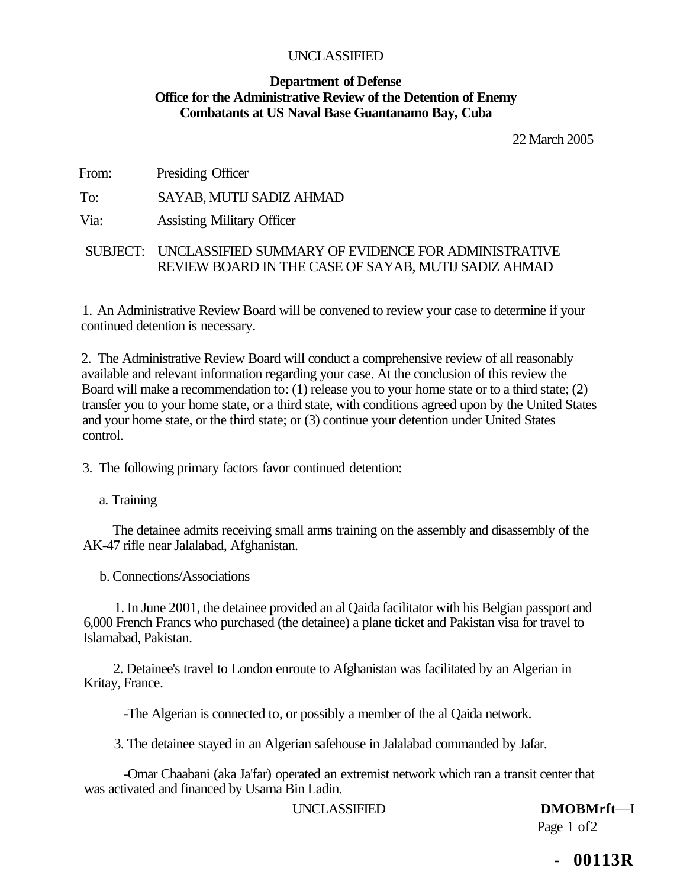#### **Department of Defense Office for the Administrative Review of the Detention of Enemy Combatants at US Naval Base Guantanamo Bay, Cuba**

22 March 2005

From: Presiding Officer

To: SAYAB, MUTIJ SADIZ AHMAD

Via: Assisting Military Officer

#### SUBJECT: UNCLASSIFIED SUMMARY OF EVIDENCE FOR ADMINISTRATIVE REVIEW BOARD IN THE CASE OF SAYAB, MUTIJ SADIZ AHMAD

1. An Administrative Review Board will be convened to review your case to determine if your continued detention is necessary.

2. The Administrative Review Board will conduct a comprehensive review of all reasonably available and relevant information regarding your case. At the conclusion of this review the Board will make a recommendation to: (1) release you to your home state or to a third state; (2) transfer you to your home state, or a third state, with conditions agreed upon by the United States and your home state, or the third state; or (3) continue your detention under United States control.

3. The following primary factors favor continued detention:

a. Training

The detainee admits receiving small arms training on the assembly and disassembly of the AK-47 rifle near Jalalabad, Afghanistan.

b. Connections/Associations

1. In June 2001, the detainee provided an al Qaida facilitator with his Belgian passport and 6,000 French Francs who purchased (the detainee) a plane ticket and Pakistan visa for travel to Islamabad, Pakistan.

2. Detainee's travel to London enroute to Afghanistan was facilitated by an Algerian in Kritay, France.

-The Algerian is connected to, or possibly a member of the al Qaida network.

3. The detainee stayed in an Algerian safehouse in Jalalabad commanded by Jafar.

-Omar Chaabani (aka Ja'far) operated an extremist network which ran a transit center that was activated and financed by Usama Bin Ladin.

UNCLASSIFIED **DMOBMrft**—I

Page 1 of 2

**- 00113R**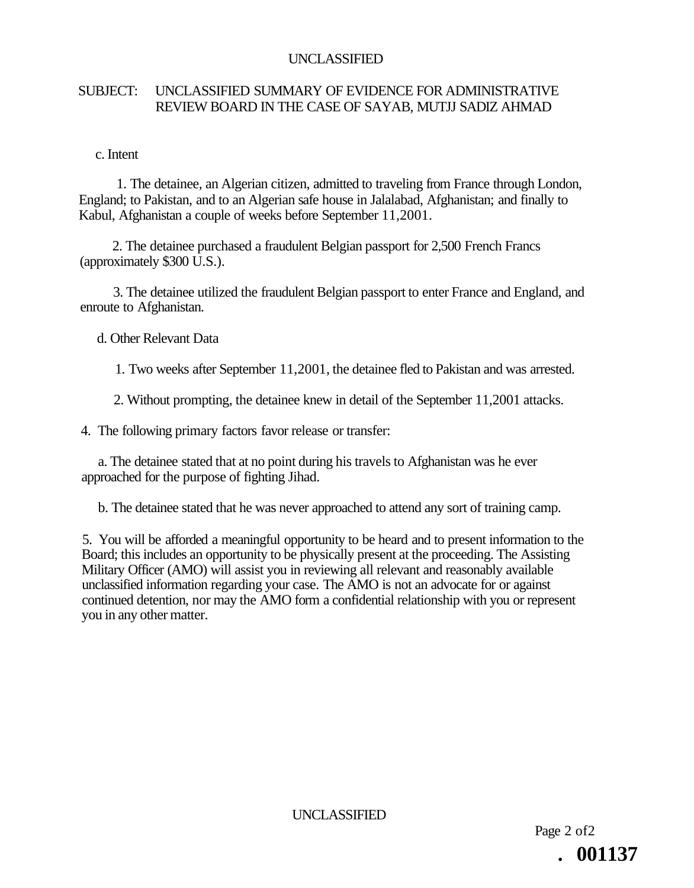# SUBJECT: UNCLASSIFIED SUMMARY OF EVIDENCE FOR ADMINISTRATIVE REVIEW BOARD IN THE CASE OF SAYAB, MUTJJ SADIZ AHMAD

c. Intent

1. The detainee, an Algerian citizen, admitted to traveling from France through London, England; to Pakistan, and to an Algerian safe house in Jalalabad, Afghanistan; and finally to Kabul, Afghanistan a couple of weeks before September 11,2001.

2. The detainee purchased a fraudulent Belgian passport for 2,500 French Francs (approximately \$300 U.S.).

3. The detainee utilized the fraudulent Belgian passport to enter France and England, and enroute to Afghanistan.

d. Other Relevant Data

1. Two weeks after September 11,2001, the detainee fled to Pakistan and was arrested.

2. Without prompting, the detainee knew in detail of the September 11,2001 attacks.

4. The following primary factors favor release or transfer:

a. The detainee stated that at no point during his travels to Afghanistan was he ever approached for the purpose of fighting Jihad.

b. The detainee stated that he was never approached to attend any sort of training camp.

5. You will be afforded a meaningful opportunity to be heard and to present information to the Board; this includes an opportunity to be physically present at the proceeding. The Assisting Military Officer (AMO) will assist you in reviewing all relevant and reasonably available unclassified information regarding your case. The AMO is not an advocate for or against continued detention, nor may the AMO form a confidential relationship with you or represent you in any other matter.

UNCLASSIFIED

Page 2 of2 **. 001137**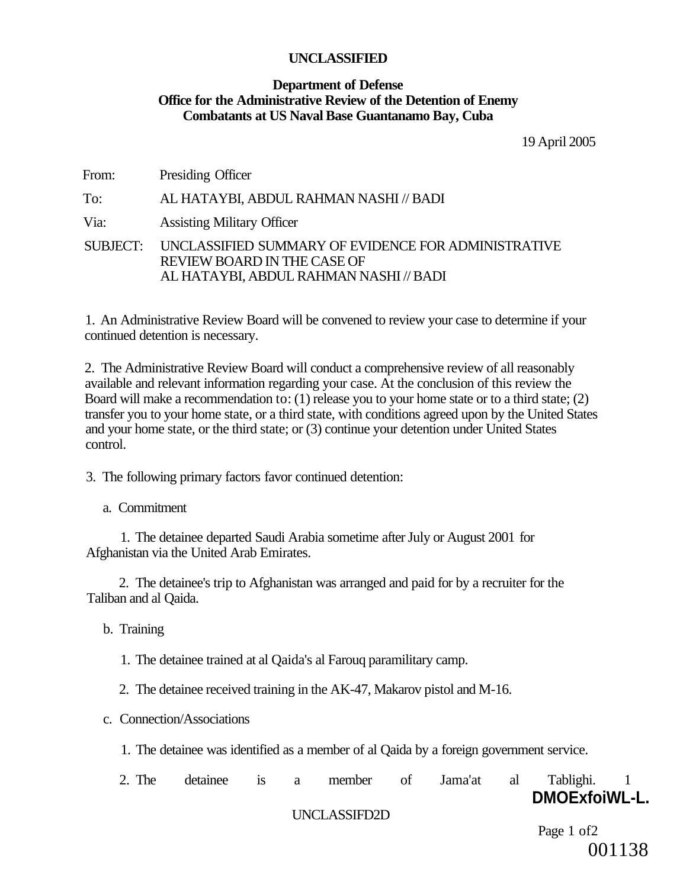#### **Department of Defense Office for the Administrative Review of the Detention of Enemy Combatants at US Naval Base Guantanamo Bay, Cuba**

19 April 2005

From: Presiding Officer

To: AL HATAYBI, ABDUL RAHMAN NASHI // BADI

Via: Assisting Military Officer

SUBJECT: UNCLASSIFIED SUMMARY OF EVIDENCE FOR ADMINISTRATIVE REVIEW BOARD IN THE CASE OF AL HATAYBI, ABDUL RAHMAN NASHI // BADI

1. An Administrative Review Board will be convened to review your case to determine if your continued detention is necessary.

2. The Administrative Review Board will conduct a comprehensive review of all reasonably available and relevant information regarding your case. At the conclusion of this review the Board will make a recommendation to: (1) release you to your home state or to a third state; (2) transfer you to your home state, or a third state, with conditions agreed upon by the United States and your home state, or the third state; or (3) continue your detention under United States control.

3. The following primary factors favor continued detention:

a. Commitment

1. The detainee departed Saudi Arabia sometime after July or August 2001 for Afghanistan via the United Arab Emirates.

2. The detainee's trip to Afghanistan was arranged and paid for by a recruiter for the Taliban and al Qaida.

b. Training

1. The detainee trained at al Qaida's al Farouq paramilitary camp.

2. The detainee received training in the AK-47, Makarov pistol and M-16.

c. Connection/Associations

1. The detainee was identified as a member of al Qaida by a foreign government service.

| 2. The | detainee | $1S$ a | member       | 0t | Jama'at | al | Tablighi.            |  |
|--------|----------|--------|--------------|----|---------|----|----------------------|--|
|        |          |        |              |    |         |    | <b>DMOExfoiWL-L.</b> |  |
|        |          |        | UNCLASSIFD2D |    |         |    |                      |  |

Page 1 of 2 001138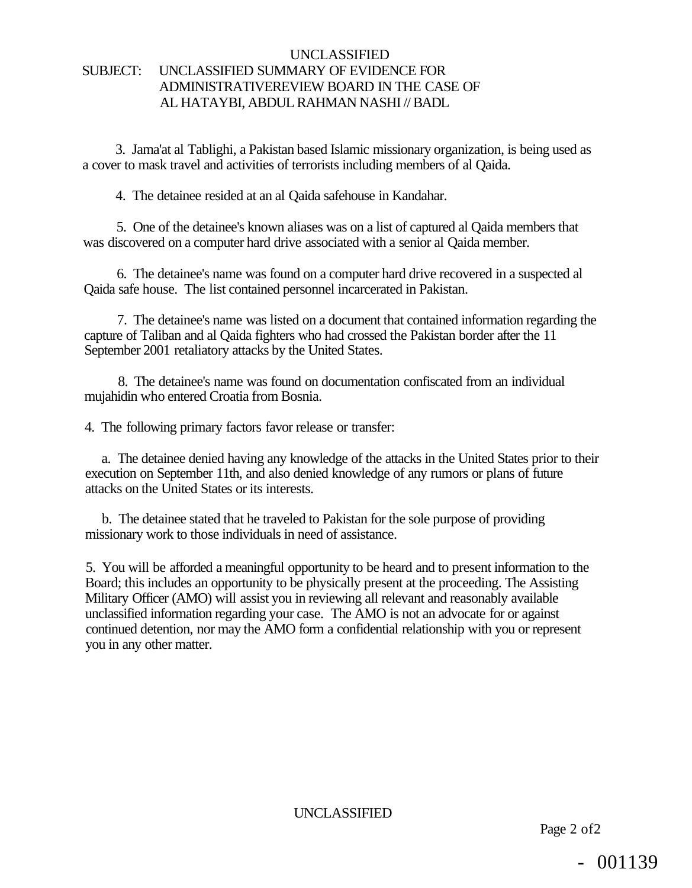#### UNCLASSIFIED SUBJECT: UNCLASSIFIED SUMMARY OF EVIDENCE FOR ADMINISTRATIVEREVIEW BOARD IN THE CASE OF AL HATAYBI, ABDUL RAHMAN NASHI // BADL

3. Jama'at al Tablighi, a Pakistan based Islamic missionary organization, is being used as a cover to mask travel and activities of terrorists including members of al Qaida.

4. The detainee resided at an al Qaida safehouse in Kandahar.

5. One of the detainee's known aliases was on a list of captured al Qaida members that was discovered on a computer hard drive associated with a senior al Qaida member.

6. The detainee's name was found on a computer hard drive recovered in a suspected al Qaida safe house. The list contained personnel incarcerated in Pakistan.

7. The detainee's name was listed on a document that contained information regarding the capture of Taliban and al Qaida fighters who had crossed the Pakistan border after the 11 September 2001 retaliatory attacks by the United States.

8. The detainee's name was found on documentation confiscated from an individual mujahidin who entered Croatia from Bosnia.

4. The following primary factors favor release or transfer:

a. The detainee denied having any knowledge of the attacks in the United States prior to their execution on September 11th, and also denied knowledge of any rumors or plans of future attacks on the United States or its interests.

b. The detainee stated that he traveled to Pakistan for the sole purpose of providing missionary work to those individuals in need of assistance.

5. You will be afforded a meaningful opportunity to be heard and to present information to the Board; this includes an opportunity to be physically present at the proceeding. The Assisting Military Officer (AMO) will assist you in reviewing all relevant and reasonably available unclassified information regarding your case. The AMO is not an advocate for or against continued detention, nor may the AMO form a confidential relationship with you or represent you in any other matter.

UNCLASSIFIED

Page 2 of2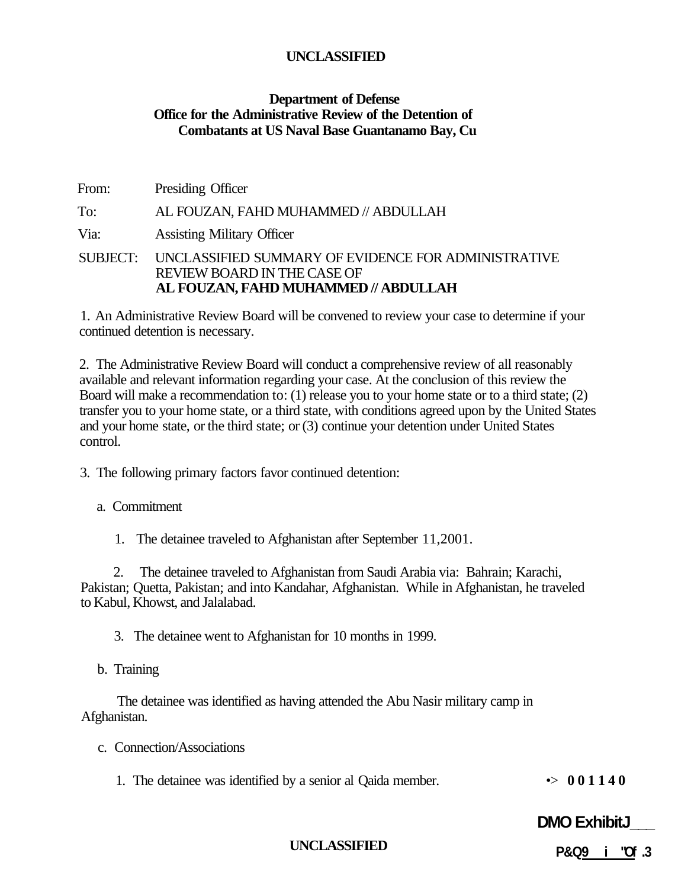#### **Department of Defense Office for the Administrative Review of the Detention of Combatants at US Naval Base Guantanamo Bay, Cu**

From: Presiding Officer To: AL FOUZAN, FAHD MUHAMMED // ABDULLAH Via: Assisting Military Officer SUBJECT: UNCLASSIFIED SUMMARY OF EVIDENCE FOR ADMINISTRATIVE REVIEW BOARD IN THE CASE OF **AL FOUZAN, FAHD MUHAMMED // ABDULLAH** 

1. An Administrative Review Board will be convened to review your case to determine if your continued detention is necessary.

2. The Administrative Review Board will conduct a comprehensive review of all reasonably available and relevant information regarding your case. At the conclusion of this review the Board will make a recommendation to: (1) release you to your home state or to a third state; (2) transfer you to your home state, or a third state, with conditions agreed upon by the United States and your home state, or the third state; or (3) continue your detention under United States control.

- 3. The following primary factors favor continued detention:
	- a. Commitment
		- 1. The detainee traveled to Afghanistan after September 11,2001.

2. The detainee traveled to Afghanistan from Saudi Arabia via: Bahrain; Karachi, Pakistan; Quetta, Pakistan; and into Kandahar, Afghanistan. While in Afghanistan, he traveled to Kabul, Khowst, and Jalalabad.

3. The detainee went to Afghanistan for 10 months in 1999.

b. Training

The detainee was identified as having attended the Abu Nasir military camp in Afghanistan.

- c. Connection/Associations
	- 1. The detainee was identified by a senior al Qaida member.  $\rightarrow$  **001140**

**DMO ExhibitJ\_\_\_** 

**UNCLASSIFIED** 

**P&Q9 i "Of .3**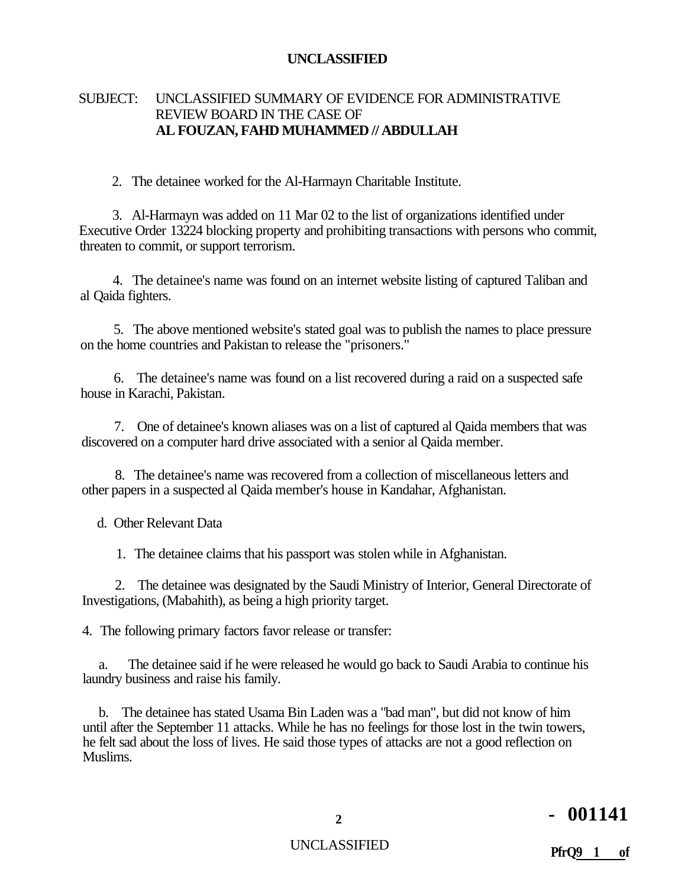#### SUBJECT: UNCLASSIFIED SUMMARY OF EVIDENCE FOR ADMINISTRATIVE REVIEW BOARD IN THE CASE OF **AL FOUZAN, FAHD MUHAMMED // ABDULLAH**

2. The detainee worked for the Al-Harmayn Charitable Institute.

3. Al-Harmayn was added on 11 Mar 02 to the list of organizations identified under Executive Order 13224 blocking property and prohibiting transactions with persons who commit, threaten to commit, or support terrorism.

4. The detainee's name was found on an internet website listing of captured Taliban and al Qaida fighters.

5. The above mentioned website's stated goal was to publish the names to place pressure on the home countries and Pakistan to release the "prisoners."

6. The detainee's name was found on a list recovered during a raid on a suspected safe house in Karachi, Pakistan.

7. One of detainee's known aliases was on a list of captured al Qaida members that was discovered on a computer hard drive associated with a senior al Qaida member.

8. The detainee's name was recovered from a collection of miscellaneous letters and other papers in a suspected al Qaida member's house in Kandahar, Afghanistan.

d. Other Relevant Data

1. The detainee claims that his passport was stolen while in Afghanistan.

2. The detainee was designated by the Saudi Ministry of Interior, General Directorate of Investigations, (Mabahith), as being a high priority target.

4. The following primary factors favor release or transfer:

a. The detainee said if he were released he would go back to Saudi Arabia to continue his laundry business and raise his family.

b. The detainee has stated Usama Bin Laden was a "bad man", but did not know of him until after the September 11 attacks. While he has no feelings for those lost in the twin towers, he felt sad about the loss of lives. He said those types of attacks are not a good reflection on Muslims.

# **<sup>2</sup> - 001141**

# UNCLASSIFIED **PfrQ9 1 of**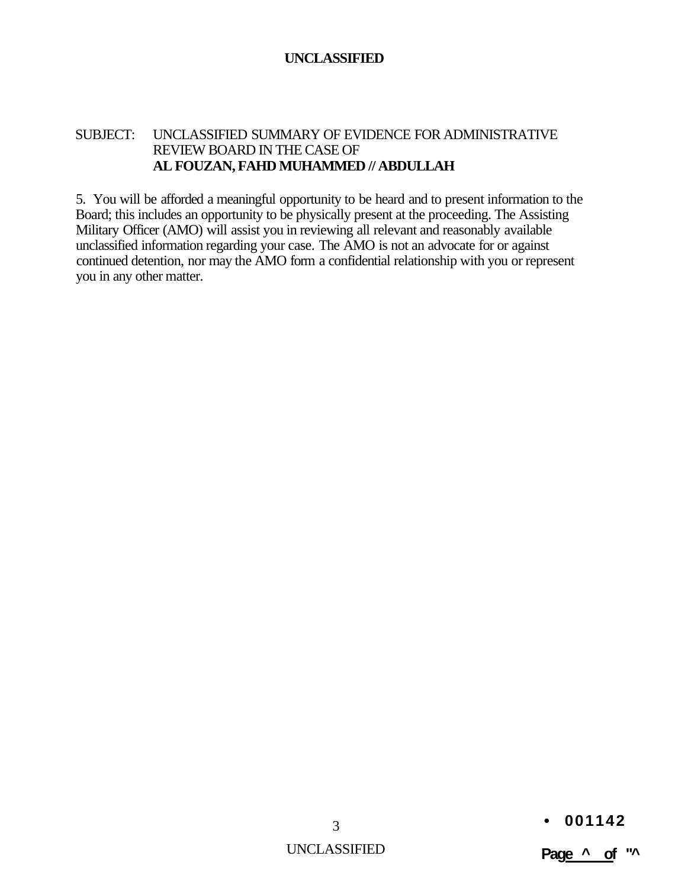#### SUBJECT: UNCLASSIFIED SUMMARY OF EVIDENCE FOR ADMINISTRATIVE REVIEW BOARD IN THE CASE OF **AL FOUZAN, FAHD MUHAMMED // ABDULLAH**

5. You will be afforded a meaningful opportunity to be heard and to present information to the Board; this includes an opportunity to be physically present at the proceeding. The Assisting Military Officer (AMO) will assist you in reviewing all relevant and reasonably available unclassified information regarding your case. The AMO is not an advocate for or against continued detention, nor may the AMO form a confidential relationship with you or represent you in any other matter.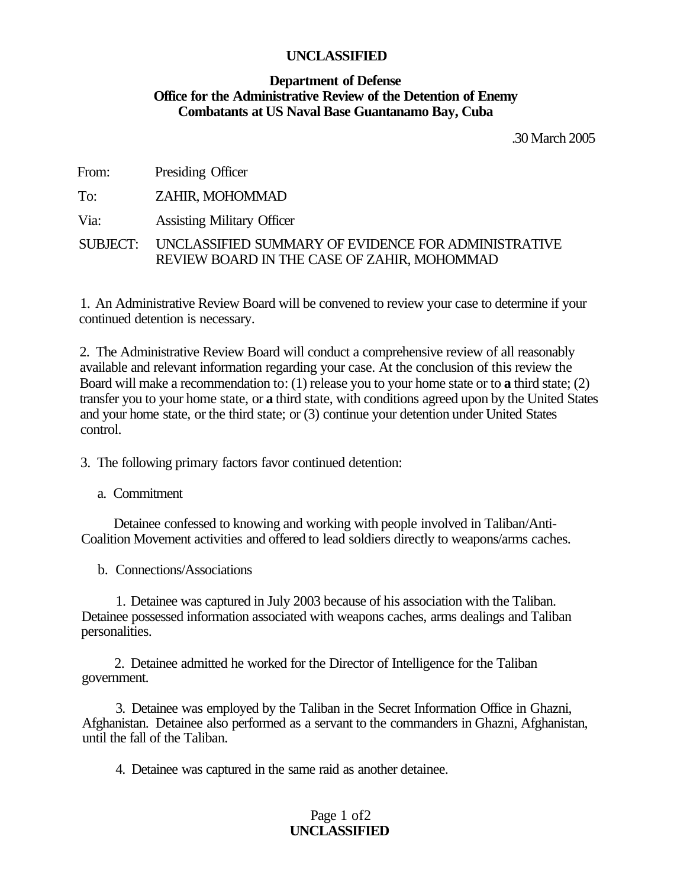#### **Department of Defense Office for the Administrative Review of the Detention of Enemy Combatants at US Naval Base Guantanamo Bay, Cuba**

.30 March 2005

| From: | Presiding Officer                                                                                           |
|-------|-------------------------------------------------------------------------------------------------------------|
| To:   | ZAHIR, MOHOMMAD                                                                                             |
| Via:  | <b>Assisting Military Officer</b>                                                                           |
|       | SUBJECT: UNCLASSIFIED SUMMARY OF EVIDENCE FOR ADMINISTRATIVE<br>REVIEW BOARD IN THE CASE OF ZAHIR, MOHOMMAD |

1. An Administrative Review Board will be convened to review your case to determine if your continued detention is necessary.

2. The Administrative Review Board will conduct a comprehensive review of all reasonably available and relevant information regarding your case. At the conclusion of this review the Board will make a recommendation to: (1) release you to your home state or to **a** third state; (2) transfer you to your home state, or **a** third state, with conditions agreed upon by the United States and your home state, or the third state; or (3) continue your detention under United States control.

3. The following primary factors favor continued detention:

a. Commitment

Detainee confessed to knowing and working with people involved in Taliban/Anti-Coalition Movement activities and offered to lead soldiers directly to weapons/arms caches.

b. Connections/Associations

1. Detainee was captured in July 2003 because of his association with the Taliban. Detainee possessed information associated with weapons caches, arms dealings and Taliban personalities.

2. Detainee admitted he worked for the Director of Intelligence for the Taliban government.

3. Detainee was employed by the Taliban in the Secret Information Office in Ghazni, Afghanistan. Detainee also performed as a servant to the commanders in Ghazni, Afghanistan, until the fall of the Taliban.

4. Detainee was captured in the same raid as another detainee.

#### Page 1 of2 **UNCLASSIFIED**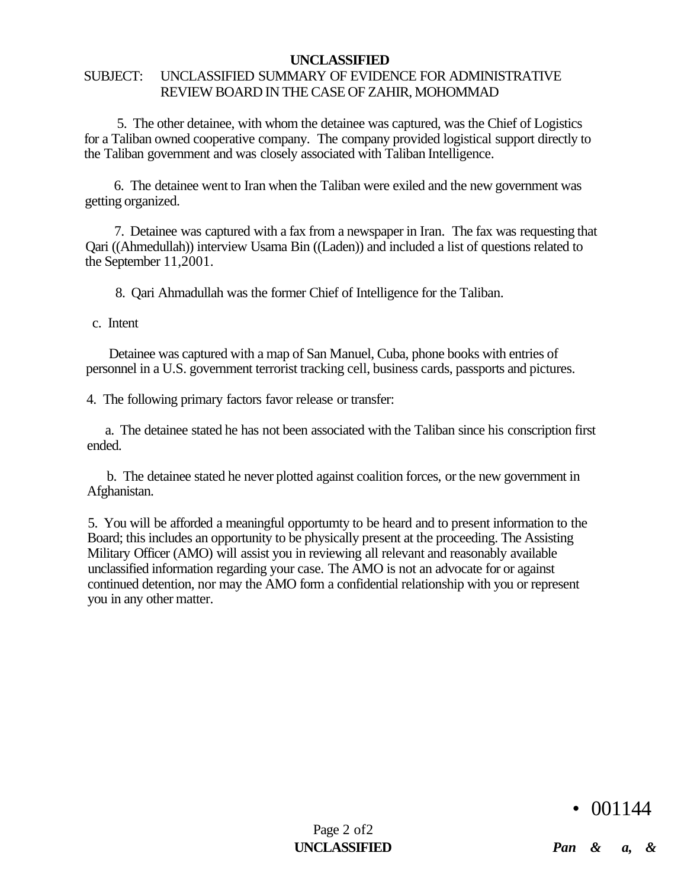# SUBJECT: UNCLASSIFIED SUMMARY OF EVIDENCE FOR ADMINISTRATIVE REVIEW BOARD IN THE CASE OF ZAHIR, MOHOMMAD

5. The other detainee, with whom the detainee was captured, was the Chief of Logistics for a Taliban owned cooperative company. The company provided logistical support directly to the Taliban government and was closely associated with Taliban Intelligence.

6. The detainee went to Iran when the Taliban were exiled and the new government was getting organized.

7. Detainee was captured with a fax from a newspaper in Iran. The fax was requesting that Qari ((Ahmedullah)) interview Usama Bin ((Laden)) and included a list of questions related to the September 11,2001.

8. Qari Ahmadullah was the former Chief of Intelligence for the Taliban.

c. Intent

Detainee was captured with a map of San Manuel, Cuba, phone books with entries of personnel in a U.S. government terrorist tracking cell, business cards, passports and pictures.

4. The following primary factors favor release or transfer:

a. The detainee stated he has not been associated with the Taliban since his conscription first ended.

b. The detainee stated he never plotted against coalition forces, or the new government in Afghanistan.

5. You will be afforded a meaningful opportumty to be heard and to present information to the Board; this includes an opportunity to be physically present at the proceeding. The Assisting Military Officer (AMO) will assist you in reviewing all relevant and reasonably available unclassified information regarding your case. The AMO is not an advocate for or against continued detention, nor may the AMO form a confidential relationship with you or represent you in any other matter.

• 001144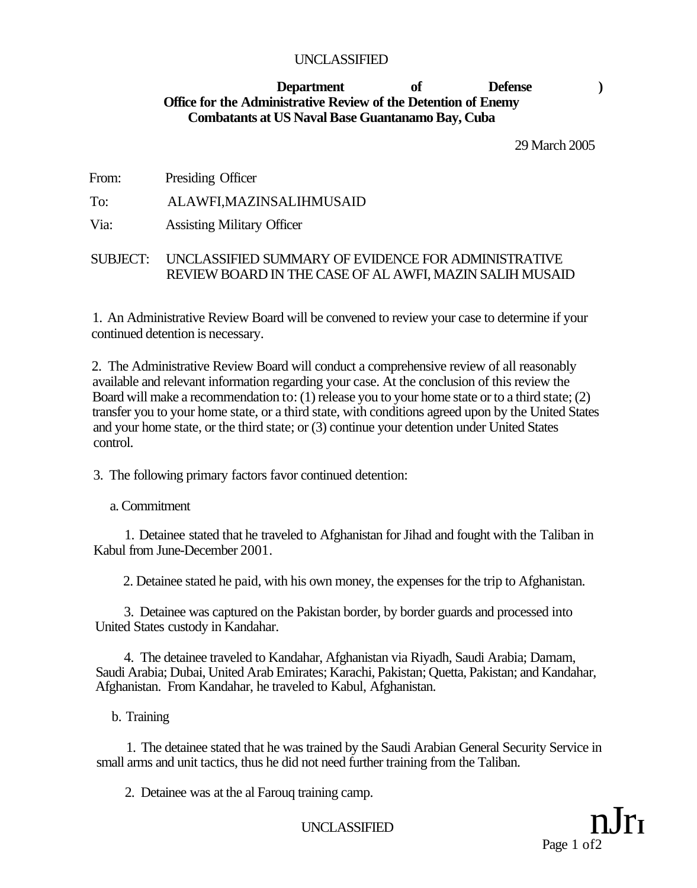# **Department of Defense ) Office for the Administrative Review of the Detention of Enemy Combatants at US Naval Base Guantanamo Bay, Cuba**

29 March 2005

From: Presiding Officer

To: ALAWFI,MAZINSALIHMUSAID

Via: Assisting Military Officer

# SUBJECT: UNCLASSIFIED SUMMARY OF EVIDENCE FOR ADMINISTRATIVE REVIEW BOARD IN THE CASE OF AL AWFI, MAZIN SALIH MUSAID

1. An Administrative Review Board will be convened to review your case to determine if your continued detention is necessary.

2. The Administrative Review Board will conduct a comprehensive review of all reasonably available and relevant information regarding your case. At the conclusion of this review the Board will make a recommendation to: (1) release you to your home state or to a third state; (2) transfer you to your home state, or a third state, with conditions agreed upon by the United States and your home state, or the third state; or (3) continue your detention under United States control.

3. The following primary factors favor continued detention:

a. Commitment

1. Detainee stated that he traveled to Afghanistan for Jihad and fought with the Taliban in Kabul from June-December 2001.

2. Detainee stated he paid, with his own money, the expenses for the trip to Afghanistan.

3. Detainee was captured on the Pakistan border, by border guards and processed into United States custody in Kandahar.

4. The detainee traveled to Kandahar, Afghanistan via Riyadh, Saudi Arabia; Damam, Saudi Arabia; Dubai, United Arab Emirates; Karachi, Pakistan; Quetta, Pakistan; and Kandahar, Afghanistan. From Kandahar, he traveled to Kabul, Afghanistan.

b. Training

1. The detainee stated that he was trained by the Saudi Arabian General Security Service in small arms and unit tactics, thus he did not need further training from the Taliban.

2. Detainee was at the al Farouq training camp.

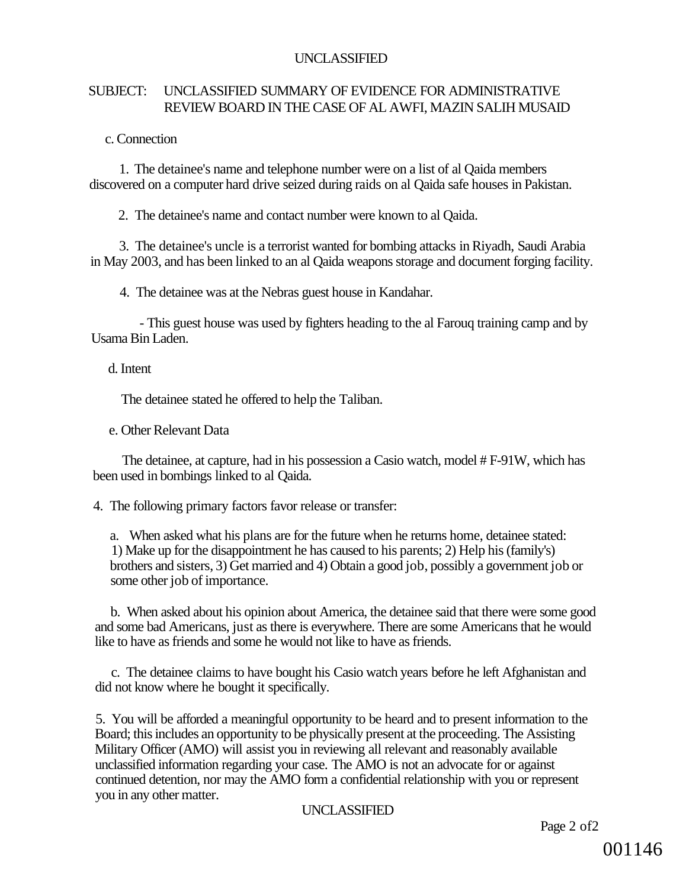# SUBJECT: UNCLASSIFIED SUMMARY OF EVIDENCE FOR ADMINISTRATIVE REVIEW BOARD IN THE CASE OF AL AWFI, MAZIN SALIH MUSAID

c. Connection

1. The detainee's name and telephone number were on a list of al Qaida members discovered on a computer hard drive seized during raids on al Qaida safe houses in Pakistan.

2. The detainee's name and contact number were known to al Qaida.

3. The detainee's uncle is a terrorist wanted for bombing attacks in Riyadh, Saudi Arabia in May 2003, and has been linked to an al Qaida weapons storage and document forging facility.

4. The detainee was at the Nebras guest house in Kandahar.

- This guest house was used by fighters heading to the al Farouq training camp and by Usama Bin Laden.

#### d. Intent

The detainee stated he offered to help the Taliban.

e. Other Relevant Data

The detainee, at capture, had in his possession a Casio watch, model # F-91W, which has been used in bombings linked to al Qaida.

4. The following primary factors favor release or transfer:

a. When asked what his plans are for the future when he returns home, detainee stated: 1) Make up for the disappointment he has caused to his parents; 2) Help his (family's) brothers and sisters, 3) Get married and 4) Obtain a good job, possibly a government job or some other job of importance.

b. When asked about his opinion about America, the detainee said that there were some good and some bad Americans, just as there is everywhere. There are some Americans that he would like to have as friends and some he would not like to have as friends.

c. The detainee claims to have bought his Casio watch years before he left Afghanistan and did not know where he bought it specifically.

5. You will be afforded a meaningful opportunity to be heard and to present information to the Board; this includes an opportunity to be physically present at the proceeding. The Assisting Military Officer (AMO) will assist you in reviewing all relevant and reasonably available unclassified information regarding your case. The AMO is not an advocate for or against continued detention, nor may the AMO form a confidential relationship with you or represent you in any other matter.

# UNCLASSIFIED

Page 2 of2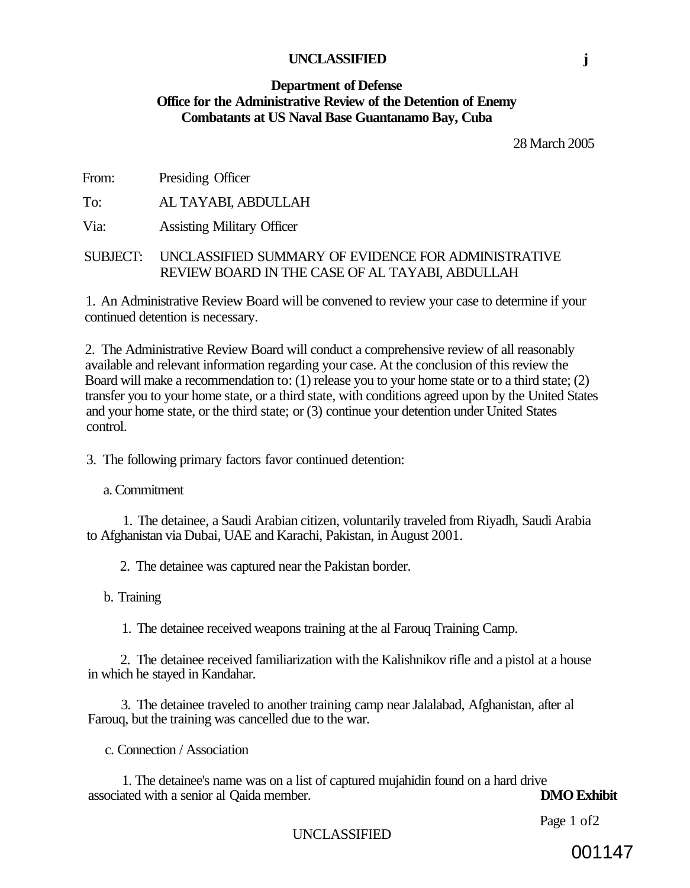#### **Department of Defense Office for the Administrative Review of the Detention of Enemy Combatants at US Naval Base Guantanamo Bay, Cuba**

28 March 2005

From: Presiding Officer

To: AL TAYABI, ABDULLAH

Via: Assisting Military Officer

#### SUBJECT: UNCLASSIFIED SUMMARY OF EVIDENCE FOR ADMINISTRATIVE REVIEW BOARD IN THE CASE OF AL TAYABI, ABDULLAH

1. An Administrative Review Board will be convened to review your case to determine if your continued detention is necessary.

2. The Administrative Review Board will conduct a comprehensive review of all reasonably available and relevant information regarding your case. At the conclusion of this review the Board will make a recommendation to: (1) release you to your home state or to a third state; (2) transfer you to your home state, or a third state, with conditions agreed upon by the United States and your home state, or the third state; or (3) continue your detention under United States control.

3. The following primary factors favor continued detention:

a. Commitment

1. The detainee, a Saudi Arabian citizen, voluntarily traveled from Riyadh, Saudi Arabia to Afghanistan via Dubai, UAE and Karachi, Pakistan, in August 2001.

2. The detainee was captured near the Pakistan border.

b. Training

1. The detainee received weapons training at the al Farouq Training Camp.

2. The detainee received familiarization with the Kalishnikov rifle and a pistol at a house in which he stayed in Kandahar.

3. The detainee traveled to another training camp near Jalalabad, Afghanistan, after al Farouq, but the training was cancelled due to the war.

c. Connection / Association

1. The detainee's name was on a list of captured mujahidin found on a hard drive<br>ted with a senior al Oaida member.<br>DMO Exhibit associated with a senior al Qaida member.

Page 1 of2

UNCLASSIFIED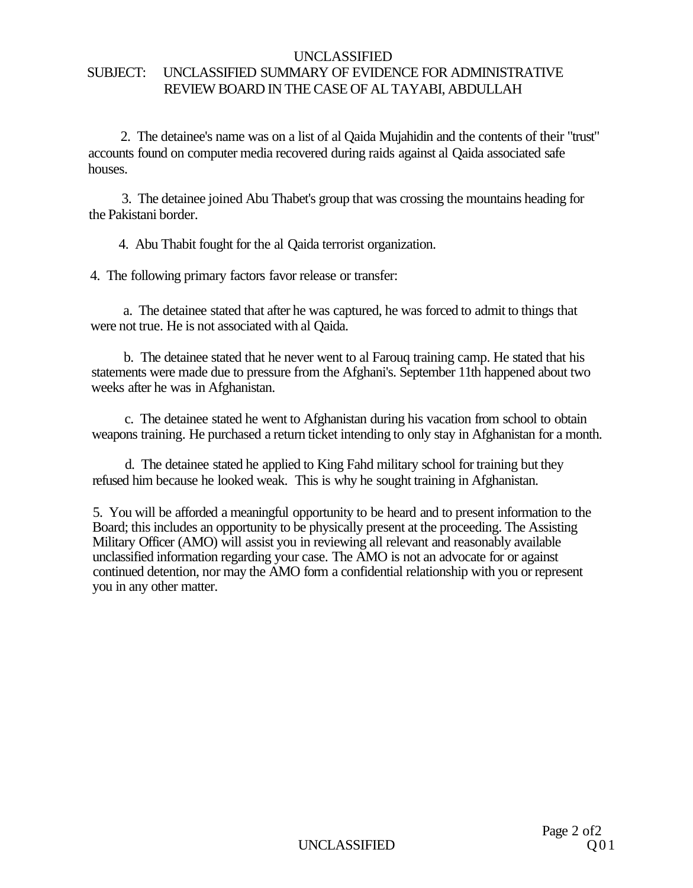#### UNCLASSIFIED SUBJECT: UNCLASSIFIED SUMMARY OF EVIDENCE FOR ADMINISTRATIVE REVIEW BOARD IN THE CASE OF AL TAYABI, ABDULLAH

2. The detainee's name was on a list of al Qaida Mujahidin and the contents of their "trust" accounts found on computer media recovered during raids against al Qaida associated safe houses.

3. The detainee joined Abu Thabet's group that was crossing the mountains heading for the Pakistani border.

4. Abu Thabit fought for the al Qaida terrorist organization.

4. The following primary factors favor release or transfer:

a. The detainee stated that after he was captured, he was forced to admit to things that were not true. He is not associated with al Qaida.

b. The detainee stated that he never went to al Farouq training camp. He stated that his statements were made due to pressure from the Afghani's. September 11th happened about two weeks after he was in Afghanistan.

c. The detainee stated he went to Afghanistan during his vacation from school to obtain weapons training. He purchased a return ticket intending to only stay in Afghanistan for a month.

d. The detainee stated he applied to King Fahd military school for training but they refused him because he looked weak. This is why he sought training in Afghanistan.

5. You will be afforded a meaningful opportunity to be heard and to present information to the Board; this includes an opportunity to be physically present at the proceeding. The Assisting Military Officer (AMO) will assist you in reviewing all relevant and reasonably available unclassified information regarding your case. The AMO is not an advocate for or against continued detention, nor may the AMO form a confidential relationship with you or represent you in any other matter.

**UNCLASSIFIED**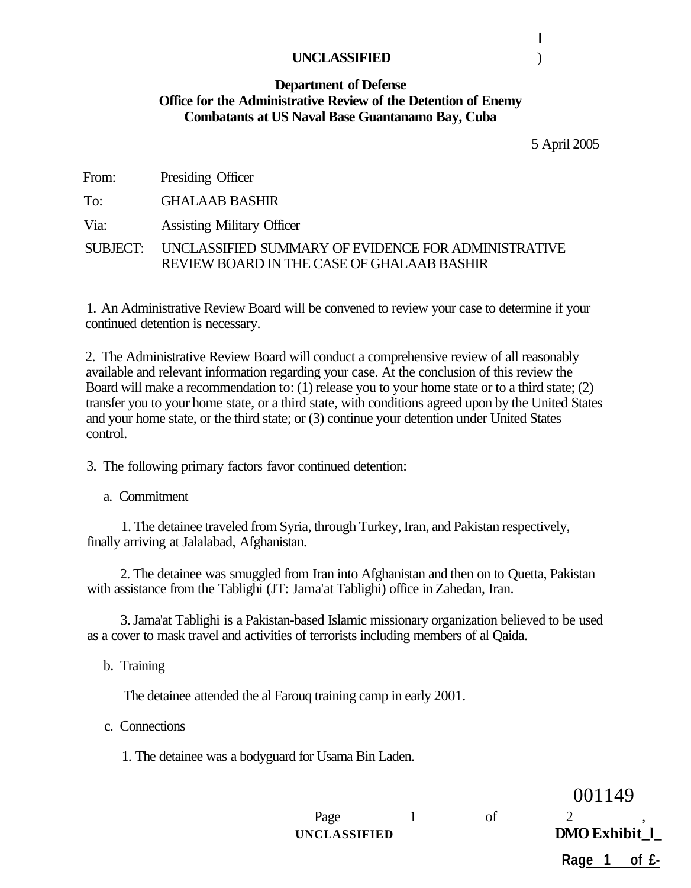#### **Department of Defense Office for the Administrative Review of the Detention of Enemy Combatants at US Naval Base Guantanamo Bay, Cuba**

5 April 2005

From: Presiding Officer

To: GHALAAB BASHIR

Via: Assisting Military Officer

SUBJECT: UNCLASSIFIED SUMMARY OF EVIDENCE FOR ADMINISTRATIVE REVIEW BOARD IN THE CASE OF GHALAAB BASHIR

1. An Administrative Review Board will be convened to review your case to determine if your continued detention is necessary.

2. The Administrative Review Board will conduct a comprehensive review of all reasonably available and relevant information regarding your case. At the conclusion of this review the Board will make a recommendation to: (1) release you to your home state or to a third state; (2) transfer you to your home state, or a third state, with conditions agreed upon by the United States and your home state, or the third state; or (3) continue your detention under United States control.

3. The following primary factors favor continued detention:

a. Commitment

1. The detainee traveled from Syria, through Turkey, Iran, and Pakistan respectively, finally arriving at Jalalabad, Afghanistan.

2. The detainee was smuggled from Iran into Afghanistan and then on to Quetta, Pakistan with assistance from the Tablighi (JT: Jama'at Tablighi) office in Zahedan, Iran.

3. Jama'at Tablighi is a Pakistan-based Islamic missionary organization believed to be used as a cover to mask travel and activities of terrorists including members of al Qaida.

b. Training

The detainee attended the al Farouq training camp in early 2001.

c. Connections

1. The detainee was a bodyguard for Usama Bin Laden.

UNCLASSIFIED **DMO** Exhibit 1

001149 Page  $1$  of  $2$  , **Rage 1 of £-**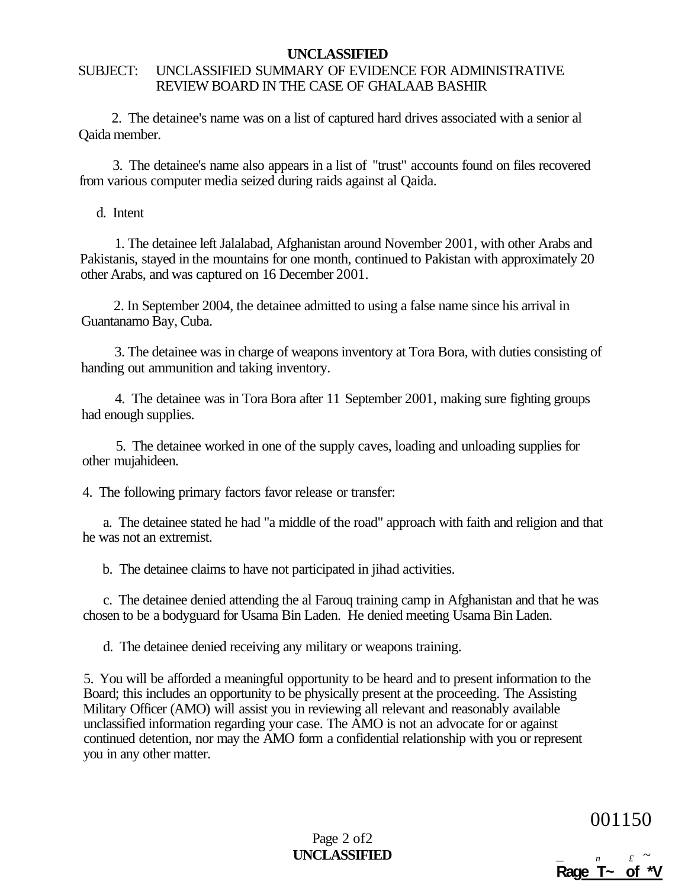# SUBJECT: UNCLASSIFIED SUMMARY OF EVIDENCE FOR ADMINISTRATIVE REVIEW BOARD IN THE CASE OF GHALAAB BASHIR

2. The detainee's name was on a list of captured hard drives associated with a senior al Qaida member.

3. The detainee's name also appears in a list of "trust" accounts found on files recovered from various computer media seized during raids against al Qaida.

d. Intent

1. The detainee left Jalalabad, Afghanistan around November 2001, with other Arabs and Pakistanis, stayed in the mountains for one month, continued to Pakistan with approximately 20 other Arabs, and was captured on 16 December 2001.

2. In September 2004, the detainee admitted to using a false name since his arrival in Guantanamo Bay, Cuba.

3. The detainee was in charge of weapons inventory at Tora Bora, with duties consisting of handing out ammunition and taking inventory.

4. The detainee was in Tora Bora after 11 September 2001, making sure fighting groups had enough supplies.

5. The detainee worked in one of the supply caves, loading and unloading supplies for other mujahideen.

4. The following primary factors favor release or transfer:

a. The detainee stated he had "a middle of the road" approach with faith and religion and that he was not an extremist.

b. The detainee claims to have not participated in jihad activities.

c. The detainee denied attending the al Farouq training camp in Afghanistan and that he was chosen to be a bodyguard for Usama Bin Laden. He denied meeting Usama Bin Laden.

d. The detainee denied receiving any military or weapons training.

5. You will be afforded a meaningful opportunity to be heard and to present information to the Board; this includes an opportunity to be physically present at the proceeding. The Assisting Military Officer (AMO) will assist you in reviewing all relevant and reasonably available unclassified information regarding your case. The AMO is not an advocate for or against continued detention, nor may the AMO form a confidential relationship with you or represent you in any other matter.

001150

Page 2 of2 **UNCLASSIFIED** \_ *n £ ~* 

 $\overline{\mathsf{R} \mathsf{age}}$   $\overline{\mathsf{T}}$   $\sim$  of  $\overline{\mathsf{A}}$   $\mathsf{V}$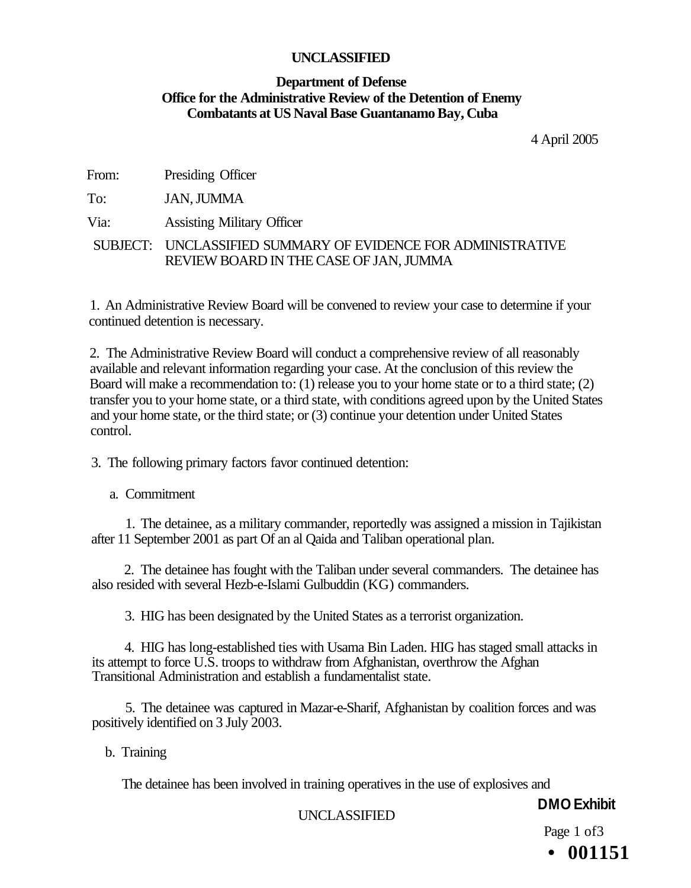# **Department of Defense Office for the Administrative Review of the Detention of Enemy Combatants at US Naval Base Guantanamo Bay, Cuba**

4 April 2005

| From: | Presiding Officer |  |
|-------|-------------------|--|
|-------|-------------------|--|

To: JAN, JUMMA

Via: Assisting Military Officer

SUBJECT: UNCLASSIFIED SUMMARY OF EVIDENCE FOR ADMINISTRATIVE REVIEW BOARD IN THE CASE OF JAN, JUMMA

1. An Administrative Review Board will be convened to review your case to determine if your continued detention is necessary.

2. The Administrative Review Board will conduct a comprehensive review of all reasonably available and relevant information regarding your case. At the conclusion of this review the Board will make a recommendation to: (1) release you to your home state or to a third state; (2) transfer you to your home state, or a third state, with conditions agreed upon by the United States and your home state, or the third state; or (3) continue your detention under United States control.

3. The following primary factors favor continued detention:

a. Commitment

1. The detainee, as a military commander, reportedly was assigned a mission in Tajikistan after 11 September 2001 as part Of an al Qaida and Taliban operational plan.

2. The detainee has fought with the Taliban under several commanders. The detainee has also resided with several Hezb-e-Islami Gulbuddin (KG) commanders.

3. HIG has been designated by the United States as a terrorist organization.

4. HIG has long-established ties with Usama Bin Laden. HIG has staged small attacks in its attempt to force U.S. troops to withdraw from Afghanistan, overthrow the Afghan Transitional Administration and establish a fundamentalist state.

5. The detainee was captured in Mazar-e-Sharif, Afghanistan by coalition forces and was positively identified on 3 July 2003.

b. Training

The detainee has been involved in training operatives in the use of explosives and

**DMO Exhibit** 

UNCLASSIFIED

Page 1 of 3 **• 001151**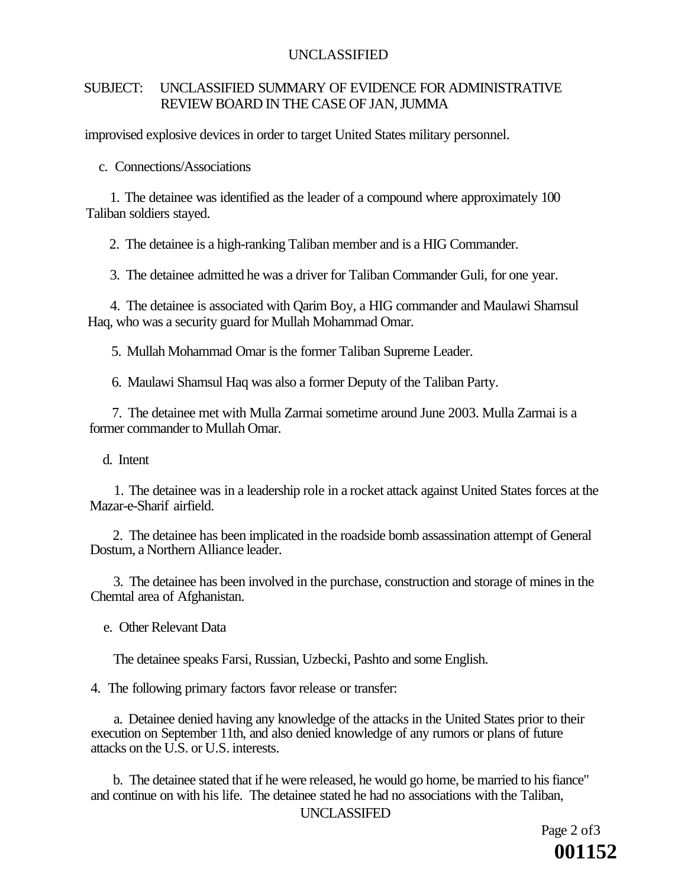#### SUBJECT: UNCLASSIFIED SUMMARY OF EVIDENCE FOR ADMINISTRATIVE REVIEW BOARD IN THE CASE OF JAN, JUMMA

improvised explosive devices in order to target United States military personnel.

c. Connections/Associations

1. The detainee was identified as the leader of a compound where approximately 100 Taliban soldiers stayed.

2. The detainee is a high-ranking Taliban member and is a HIG Commander.

3. The detainee admitted he was a driver for Taliban Commander Guli, for one year.

4. The detainee is associated with Qarim Boy, a HIG commander and Maulawi Shamsul Haq, who was a security guard for Mullah Mohammad Omar.

5. Mullah Mohammad Omar is the former Taliban Supreme Leader.

6. Maulawi Shamsul Haq was also a former Deputy of the Taliban Party.

7. The detainee met with Mulla Zarmai sometime around June 2003. Mulla Zarmai is a former commander to Mullah Omar.

d. Intent

1. The detainee was in a leadership role in a rocket attack against United States forces at the Mazar-e-Sharif airfield.

2. The detainee has been implicated in the roadside bomb assassination attempt of General Dostum, a Northern Alliance leader.

3. The detainee has been involved in the purchase, construction and storage of mines in the Chemtal area of Afghanistan.

e. Other Relevant Data

The detainee speaks Farsi, Russian, Uzbecki, Pashto and some English.

4. The following primary factors favor release or transfer:

a. Detainee denied having any knowledge of the attacks in the United States prior to their execution on September 11th, and also denied knowledge of any rumors or plans of future attacks on the U.S. or U.S. interests.

b. The detainee stated that if he were released, he would go home, be married to his fiance" and continue on with his life. The detainee stated he had no associations with the Taliban,

UNCLASSIFED

Page 2 of 3 **001152**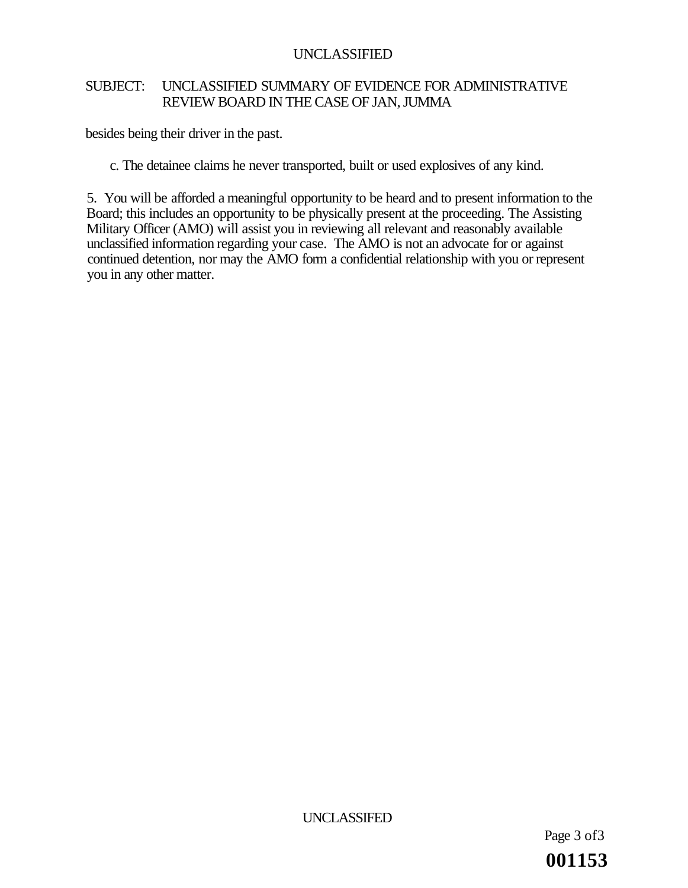# SUBJECT: UNCLASSIFIED SUMMARY OF EVIDENCE FOR ADMINISTRATIVE REVIEW BOARD IN THE CASE OF JAN, JUMMA

besides being their driver in the past.

c. The detainee claims he never transported, built or used explosives of any kind.

5. You will be afforded a meaningful opportunity to be heard and to present information to the Board; this includes an opportunity to be physically present at the proceeding. The Assisting Military Officer (AMO) will assist you in reviewing all relevant and reasonably available unclassified information regarding your case. The AMO is not an advocate for or against continued detention, nor may the AMO form a confidential relationship with you or represent you in any other matter.

UNCLASSIFED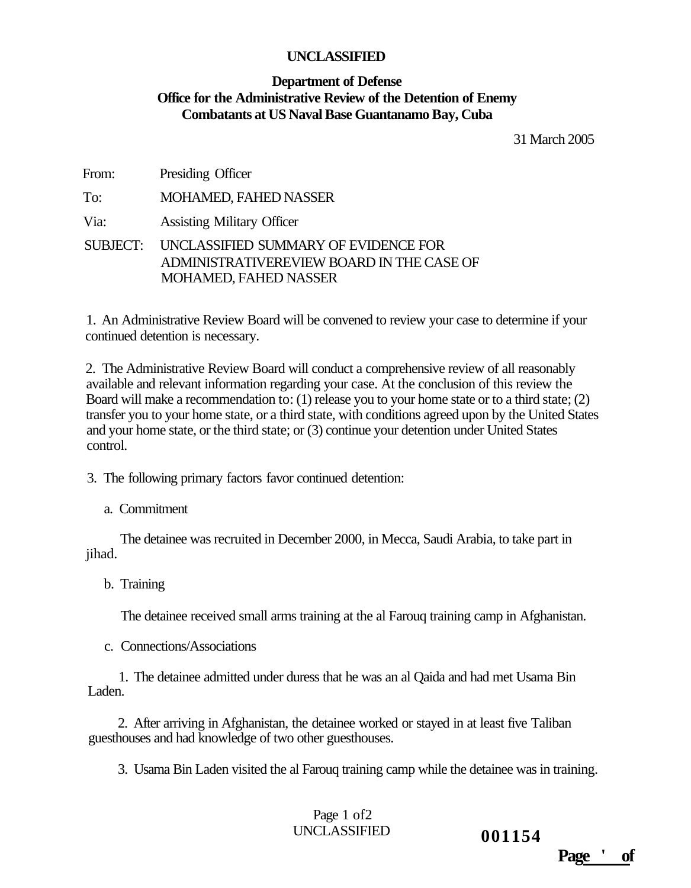#### **Department of Defense Office for the Administrative Review of the Detention of Enemy Combatants at US Naval Base Guantanamo Bay, Cuba**

31 March 2005

| From: | Presiding Officer                                                                                                          |
|-------|----------------------------------------------------------------------------------------------------------------------------|
| To:   | <b>MOHAMED, FAHED NASSER</b>                                                                                               |
| Via:  | <b>Assisting Military Officer</b>                                                                                          |
|       | SUBJECT: UNCLASSIFIED SUMMARY OF EVIDENCE FOR<br>ADMINISTRATIVEREVIEW BOARD IN THE CASE OF<br><b>MOHAMED, FAHED NASSER</b> |

1. An Administrative Review Board will be convened to review your case to determine if your continued detention is necessary.

2. The Administrative Review Board will conduct a comprehensive review of all reasonably available and relevant information regarding your case. At the conclusion of this review the Board will make a recommendation to: (1) release you to your home state or to a third state; (2) transfer you to your home state, or a third state, with conditions agreed upon by the United States and your home state, or the third state; or (3) continue your detention under United States control.

3. The following primary factors favor continued detention:

a. Commitment

The detainee was recruited in December 2000, in Mecca, Saudi Arabia, to take part in jihad.

b. Training

The detainee received small arms training at the al Farouq training camp in Afghanistan.

c. Connections/Associations

1. The detainee admitted under duress that he was an al Qaida and had met Usama Bin Laden.

2. After arriving in Afghanistan, the detainee worked or stayed in at least five Taliban guesthouses and had knowledge of two other guesthouses.

3. Usama Bin Laden visited the al Farouq training camp while the detainee was in training.

Page 1 of2 UNCLASSIFIED **001154** 

**Page ' of**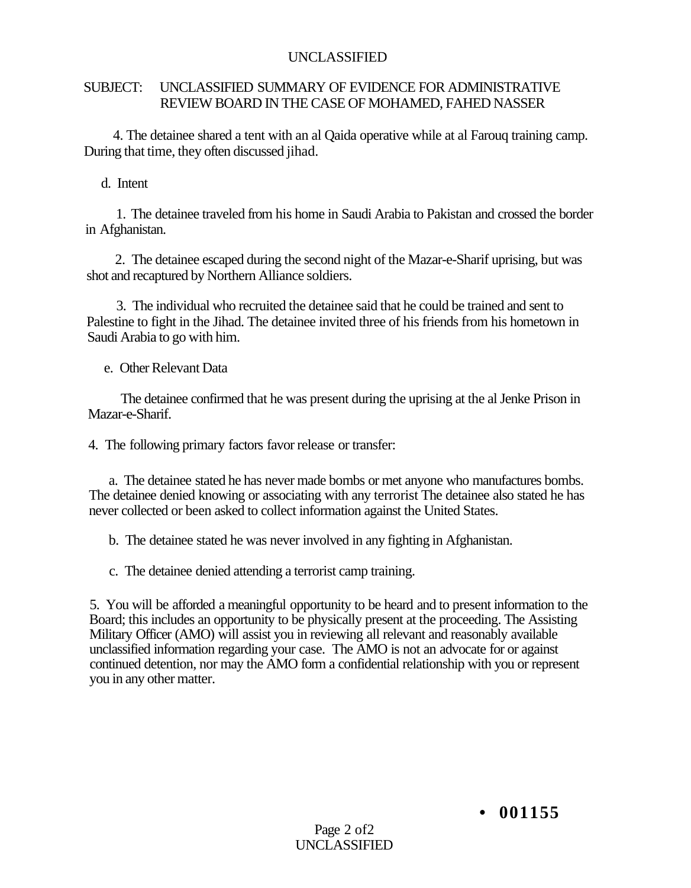## SUBJECT: UNCLASSIFIED SUMMARY OF EVIDENCE FOR ADMINISTRATIVE REVIEW BOARD IN THE CASE OF MOHAMED, FAHED NASSER

4. The detainee shared a tent with an al Qaida operative while at al Farouq training camp. During that time, they often discussed jihad.

d. Intent

1. The detainee traveled from his home in Saudi Arabia to Pakistan and crossed the border in Afghanistan.

2. The detainee escaped during the second night of the Mazar-e-Sharif uprising, but was shot and recaptured by Northern Alliance soldiers.

3. The individual who recruited the detainee said that he could be trained and sent to Palestine to fight in the Jihad. The detainee invited three of his friends from his hometown in Saudi Arabia to go with him.

e. Other Relevant Data

The detainee confirmed that he was present during the uprising at the al Jenke Prison in Mazar-e-Sharif.

4. The following primary factors favor release or transfer:

a. The detainee stated he has never made bombs or met anyone who manufactures bombs. The detainee denied knowing or associating with any terrorist The detainee also stated he has never collected or been asked to collect information against the United States.

b. The detainee stated he was never involved in any fighting in Afghanistan.

c. The detainee denied attending a terrorist camp training.

5. You will be afforded a meaningful opportunity to be heard and to present information to the Board; this includes an opportunity to be physically present at the proceeding. The Assisting Military Officer (AMO) will assist you in reviewing all relevant and reasonably available unclassified information regarding your case. The AMO is not an advocate for or against continued detention, nor may the AMO form a confidential relationship with you or represent you in any other matter.

**• 001155**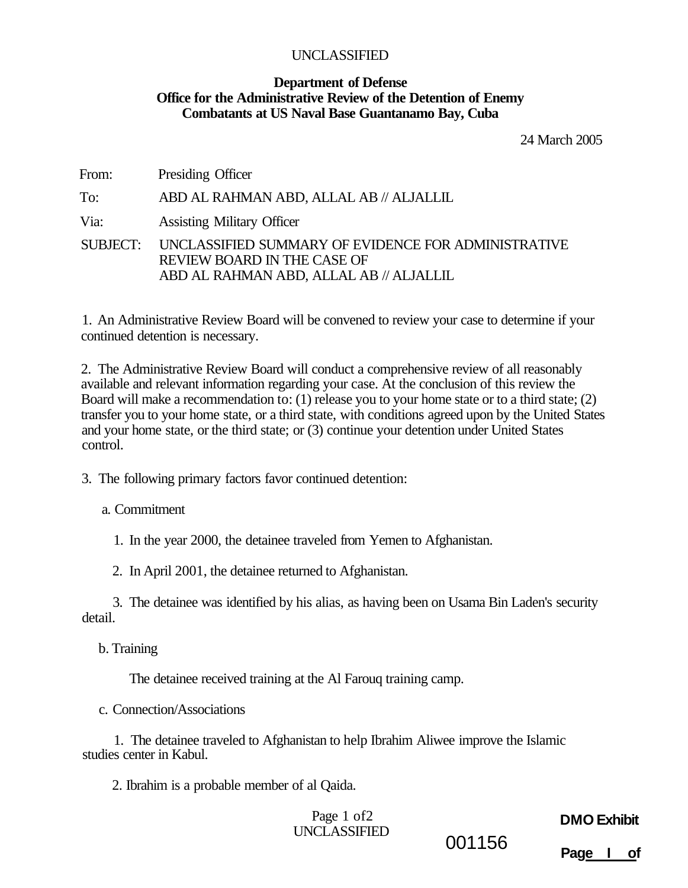#### **Department of Defense Office for the Administrative Review of the Detention of Enemy Combatants at US Naval Base Guantanamo Bay, Cuba**

24 March 2005

| From: | Presiding Officer                                                                                                                             |
|-------|-----------------------------------------------------------------------------------------------------------------------------------------------|
| To:   | ABD AL RAHMAN ABD, ALLAL AB // ALJALLIL                                                                                                       |
| Via:  | <b>Assisting Military Officer</b>                                                                                                             |
|       | SUBJECT: UNCLASSIFIED SUMMARY OF EVIDENCE FOR ADMINISTRATIVE<br><b>REVIEW BOARD IN THE CASE OF</b><br>ABD AL RAHMAN ABD, ALLAL AB // ALJALLIL |

1. An Administrative Review Board will be convened to review your case to determine if your continued detention is necessary.

2. The Administrative Review Board will conduct a comprehensive review of all reasonably available and relevant information regarding your case. At the conclusion of this review the Board will make a recommendation to: (1) release you to your home state or to a third state; (2) transfer you to your home state, or a third state, with conditions agreed upon by the United States and your home state, or the third state; or (3) continue your detention under United States control.

3. The following primary factors favor continued detention:

a. Commitment

1. In the year 2000, the detainee traveled from Yemen to Afghanistan.

2. In April 2001, the detainee returned to Afghanistan.

3. The detainee was identified by his alias, as having been on Usama Bin Laden's security detail.

b. Training

The detainee received training at the Al Farouq training camp.

c. Connection/Associations

1. The detainee traveled to Afghanistan to help Ibrahim Aliwee improve the Islamic studies center in Kabul.

2. Ibrahim is a probable member of al Qaida.

Page 1 of 2 UNCLASSIFIED 001156

# **DMO Exhibit**

**Page I of**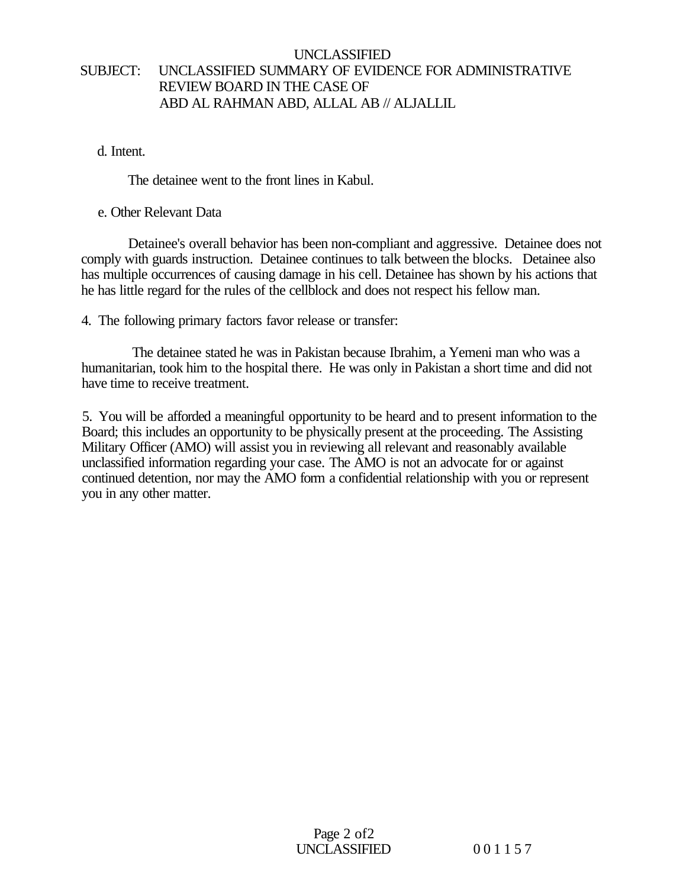# UNCLASSIFIED SUBJECT: UNCLASSIFIED SUMMARY OF EVIDENCE FOR ADMINISTRATIVE REVIEW BOARD IN THE CASE OF ABD AL RAHMAN ABD, ALLAL AB // ALJALLIL

#### d. Intent.

The detainee went to the front lines in Kabul.

#### e. Other Relevant Data

Detainee's overall behavior has been non-compliant and aggressive. Detainee does not comply with guards instruction. Detainee continues to talk between the blocks. Detainee also has multiple occurrences of causing damage in his cell. Detainee has shown by his actions that he has little regard for the rules of the cellblock and does not respect his fellow man.

4. The following primary factors favor release or transfer:

The detainee stated he was in Pakistan because Ibrahim, a Yemeni man who was a humanitarian, took him to the hospital there. He was only in Pakistan a short time and did not have time to receive treatment.

5. You will be afforded a meaningful opportunity to be heard and to present information to the Board; this includes an opportunity to be physically present at the proceeding. The Assisting Military Officer (AMO) will assist you in reviewing all relevant and reasonably available unclassified information regarding your case. The AMO is not an advocate for or against continued detention, nor may the AMO form a confidential relationship with you or represent you in any other matter.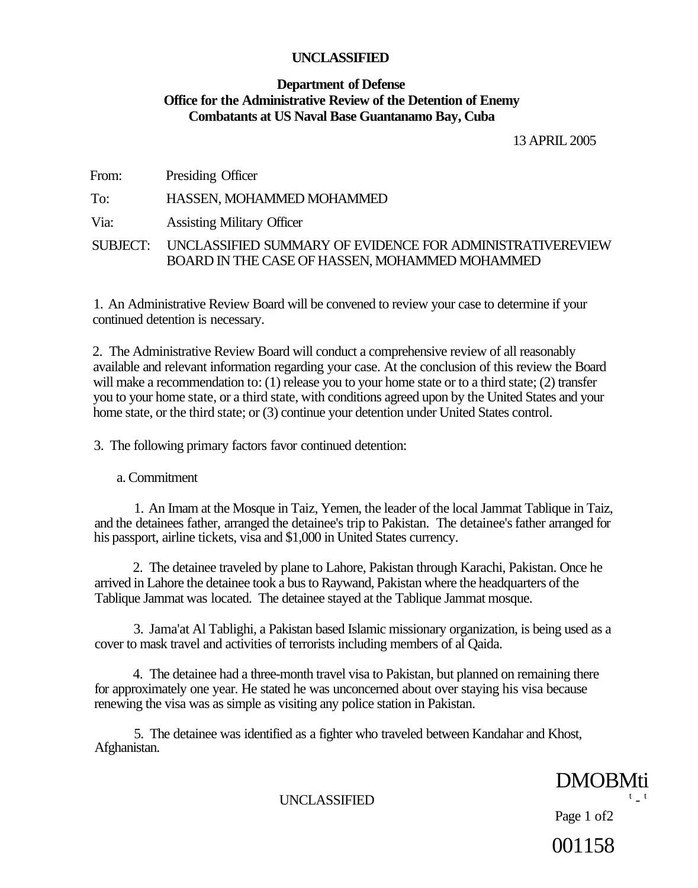# **Department of Defense Office for the Administrative Review of the Detention of Enemy Combatants at US Naval Base Guantanamo Bay, Cuba**

13 APRIL 2005

From: Presiding Officer

To: HASSEN, MOHAMMED MOHAMMED

Via: Assisting Military Officer

SUBJECT: UNCLASSIFIED SUMMARY OF EVIDENCE FOR ADMINISTRATIVEREVIEW BOARD IN THE CASE OF HASSEN, MOHAMMED MOHAMMED

1. An Administrative Review Board will be convened to review your case to determine if your continued detention is necessary.

2. The Administrative Review Board will conduct a comprehensive review of all reasonably available and relevant information regarding your case. At the conclusion of this review the Board will make a recommendation to: (1) release you to your home state or to a third state; (2) transfer you to your home state, or a third state, with conditions agreed upon by the United States and your home state, or the third state; or (3) continue your detention under United States control.

3. The following primary factors favor continued detention:

a. Commitment

1. An Imam at the Mosque in Taiz, Yemen, the leader of the local Jammat Tablique in Taiz, and the detainees father, arranged the detainee's trip to Pakistan. The detainee's father arranged for his passport, airline tickets, visa and \$1,000 in United States currency.

2. The detainee traveled by plane to Lahore, Pakistan through Karachi, Pakistan. Once he arrived in Lahore the detainee took a bus to Raywand, Pakistan where the headquarters of the Tablique Jammat was located. The detainee stayed at the Tablique Jammat mosque.

3. Jama'at Al Tablighi, a Pakistan based Islamic missionary organization, is being used as a cover to mask travel and activities of terrorists including members of al Qaida.

4. The detainee had a three-month travel visa to Pakistan, but planned on remaining there for approximately one year. He stated he was unconcerned about over staying his visa because renewing the visa was as simple as visiting any police station in Pakistan.

5. The detainee was identified as a fighter who traveled between Kandahar and Khost, Afghanistan.

> DMOBMti  $t - t$

UNCLASSIFIED

Page 1 of2

001158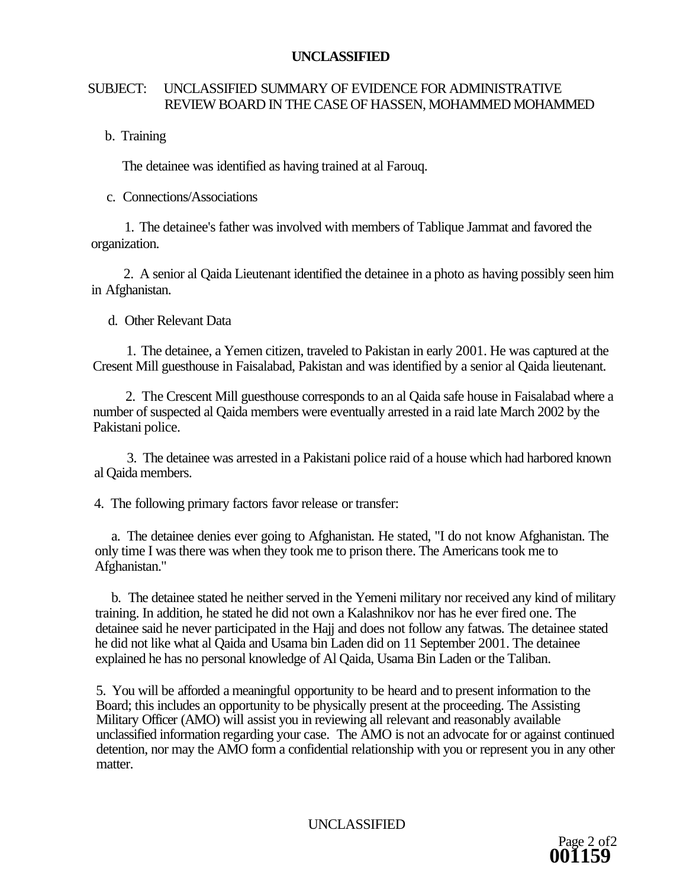# SUBJECT: UNCLASSIFIED SUMMARY OF EVIDENCE FOR ADMINISTRATIVE REVIEW BOARD IN THE CASE OF HASSEN, MOHAMMED MOHAMMED

# b. Training

The detainee was identified as having trained at al Farouq.

# c. Connections/Associations

1. The detainee's father was involved with members of Tablique Jammat and favored the organization.

2. A senior al Qaida Lieutenant identified the detainee in a photo as having possibly seen him in Afghanistan.

d. Other Relevant Data

1. The detainee, a Yemen citizen, traveled to Pakistan in early 2001. He was captured at the Cresent Mill guesthouse in Faisalabad, Pakistan and was identified by a senior al Qaida lieutenant.

2. The Crescent Mill guesthouse corresponds to an al Qaida safe house in Faisalabad where a number of suspected al Qaida members were eventually arrested in a raid late March 2002 by the Pakistani police.

3. The detainee was arrested in a Pakistani police raid of a house which had harbored known al Qaida members.

4. The following primary factors favor release or transfer:

a. The detainee denies ever going to Afghanistan. He stated, "I do not know Afghanistan. The only time I was there was when they took me to prison there. The Americans took me to Afghanistan."

b. The detainee stated he neither served in the Yemeni military nor received any kind of military training. In addition, he stated he did not own a Kalashnikov nor has he ever fired one. The detainee said he never participated in the Hajj and does not follow any fatwas. The detainee stated he did not like what al Qaida and Usama bin Laden did on 11 September 2001. The detainee explained he has no personal knowledge of Al Qaida, Usama Bin Laden or the Taliban.

5. You will be afforded a meaningful opportunity to be heard and to present information to the Board; this includes an opportunity to be physically present at the proceeding. The Assisting Military Officer (AMO) will assist you in reviewing all relevant and reasonably available unclassified information regarding your case. The AMO is not an advocate for or against continued detention, nor may the AMO form a confidential relationship with you or represent you in any other matter.

UNCLASSIFIED